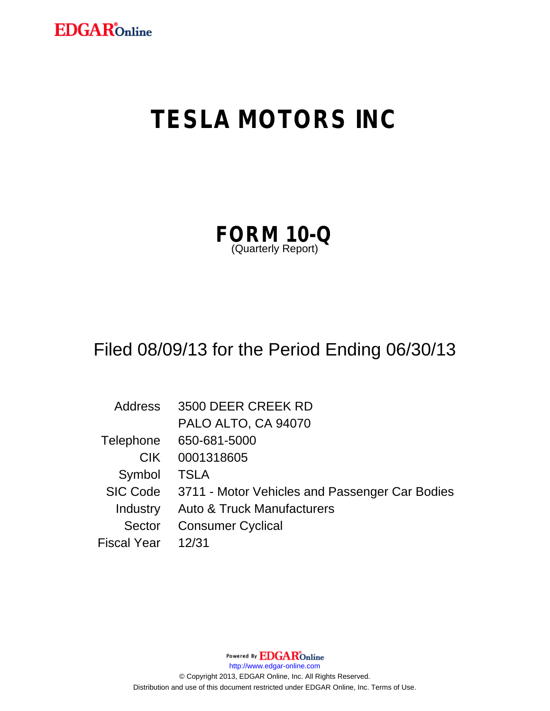

# **TESLA MOTORS INC**

| <b>FORM 10-Q</b>   |  |
|--------------------|--|
| (Quarterly Report) |  |

# Filed 08/09/13 for the Period Ending 06/30/13

| Address            | 3500 DEER CREEK RD                                      |
|--------------------|---------------------------------------------------------|
|                    | PALO ALTO, CA 94070                                     |
| Telephone          | 650-681-5000                                            |
| CIK.               | 0001318605                                              |
| Symbol             | <b>TSLA</b>                                             |
|                    | SIC Code 3711 - Motor Vehicles and Passenger Car Bodies |
| Industry           | <b>Auto &amp; Truck Manufacturers</b>                   |
| Sector             | <b>Consumer Cyclical</b>                                |
| <b>Fiscal Year</b> | 12/31                                                   |

Powered By **EDGAR**Online

http://www.edgar-online.com

© Copyright 2013, EDGAR Online, Inc. All Rights Reserved. Distribution and use of this document restricted under EDGAR Online, Inc. Terms of Use.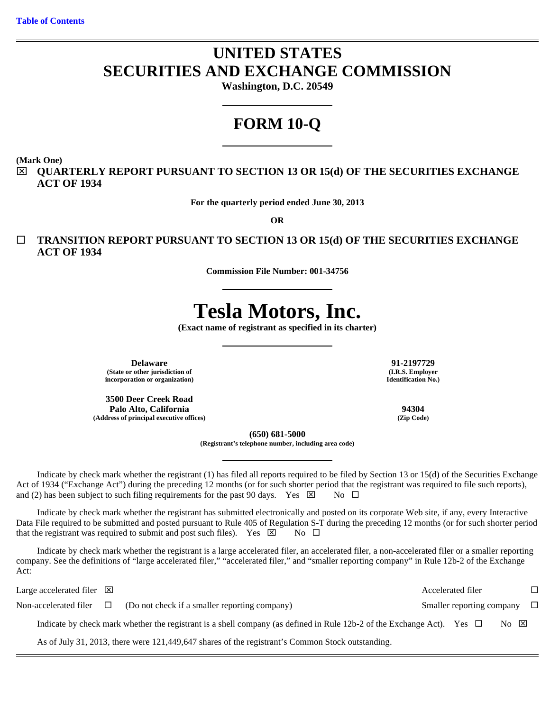$\overline{a}$ 

### **UNITED STATES SECURITIES AND EXCHANGE COMMISSION**

**Washington, D.C. 20549**  ı

### **FORM 10-Q**

j

**(Mark One)** 

 $\overline{a}$  $\overline{a}$ 

 **QUARTERLY REPORT PURSUANT TO SECTION 13 OR 15(d) OF THE SECURITIES EXCHANGE ACT OF 1934** 

**For the quarterly period ended June 30, 2013** 

**OR** 

 **TRANSITION REPORT PURSUANT TO SECTION 13 OR 15(d) OF THE SECURITIES EXCHANGE ACT OF 1934** 

> **Commission File Number: 001-34756**  L

# **Tesla Motors, Inc.**

**(Exact name of registrant as specified in its charter)**  L

**Delaware 91-2197729 (State or other jurisdiction of incorporation or organization)** 

**3500 Deer Creek Road Palo Alto, California 94304 (Address of principal executive offices) (Zip Code)** 

**(I.R.S. Employer Identification No.)** 

**(650) 681-5000** 

**(Registrant's telephone number, including area code)**  ı

Indicate by check mark whether the registrant (1) has filed all reports required to be filed by Section 13 or 15(d) of the Securities Exchange Act of 1934 ("Exchange Act") during the preceding 12 months (or for such shorter period that the registrant was required to file such reports), and (2) has been subject to such filing requirements for the past 90 days. Yes  $\boxtimes$  No  $\square$ 

Indicate by check mark whether the registrant has submitted electronically and posted on its corporate Web site, if any, every Interactive Data File required to be submitted and posted pursuant to Rule 405 of Regulation S-T during the preceding 12 months (or for such shorter period that the registrant was required to submit and post such files). Yes  $\boxtimes$  No  $\square$ 

Indicate by check mark whether the registrant is a large accelerated filer, an accelerated filer, a non-accelerated filer or a smaller reporting company. See the definitions of "large accelerated filer," "accelerated filer," and "smaller reporting company" in Rule 12b-2 of the Exchange Act:

Large accelerated filer  $\boxtimes$ Non-accelerated filer  $\Box$  (Do not check if a smaller reporting company) Smaller reporting company  $\Box$ 

Indicate by check mark whether the registrant is a shell company (as defined in Rule 12b-2 of the Exchange Act). Yes  $\Box$  No  $\boxtimes$ 

As of July 31, 2013, there were 121,449,647 shares of the registrant's Common Stock outstanding.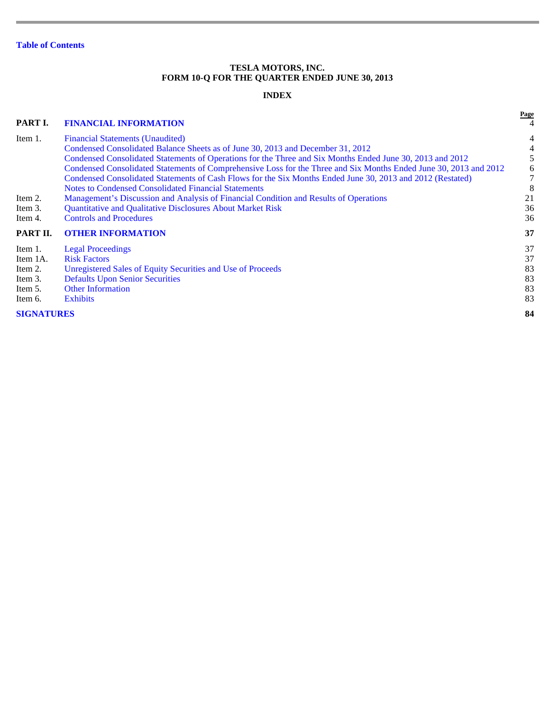#### **TESLA MOTORS, INC. FORM 10-Q FOR THE QUARTER ENDED JUNE 30, 2013**

#### **INDEX**

| PART I.           | <b>FINANCIAL INFORMATION</b>                                                                                      | <b>Page</b> |
|-------------------|-------------------------------------------------------------------------------------------------------------------|-------------|
| Item 1.           | <b>Financial Statements (Unaudited)</b>                                                                           | 4           |
|                   | Condensed Consolidated Balance Sheets as of June 30, 2013 and December 31, 2012                                   |             |
|                   | Condensed Consolidated Statements of Operations for the Three and Six Months Ended June 30, 2013 and 2012         | 5           |
|                   | Condensed Consolidated Statements of Comprehensive Loss for the Three and Six Months Ended June 30, 2013 and 2012 | 6           |
|                   | Condensed Consolidated Statements of Cash Flows for the Six Months Ended June 30, 2013 and 2012 (Restated)        |             |
|                   | <b>Notes to Condensed Consolidated Financial Statements</b>                                                       | 8           |
| Item 2.           | Management's Discussion and Analysis of Financial Condition and Results of Operations                             | 21          |
| Item 3.           | Quantitative and Qualitative Disclosures About Market Risk                                                        | 36          |
| Item 4.           | <b>Controls and Procedures</b>                                                                                    | 36          |
| PART II.          | <b>OTHER INFORMATION</b>                                                                                          | 37          |
| Item 1.           | <b>Legal Proceedings</b>                                                                                          | 37          |
| Item 1A.          | <b>Risk Factors</b>                                                                                               | 37          |
| Item 2.           | Unregistered Sales of Equity Securities and Use of Proceeds                                                       | 83          |
| Item 3.           | <b>Defaults Upon Senior Securities</b>                                                                            | 83          |
| Item 5.           | <b>Other Information</b>                                                                                          | 83          |
| Item $6.$         | <b>Exhibits</b>                                                                                                   | 83          |
| <b>SIGNATURES</b> |                                                                                                                   | 84          |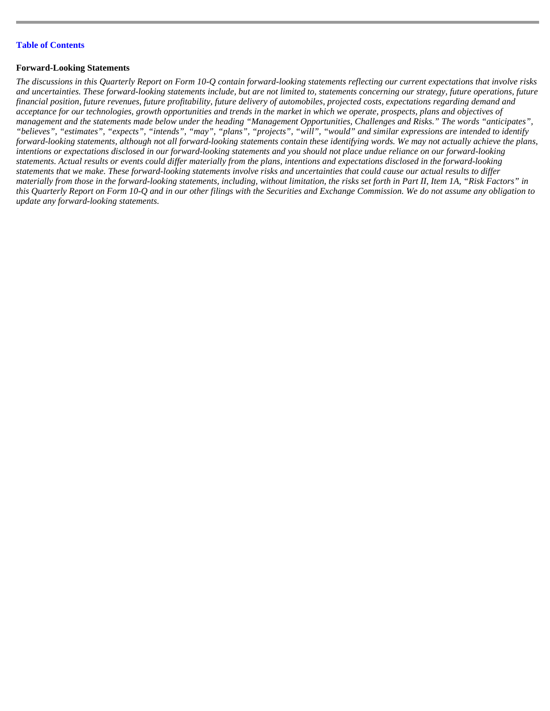#### **Forward-Looking Statements**

*The discussions in this Quarterly Report on Form 10-Q contain forward-looking statements reflecting our current expectations that involve risks and uncertainties. These forward-looking statements include, but are not limited to, statements concerning our strategy, future operations, future financial position, future revenues, future profitability, future delivery of automobiles, projected costs, expectations regarding demand and acceptance for our technologies, growth opportunities and trends in the market in which we operate, prospects, plans and objectives of management and the statements made below under the heading "Management Opportunities, Challenges and Risks." The words "anticipates", "believes", "estimates", "expects", "intends", "may", "plans", "projects", "will", "would" and similar expressions are intended to identify forward-looking statements, although not all forward-looking statements contain these identifying words. We may not actually achieve the plans, intentions or expectations disclosed in our forward-looking statements and you should not place undue reliance on our forward-looking statements. Actual results or events could differ materially from the plans, intentions and expectations disclosed in the forward-looking statements that we make. These forward-looking statements involve risks and uncertainties that could cause our actual results to differ materially from those in the forward-looking statements, including, without limitation, the risks set forth in Part II, Item 1A, "Risk Factors" in this Quarterly Report on Form 10-Q and in our other filings with the Securities and Exchange Commission. We do not assume any obligation to update any forward-looking statements.*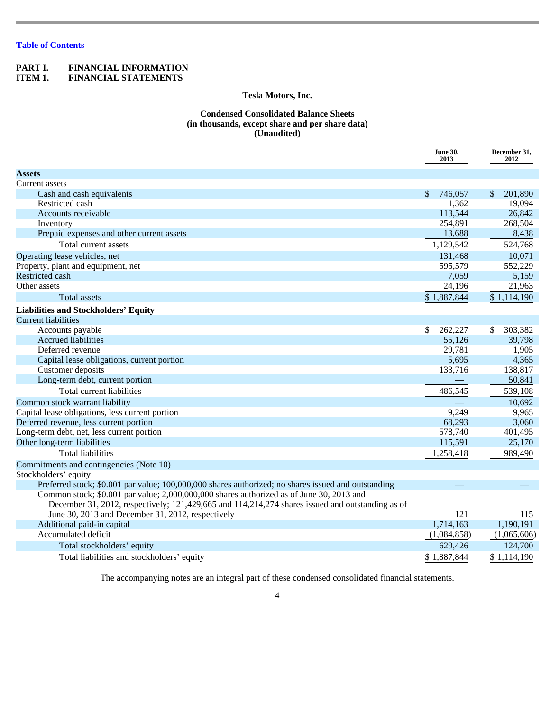**PART I. FINANCIAL INFORMATION ITEM 1. FINANCIAL STATEMENTS** 

#### **Tesla Motors, Inc.**

#### **Condensed Consolidated Balance Sheets (in thousands, except share and per share data) (Unaudited)**

|                                                                                                     | <b>June 30,</b><br>2013 | December 31,<br>2012    |
|-----------------------------------------------------------------------------------------------------|-------------------------|-------------------------|
| <b>Assets</b>                                                                                       |                         |                         |
| Current assets                                                                                      |                         |                         |
| Cash and cash equivalents                                                                           | $\mathbb{S}$<br>746,057 | 201,890<br>$\mathbb{S}$ |
| Restricted cash                                                                                     | 1,362                   | 19,094                  |
| Accounts receivable                                                                                 | 113,544                 | 26,842                  |
| Inventory                                                                                           | 254,891                 | 268,504                 |
| Prepaid expenses and other current assets                                                           | 13,688                  | 8,438                   |
| Total current assets                                                                                | 1,129,542               | 524,768                 |
| Operating lease vehicles, net                                                                       | 131,468                 | 10,071                  |
| Property, plant and equipment, net                                                                  | 595,579                 | 552,229                 |
| Restricted cash                                                                                     | 7,059                   | 5,159                   |
| Other assets                                                                                        | 24,196                  | 21,963                  |
| <b>Total assets</b>                                                                                 | \$1,887,844             | \$1,114,190             |
| <b>Liabilities and Stockholders' Equity</b>                                                         |                         |                         |
| <b>Current liabilities</b>                                                                          |                         |                         |
| Accounts payable                                                                                    | \$<br>262,227           | \$<br>303,382           |
| <b>Accrued liabilities</b>                                                                          | 55,126                  | 39,798                  |
| Deferred revenue                                                                                    | 29,781                  | 1,905                   |
| Capital lease obligations, current portion                                                          | 5,695                   | 4,365                   |
| Customer deposits                                                                                   | 133,716                 | 138,817                 |
| Long-term debt, current portion                                                                     |                         | 50,841                  |
| Total current liabilities                                                                           | 486,545                 | 539,108                 |
| Common stock warrant liability                                                                      |                         | 10,692                  |
| Capital lease obligations, less current portion                                                     | 9,249                   | 9,965                   |
| Deferred revenue, less current portion                                                              | 68,293                  | 3,060                   |
| Long-term debt, net, less current portion                                                           | 578,740                 | 401,495                 |
| Other long-term liabilities                                                                         | 115,591                 | 25,170                  |
| <b>Total liabilities</b>                                                                            | 1,258,418               | 989,490                 |
| Commitments and contingencies (Note 10)                                                             |                         |                         |
| Stockholders' equity                                                                                |                         |                         |
| Preferred stock; \$0.001 par value; 100,000,000 shares authorized; no shares issued and outstanding |                         |                         |
| Common stock; \$0.001 par value; 2,000,000,000 shares authorized as of June 30, 2013 and            |                         |                         |
| December 31, 2012, respectively; 121,429,665 and 114,214,274 shares issued and outstanding as of    |                         |                         |
| June 30, 2013 and December 31, 2012, respectively                                                   | 121                     | 115                     |
| Additional paid-in capital                                                                          | 1,714,163               | 1,190,191               |
| Accumulated deficit                                                                                 | (1,084,858)             | (1,065,606)             |
| Total stockholders' equity                                                                          | 629,426                 | 124,700                 |
| Total liabilities and stockholders' equity                                                          | \$1,887,844             | \$1,114,190             |

The accompanying notes are an integral part of these condensed consolidated financial statements.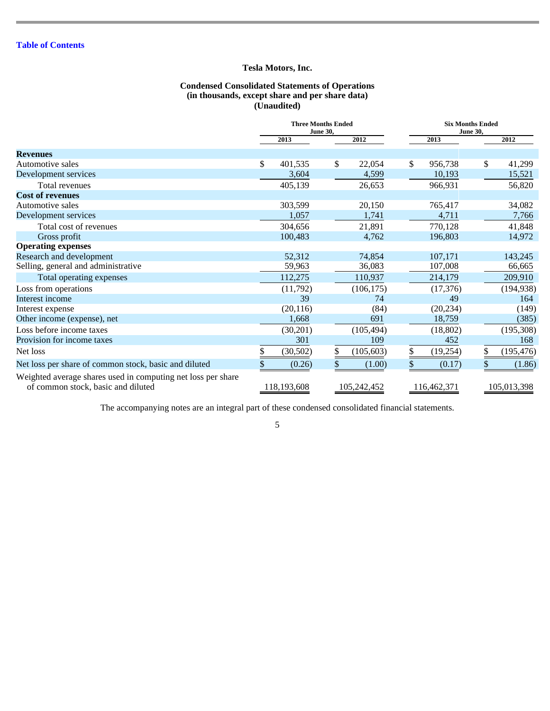#### **Condensed Consolidated Statements of Operations (in thousands, except share and per share data) (Unaudited)**

|                                                                                                    |               | <b>Three Months Ended</b><br><b>June 30,</b> |             | <b>Six Months Ended</b><br><b>June 30,</b> |    |             |
|----------------------------------------------------------------------------------------------------|---------------|----------------------------------------------|-------------|--------------------------------------------|----|-------------|
|                                                                                                    | 2013          |                                              | 2012        | 2013                                       |    | 2012        |
| <b>Revenues</b>                                                                                    |               |                                              |             |                                            |    |             |
| Automotive sales                                                                                   | \$<br>401,535 | \$                                           | 22,054      | \$<br>956,738                              | \$ | 41,299      |
| Development services                                                                               | 3,604         |                                              | 4,599       | 10,193                                     |    | 15,521      |
| Total revenues                                                                                     | 405,139       |                                              | 26,653      | 966,931                                    |    | 56,820      |
| <b>Cost of revenues</b>                                                                            |               |                                              |             |                                            |    |             |
| Automotive sales                                                                                   | 303,599       |                                              | 20,150      | 765,417                                    |    | 34,082      |
| Development services                                                                               | 1,057         |                                              | 1,741       | 4,711                                      |    | 7,766       |
| Total cost of revenues                                                                             | 304,656       |                                              | 21,891      | 770,128                                    |    | 41,848      |
| Gross profit                                                                                       | 100,483       |                                              | 4,762       | 196,803                                    |    | 14,972      |
| <b>Operating expenses</b>                                                                          |               |                                              |             |                                            |    |             |
| Research and development                                                                           | 52,312        |                                              | 74,854      | 107,171                                    |    | 143,245     |
| Selling, general and administrative                                                                | 59,963        |                                              | 36,083      | 107,008                                    |    | 66,665      |
| Total operating expenses                                                                           | 112,275       |                                              | 110,937     | 214,179                                    |    | 209,910     |
| Loss from operations                                                                               | (11,792)      |                                              | (106, 175)  | (17, 376)                                  |    | (194, 938)  |
| Interest income                                                                                    | 39            |                                              | 74          | 49                                         |    | 164         |
| Interest expense                                                                                   | (20, 116)     |                                              | (84)        | (20, 234)                                  |    | (149)       |
| Other income (expense), net                                                                        | 1,668         |                                              | 691         | 18,759                                     |    | (385)       |
| Loss before income taxes                                                                           | (30,201)      |                                              | (105, 494)  | (18, 802)                                  |    | (195,308)   |
| Provision for income taxes                                                                         | 301           |                                              | 109         | 452                                        |    | 168         |
| Net loss                                                                                           | (30, 502)     |                                              | (105, 603)  | \$<br>(19,254)                             | \$ | (195, 476)  |
| Net loss per share of common stock, basic and diluted                                              | (0.26)        |                                              | (1.00)      | (0.17)                                     |    | (1.86)      |
| Weighted average shares used in computing net loss per share<br>of common stock, basic and diluted | 118,193,608   |                                              | 105,242,452 | 116,462,371                                |    | 105,013,398 |

The accompanying notes are an integral part of these condensed consolidated financial statements.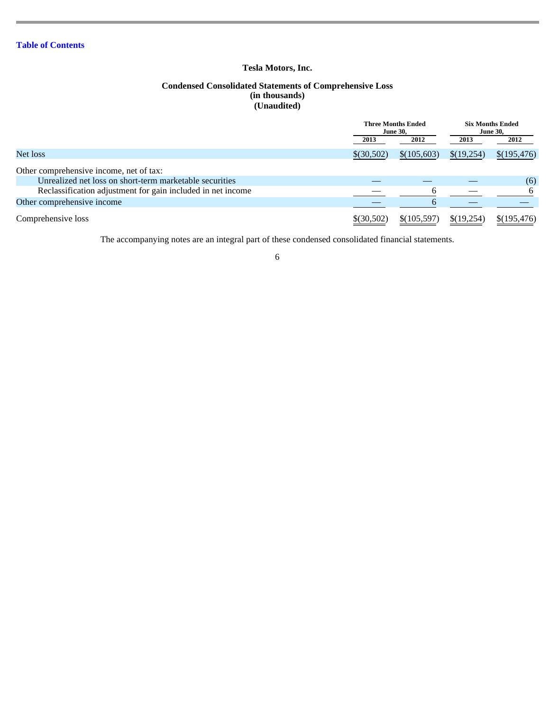#### **Condensed Consolidated Statements of Comprehensive Loss (in thousands) (Unaudited)**

|                                                             |            | <b>Three Months Ended</b><br><b>June 30.</b> |            | <b>Six Months Ended</b><br><b>June 30,</b> |
|-------------------------------------------------------------|------------|----------------------------------------------|------------|--------------------------------------------|
|                                                             | 2013       | 2012                                         | 2013       | 2012                                       |
| Net loss                                                    | \$(30,502) | \$(105,603)                                  | \$(19,254) | \$(195,476)                                |
| Other comprehensive income, net of tax:                     |            |                                              |            |                                            |
| Unrealized net loss on short-term marketable securities     |            |                                              |            | (6)                                        |
| Reclassification adjustment for gain included in net income |            |                                              |            | 6                                          |
| Other comprehensive income                                  |            |                                              |            |                                            |
| Comprehensive loss                                          | \$(30,502) | \$(105,597)                                  | \$(19,254) | \$(195,476)                                |

The accompanying notes are an integral part of these condensed consolidated financial statements.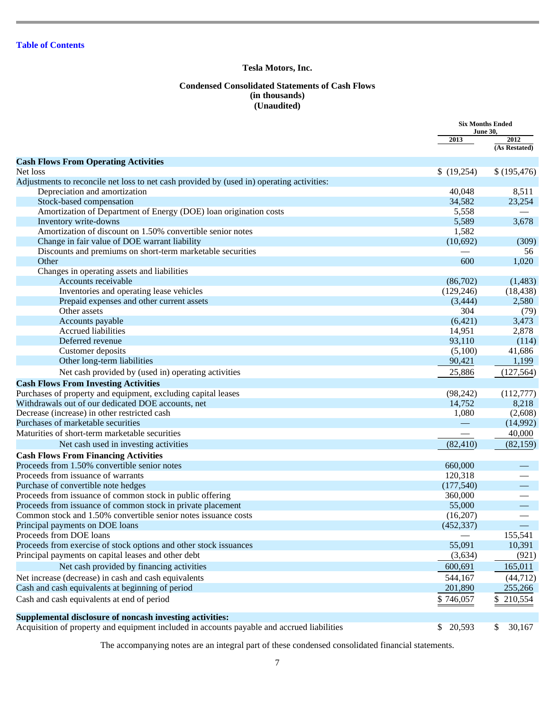#### **Condensed Consolidated Statements of Cash Flows (in thousands) (Unaudited)**

| <b>June 30,</b><br>2013<br>2012                                                                                                    |         |
|------------------------------------------------------------------------------------------------------------------------------------|---------|
|                                                                                                                                    |         |
| (As Restated)                                                                                                                      |         |
| <b>Cash Flows From Operating Activities</b>                                                                                        |         |
| Net loss<br>\$(19,254)<br>\$(195, 476)                                                                                             |         |
| Adjustments to reconcile net loss to net cash provided by (used in) operating activities:                                          |         |
| Depreciation and amortization<br>40,048                                                                                            | 8,511   |
| Stock-based compensation<br>34,582<br>23,254                                                                                       |         |
| 5,558<br>Amortization of Department of Energy (DOE) loan origination costs                                                         |         |
| Inventory write-downs<br>5,589                                                                                                     | 3,678   |
| Amortization of discount on 1.50% convertible senior notes<br>1,582                                                                |         |
| Change in fair value of DOE warrant liability<br>(10,692)                                                                          | (309)   |
| Discounts and premiums on short-term marketable securities                                                                         | 56      |
| 600<br>Other                                                                                                                       | 1,020   |
| Changes in operating assets and liabilities                                                                                        |         |
| (86,702)<br>Accounts receivable                                                                                                    | (1,483) |
| Inventories and operating lease vehicles<br>(129, 246)<br>(18, 438)                                                                |         |
| Prepaid expenses and other current assets<br>(3,444)                                                                               | 2,580   |
| Other assets<br>304                                                                                                                | (79)    |
| (6,421)<br>Accounts payable                                                                                                        | 3,473   |
| <b>Accrued liabilities</b><br>14,951                                                                                               | 2,878   |
| Deferred revenue<br>93,110                                                                                                         | (114)   |
| (5,100)<br>41,686<br>Customer deposits                                                                                             |         |
| Other long-term liabilities<br>90,421                                                                                              | 1,199   |
| 25,886<br>(127, 564)<br>Net cash provided by (used in) operating activities                                                        |         |
| <b>Cash Flows From Investing Activities</b>                                                                                        |         |
| Purchases of property and equipment, excluding capital leases<br>(98, 242)<br>(112,777)                                            |         |
| Withdrawals out of our dedicated DOE accounts, net<br>14,752                                                                       | 8,218   |
| Decrease (increase) in other restricted cash<br>1,080                                                                              | (2,608) |
| Purchases of marketable securities<br>(14,992)                                                                                     |         |
| 40,000<br>Maturities of short-term marketable securities                                                                           |         |
| (82, 159)<br>Net cash used in investing activities<br>(82, 410)                                                                    |         |
| <b>Cash Flows From Financing Activities</b>                                                                                        |         |
| Proceeds from 1.50% convertible senior notes<br>660,000                                                                            |         |
| Proceeds from issuance of warrants<br>120,318                                                                                      |         |
| Purchase of convertible note hedges<br>(177, 540)                                                                                  |         |
| Proceeds from issuance of common stock in public offering<br>360,000                                                               |         |
| Proceeds from issuance of common stock in private placement<br>55,000                                                              |         |
| Common stock and 1.50% convertible senior notes issuance costs<br>(16,207)                                                         |         |
| (452, 337)<br>Principal payments on DOE loans                                                                                      |         |
| Proceeds from DOE loans<br>155,541                                                                                                 |         |
| Proceeds from exercise of stock options and other stock issuances<br>55,091<br>10,391                                              |         |
| Principal payments on capital leases and other debt<br>(3,634)                                                                     | (921)   |
| Net cash provided by financing activities<br>165,011<br>600,691                                                                    |         |
| Net increase (decrease) in cash and cash equivalents<br>544,167<br>(44, 712)                                                       |         |
| Cash and cash equivalents at beginning of period<br>255,266<br>201,890                                                             |         |
|                                                                                                                                    |         |
| Cash and cash equivalents at end of period<br>\$746,057<br>210,554                                                                 |         |
| Supplemental disclosure of noncash investing activities:                                                                           |         |
| Acquisition of property and equipment included in accounts payable and accrued liabilities<br>30,167<br>\$ 20,593<br>$\mathcal{S}$ |         |

The accompanying notes are an integral part of these condensed consolidated financial statements.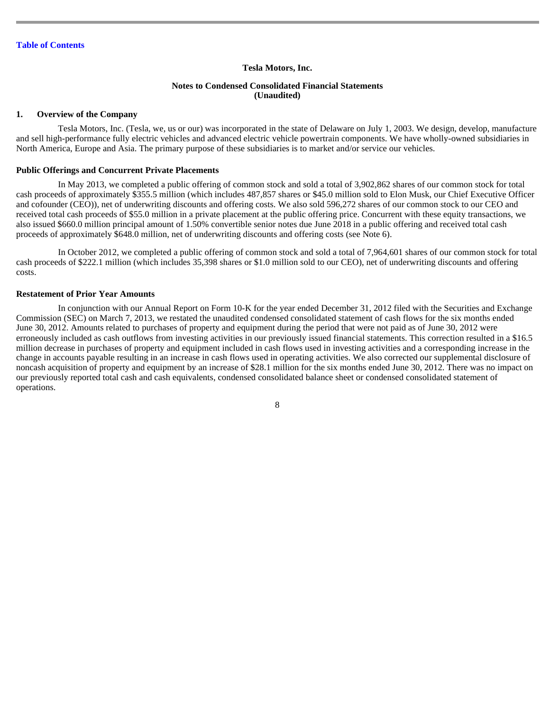#### **Notes to Condensed Consolidated Financial Statements (Unaudited)**

#### **1. Overview of the Company**

Tesla Motors, Inc. (Tesla, we, us or our) was incorporated in the state of Delaware on July 1, 2003. We design, develop, manufacture and sell high-performance fully electric vehicles and advanced electric vehicle powertrain components. We have wholly-owned subsidiaries in North America, Europe and Asia. The primary purpose of these subsidiaries is to market and/or service our vehicles.

#### **Public Offerings and Concurrent Private Placements**

In May 2013, we completed a public offering of common stock and sold a total of 3,902,862 shares of our common stock for total cash proceeds of approximately \$355.5 million (which includes 487,857 shares or \$45.0 million sold to Elon Musk, our Chief Executive Officer and cofounder (CEO)), net of underwriting discounts and offering costs. We also sold 596,272 shares of our common stock to our CEO and received total cash proceeds of \$55.0 million in a private placement at the public offering price. Concurrent with these equity transactions, we also issued \$660.0 million principal amount of 1.50% convertible senior notes due June 2018 in a public offering and received total cash proceeds of approximately \$648.0 million, net of underwriting discounts and offering costs (see Note 6).

In October 2012, we completed a public offering of common stock and sold a total of 7,964,601 shares of our common stock for total cash proceeds of \$222.1 million (which includes 35,398 shares or \$1.0 million sold to our CEO), net of underwriting discounts and offering costs.

#### **Restatement of Prior Year Amounts**

In conjunction with our Annual Report on Form 10-K for the year ended December 31, 2012 filed with the Securities and Exchange Commission (SEC) on March 7, 2013, we restated the unaudited condensed consolidated statement of cash flows for the six months ended June 30, 2012. Amounts related to purchases of property and equipment during the period that were not paid as of June 30, 2012 were erroneously included as cash outflows from investing activities in our previously issued financial statements. This correction resulted in a \$16.5 million decrease in purchases of property and equipment included in cash flows used in investing activities and a corresponding increase in the change in accounts payable resulting in an increase in cash flows used in operating activities. We also corrected our supplemental disclosure of noncash acquisition of property and equipment by an increase of \$28.1 million for the six months ended June 30, 2012. There was no impact on our previously reported total cash and cash equivalents, condensed consolidated balance sheet or condensed consolidated statement of operations.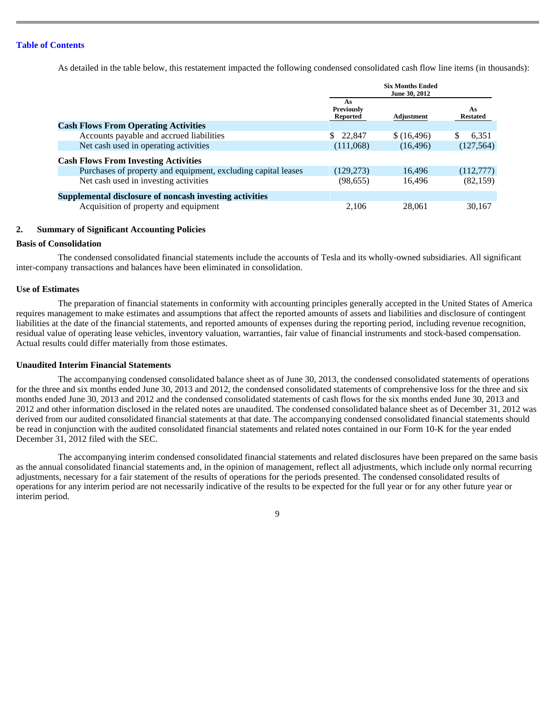As detailed in the table below, this restatement impacted the following condensed consolidated cash flow line items (in thousands):

|                                                               | <b>Six Months Ended</b><br>June 30, 2012   |             |                       |
|---------------------------------------------------------------|--------------------------------------------|-------------|-----------------------|
|                                                               | As<br><b>Previously</b><br><b>Reported</b> | Adjustment  | As<br><b>Restated</b> |
| <b>Cash Flows From Operating Activities</b>                   |                                            |             |                       |
| Accounts payable and accrued liabilities                      | 22.847<br>\$.                              | \$(16, 496) | 6.351                 |
| Net cash used in operating activities                         | (111,068)                                  | (16, 496)   | (127, 564)            |
| <b>Cash Flows From Investing Activities</b>                   |                                            |             |                       |
| Purchases of property and equipment, excluding capital leases | (129, 273)                                 | 16.496      | (112,777)             |
| Net cash used in investing activities                         | (98, 655)                                  | 16.496      | (82, 159)             |
| Supplemental disclosure of noncash investing activities       |                                            |             |                       |
| Acquisition of property and equipment                         | 2.106                                      | 28.061      | 30,167                |

#### **2. Summary of Significant Accounting Policies**

#### **Basis of Consolidation**

The condensed consolidated financial statements include the accounts of Tesla and its wholly-owned subsidiaries. All significant inter-company transactions and balances have been eliminated in consolidation.

#### **Use of Estimates**

The preparation of financial statements in conformity with accounting principles generally accepted in the United States of America requires management to make estimates and assumptions that affect the reported amounts of assets and liabilities and disclosure of contingent liabilities at the date of the financial statements, and reported amounts of expenses during the reporting period, including revenue recognition, residual value of operating lease vehicles, inventory valuation, warranties, fair value of financial instruments and stock-based compensation. Actual results could differ materially from those estimates.

#### **Unaudited Interim Financial Statements**

The accompanying condensed consolidated balance sheet as of June 30, 2013, the condensed consolidated statements of operations for the three and six months ended June 30, 2013 and 2012, the condensed consolidated statements of comprehensive loss for the three and six months ended June 30, 2013 and 2012 and the condensed consolidated statements of cash flows for the six months ended June 30, 2013 and 2012 and other information disclosed in the related notes are unaudited. The condensed consolidated balance sheet as of December 31, 2012 was derived from our audited consolidated financial statements at that date. The accompanying condensed consolidated financial statements should be read in conjunction with the audited consolidated financial statements and related notes contained in our Form 10-K for the year ended December 31, 2012 filed with the SEC.

The accompanying interim condensed consolidated financial statements and related disclosures have been prepared on the same basis as the annual consolidated financial statements and, in the opinion of management, reflect all adjustments, which include only normal recurring adjustments, necessary for a fair statement of the results of operations for the periods presented. The condensed consolidated results of operations for any interim period are not necessarily indicative of the results to be expected for the full year or for any other future year or interim period.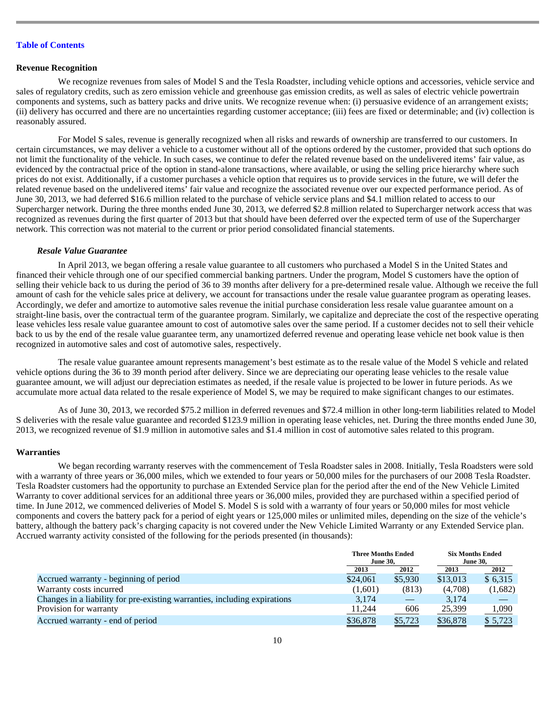#### **Revenue Recognition**

We recognize revenues from sales of Model S and the Tesla Roadster, including vehicle options and accessories, vehicle service and sales of regulatory credits, such as zero emission vehicle and greenhouse gas emission credits, as well as sales of electric vehicle powertrain components and systems, such as battery packs and drive units. We recognize revenue when: (i) persuasive evidence of an arrangement exists; (ii) delivery has occurred and there are no uncertainties regarding customer acceptance; (iii) fees are fixed or determinable; and (iv) collection is reasonably assured.

For Model S sales, revenue is generally recognized when all risks and rewards of ownership are transferred to our customers. In certain circumstances, we may deliver a vehicle to a customer without all of the options ordered by the customer, provided that such options do not limit the functionality of the vehicle. In such cases, we continue to defer the related revenue based on the undelivered items' fair value, as evidenced by the contractual price of the option in stand-alone transactions, where available, or using the selling price hierarchy where such prices do not exist. Additionally, if a customer purchases a vehicle option that requires us to provide services in the future, we will defer the related revenue based on the undelivered items' fair value and recognize the associated revenue over our expected performance period. As of June 30, 2013, we had deferred \$16.6 million related to the purchase of vehicle service plans and \$4.1 million related to access to our Supercharger network. During the three months ended June 30, 2013, we deferred \$2.8 million related to Supercharger network access that was recognized as revenues during the first quarter of 2013 but that should have been deferred over the expected term of use of the Supercharger network. This correction was not material to the current or prior period consolidated financial statements.

#### *Resale Value Guarantee*

In April 2013, we began offering a resale value guarantee to all customers who purchased a Model S in the United States and financed their vehicle through one of our specified commercial banking partners. Under the program, Model S customers have the option of selling their vehicle back to us during the period of 36 to 39 months after delivery for a pre-determined resale value. Although we receive the full amount of cash for the vehicle sales price at delivery, we account for transactions under the resale value guarantee program as operating leases. Accordingly, we defer and amortize to automotive sales revenue the initial purchase consideration less resale value guarantee amount on a straight-line basis, over the contractual term of the guarantee program. Similarly, we capitalize and depreciate the cost of the respective operating lease vehicles less resale value guarantee amount to cost of automotive sales over the same period. If a customer decides not to sell their vehicle back to us by the end of the resale value guarantee term, any unamortized deferred revenue and operating lease vehicle net book value is then recognized in automotive sales and cost of automotive sales, respectively.

The resale value guarantee amount represents management's best estimate as to the resale value of the Model S vehicle and related vehicle options during the 36 to 39 month period after delivery. Since we are depreciating our operating lease vehicles to the resale value guarantee amount, we will adjust our depreciation estimates as needed, if the resale value is projected to be lower in future periods. As we accumulate more actual data related to the resale experience of Model S, we may be required to make significant changes to our estimates.

As of June 30, 2013, we recorded \$75.2 million in deferred revenues and \$72.4 million in other long-term liabilities related to Model S deliveries with the resale value guarantee and recorded \$123.9 million in operating lease vehicles, net. During the three months ended June 30, 2013, we recognized revenue of \$1.9 million in automotive sales and \$1.4 million in cost of automotive sales related to this program.

#### **Warranties**

We began recording warranty reserves with the commencement of Tesla Roadster sales in 2008. Initially, Tesla Roadsters were sold with a warranty of three years or 36,000 miles, which we extended to four years or 50,000 miles for the purchasers of our 2008 Tesla Roadster. Tesla Roadster customers had the opportunity to purchase an Extended Service plan for the period after the end of the New Vehicle Limited Warranty to cover additional services for an additional three years or 36,000 miles, provided they are purchased within a specified period of time. In June 2012, we commenced deliveries of Model S. Model S is sold with a warranty of four years or 50,000 miles for most vehicle components and covers the battery pack for a period of eight years or 125,000 miles or unlimited miles, depending on the size of the vehicle's battery, although the battery pack's charging capacity is not covered under the New Vehicle Limited Warranty or any Extended Service plan. Accrued warranty activity consisted of the following for the periods presented (in thousands):

|                                                                           | <b>Three Months Ended</b><br><b>June 30.</b> |         | <b>Six Months Ended</b><br><b>June 30.</b> |         |
|---------------------------------------------------------------------------|----------------------------------------------|---------|--------------------------------------------|---------|
|                                                                           | 2013                                         | 2012    | 2013                                       | 2012    |
| Accrued warranty - beginning of period                                    | \$24,061                                     | \$5,930 | \$13,013                                   | \$6,315 |
| Warranty costs incurred                                                   | (1,601)                                      | (813)   | (4,708)                                    | (1,682) |
| Changes in a liability for pre-existing warranties, including expirations | 3,174                                        |         | 3,174                                      |         |
| Provision for warranty                                                    | 11,244                                       | 606     | 25,399                                     | 1,090   |
| Accrued warranty - end of period                                          | \$36,878                                     | \$5,723 | \$36,878                                   | \$5,723 |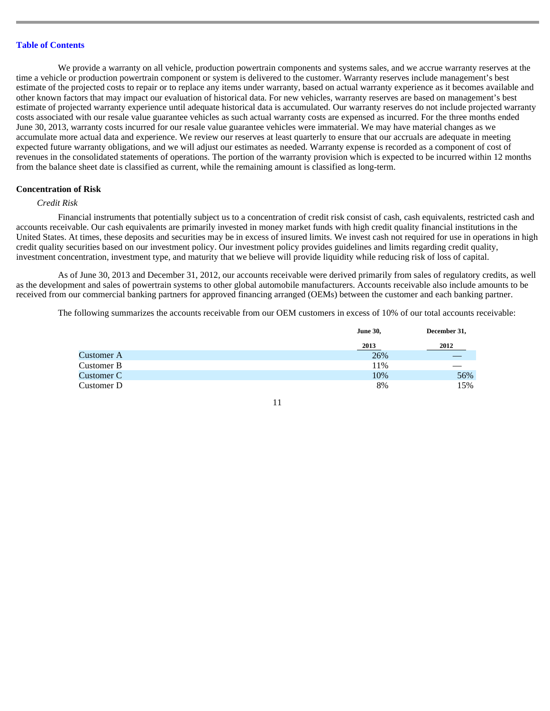We provide a warranty on all vehicle, production powertrain components and systems sales, and we accrue warranty reserves at the time a vehicle or production powertrain component or system is delivered to the customer. Warranty reserves include management's best estimate of the projected costs to repair or to replace any items under warranty, based on actual warranty experience as it becomes available and other known factors that may impact our evaluation of historical data. For new vehicles, warranty reserves are based on management's best estimate of projected warranty experience until adequate historical data is accumulated. Our warranty reserves do not include projected warranty costs associated with our resale value guarantee vehicles as such actual warranty costs are expensed as incurred. For the three months ended June 30, 2013, warranty costs incurred for our resale value guarantee vehicles were immaterial. We may have material changes as we accumulate more actual data and experience. We review our reserves at least quarterly to ensure that our accruals are adequate in meeting expected future warranty obligations, and we will adjust our estimates as needed. Warranty expense is recorded as a component of cost of revenues in the consolidated statements of operations. The portion of the warranty provision which is expected to be incurred within 12 months from the balance sheet date is classified as current, while the remaining amount is classified as long-term.

#### **Concentration of Risk**

#### *Credit Risk*

Financial instruments that potentially subject us to a concentration of credit risk consist of cash, cash equivalents, restricted cash and accounts receivable. Our cash equivalents are primarily invested in money market funds with high credit quality financial institutions in the United States. At times, these deposits and securities may be in excess of insured limits. We invest cash not required for use in operations in high credit quality securities based on our investment policy. Our investment policy provides guidelines and limits regarding credit quality, investment concentration, investment type, and maturity that we believe will provide liquidity while reducing risk of loss of capital.

As of June 30, 2013 and December 31, 2012, our accounts receivable were derived primarily from sales of regulatory credits, as well as the development and sales of powertrain systems to other global automobile manufacturers. Accounts receivable also include amounts to be received from our commercial banking partners for approved financing arranged (OEMs) between the customer and each banking partner.

The following summarizes the accounts receivable from our OEM customers in excess of 10% of our total accounts receivable:

|            | <b>June 30,</b> | December 31, |
|------------|-----------------|--------------|
|            | 2013            | 2012         |
| Customer A | 26%             |              |
| Customer B | 11%             |              |
| Customer C | 10%             | 56%          |
| Customer D | 8%              | 15%          |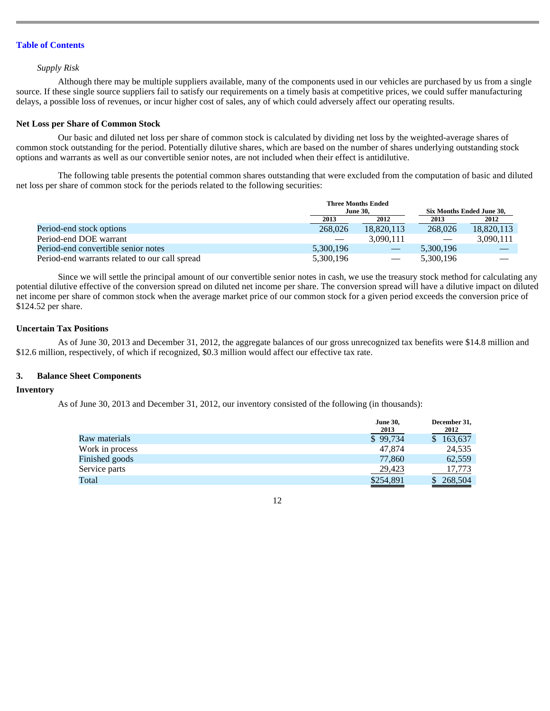#### *Supply Risk*

Although there may be multiple suppliers available, many of the components used in our vehicles are purchased by us from a single source. If these single source suppliers fail to satisfy our requirements on a timely basis at competitive prices, we could suffer manufacturing delays, a possible loss of revenues, or incur higher cost of sales, any of which could adversely affect our operating results.

#### **Net Loss per Share of Common Stock**

Our basic and diluted net loss per share of common stock is calculated by dividing net loss by the weighted-average shares of common stock outstanding for the period. Potentially dilutive shares, which are based on the number of shares underlying outstanding stock options and warrants as well as our convertible senior notes, are not included when their effect is antidilutive.

The following table presents the potential common shares outstanding that were excluded from the computation of basic and diluted net loss per share of common stock for the periods related to the following securities:

|                                                |           | <b>Three Months Ended</b><br><b>June 30.</b> |           | Six Months Ended June 30. |  |
|------------------------------------------------|-----------|----------------------------------------------|-----------|---------------------------|--|
|                                                | 2013      | 2012                                         | 2013      | 2012                      |  |
| Period-end stock options                       | 268,026   | 18.820.113                                   | 268,026   | 18,820,113                |  |
| Period-end DOE warrant                         |           | 3.090.111                                    |           | 3.090.111                 |  |
| Period-end convertible senior notes            | 5,300,196 |                                              | 5,300,196 |                           |  |
| Period-end warrants related to our call spread | 5,300,196 | $\hspace{0.05cm}$                            | 5,300,196 |                           |  |

Since we will settle the principal amount of our convertible senior notes in cash, we use the treasury stock method for calculating any potential dilutive effective of the conversion spread on diluted net income per share. The conversion spread will have a dilutive impact on diluted net income per share of common stock when the average market price of our common stock for a given period exceeds the conversion price of \$124.52 per share.

#### **Uncertain Tax Positions**

As of June 30, 2013 and December 31, 2012, the aggregate balances of our gross unrecognized tax benefits were \$14.8 million and \$12.6 million, respectively, of which if recognized, \$0.3 million would affect our effective tax rate.

#### **3. Balance Sheet Components**

#### **Inventory**

As of June 30, 2013 and December 31, 2012, our inventory consisted of the following (in thousands):

|                 | <b>June 30,</b><br>2013 | December 31,<br>2012 |
|-----------------|-------------------------|----------------------|
| Raw materials   | \$99,734                | \$163,637            |
| Work in process | 47,874                  | 24,535               |
| Finished goods  | 77,860                  | 62,559               |
| Service parts   | 29.423                  | 17,773               |
| Total           | \$254,891               | 268,504              |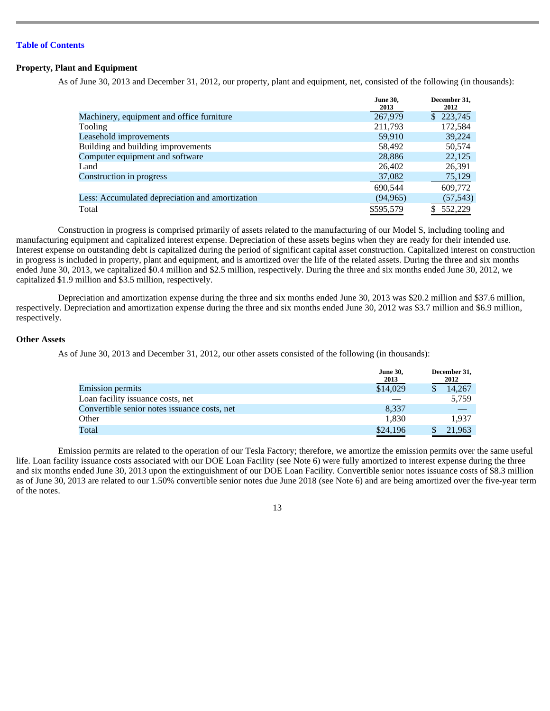#### **Property, Plant and Equipment**

As of June 30, 2013 and December 31, 2012, our property, plant and equipment, net, consisted of the following (in thousands):

|                                                 | <b>June 30,</b><br>2013 | December 31,<br>2012 |
|-------------------------------------------------|-------------------------|----------------------|
| Machinery, equipment and office furniture       | 267,979                 | \$223,745            |
| <b>Tooling</b>                                  | 211.793                 | 172,584              |
| Leasehold improvements                          | 59,910                  | 39,224               |
| Building and building improvements              | 58,492                  | 50,574               |
| Computer equipment and software                 | 28,886                  | 22,125               |
| Land                                            | 26,402                  | 26,391               |
| Construction in progress                        | 37,082                  | 75,129               |
|                                                 | 690.544                 | 609,772              |
| Less: Accumulated depreciation and amortization | (94, 965)               | (57, 543)            |
| Total                                           | \$595,579               | 552,229              |

Construction in progress is comprised primarily of assets related to the manufacturing of our Model S, including tooling and manufacturing equipment and capitalized interest expense. Depreciation of these assets begins when they are ready for their intended use. Interest expense on outstanding debt is capitalized during the period of significant capital asset construction. Capitalized interest on construction in progress is included in property, plant and equipment, and is amortized over the life of the related assets. During the three and six months ended June 30, 2013, we capitalized \$0.4 million and \$2.5 million, respectively. During the three and six months ended June 30, 2012, we capitalized \$1.9 million and \$3.5 million, respectively.

Depreciation and amortization expense during the three and six months ended June 30, 2013 was \$20.2 million and \$37.6 million, respectively. Depreciation and amortization expense during the three and six months ended June 30, 2012 was \$3.7 million and \$6.9 million, respectively.

#### **Other Assets**

As of June 30, 2013 and December 31, 2012, our other assets consisted of the following (in thousands):

|                                              | <b>June 30,</b><br>2013 | December 31,<br>2012 |
|----------------------------------------------|-------------------------|----------------------|
| <b>Emission permits</b>                      | \$14,029                | 14,267               |
| Loan facility issuance costs, net            |                         | 5.759                |
| Convertible senior notes issuance costs, net | 8,337                   |                      |
| Other                                        | 1,830                   | 1.937                |
| Total                                        | \$24,196                | 21.963               |

Emission permits are related to the operation of our Tesla Factory; therefore, we amortize the emission permits over the same useful life. Loan facility issuance costs associated with our DOE Loan Facility (see Note 6) were fully amortized to interest expense during the three and six months ended June 30, 2013 upon the extinguishment of our DOE Loan Facility. Convertible senior notes issuance costs of \$8.3 million as of June 30, 2013 are related to our 1.50% convertible senior notes due June 2018 (see Note 6) and are being amortized over the five-year term of the notes.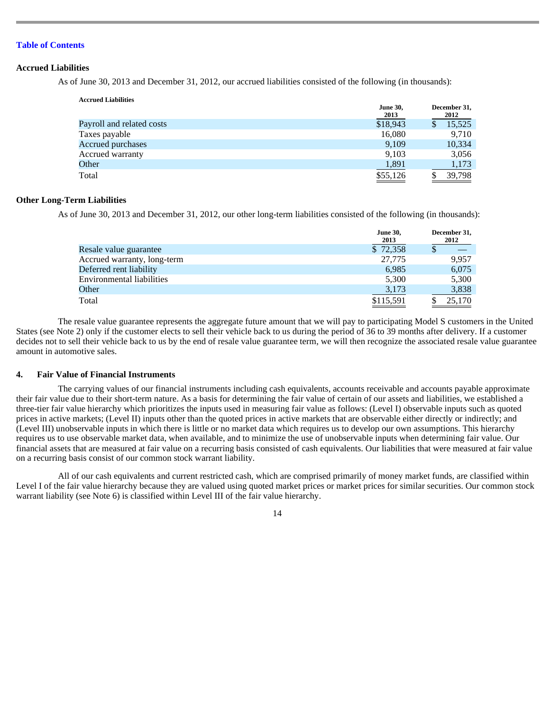#### **Accrued Liabilities**

As of June 30, 2013 and December 31, 2012, our accrued liabilities consisted of the following (in thousands):

| <b>Accrued Liabilities</b> |                         |                      |
|----------------------------|-------------------------|----------------------|
|                            | <b>June 30,</b><br>2013 | December 31,<br>2012 |
| Payroll and related costs  | \$18,943                | 15,525               |
| Taxes payable              | 16,080                  | 9,710                |
| Accrued purchases          | 9,109                   | 10,334               |
| Accrued warranty           | 9,103                   | 3,056                |
| Other                      | 1,891                   | 1,173                |
| Total                      | \$55,126                | 39,798               |

#### **Other Long-Term Liabilities**

As of June 30, 2013 and December 31, 2012, our other long-term liabilities consisted of the following (in thousands):

|                             | <b>June 30,</b><br>2013 | December 31,<br>2012 |
|-----------------------------|-------------------------|----------------------|
| Resale value guarantee      | \$72,358                |                      |
| Accrued warranty, long-term | 27,775                  | 9,957                |
| Deferred rent liability     | 6,985                   | 6,075                |
| Environmental liabilities   | 5,300                   | 5,300                |
| Other                       | 3,173                   | 3,838                |
| Total                       | \$115,591               | 25,170               |

The resale value guarantee represents the aggregate future amount that we will pay to participating Model S customers in the United States (see Note 2) only if the customer elects to sell their vehicle back to us during the period of 36 to 39 months after delivery. If a customer decides not to sell their vehicle back to us by the end of resale value guarantee term, we will then recognize the associated resale value guarantee amount in automotive sales.

#### **4. Fair Value of Financial Instruments**

The carrying values of our financial instruments including cash equivalents, accounts receivable and accounts payable approximate their fair value due to their short-term nature. As a basis for determining the fair value of certain of our assets and liabilities, we established a three-tier fair value hierarchy which prioritizes the inputs used in measuring fair value as follows: (Level I) observable inputs such as quoted prices in active markets; (Level II) inputs other than the quoted prices in active markets that are observable either directly or indirectly; and (Level III) unobservable inputs in which there is little or no market data which requires us to develop our own assumptions. This hierarchy requires us to use observable market data, when available, and to minimize the use of unobservable inputs when determining fair value. Our financial assets that are measured at fair value on a recurring basis consisted of cash equivalents. Our liabilities that were measured at fair value on a recurring basis consist of our common stock warrant liability.

All of our cash equivalents and current restricted cash, which are comprised primarily of money market funds, are classified within Level I of the fair value hierarchy because they are valued using quoted market prices or market prices for similar securities. Our common stock warrant liability (see Note 6) is classified within Level III of the fair value hierarchy.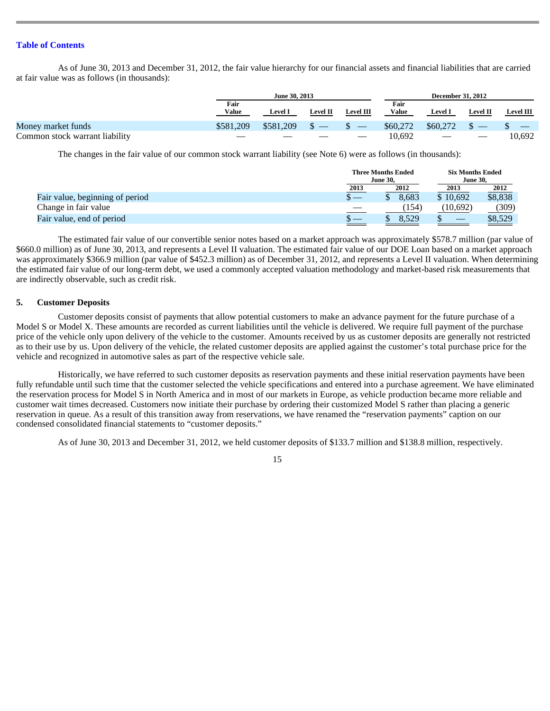As of June 30, 2013 and December 31, 2012, the fair value hierarchy for our financial assets and financial liabilities that are carried at fair value was as follows (in thousands):

|                                |                      | June 30, 2013  |                 |           |               | December 31, 2012 |                 |                  |
|--------------------------------|----------------------|----------------|-----------------|-----------|---------------|-------------------|-----------------|------------------|
|                                | Fair<br><b>Value</b> | <b>Level J</b> | <b>Level II</b> | Level III | Fair<br>Value | <b>Level</b> J    | <b>Level II</b> | <b>Level III</b> |
| Money market funds             | \$581,209            | \$581,209      |                 |           | \$60,272      | \$60,272          |                 |                  |
| Common stock warrant liability |                      |                |                 |           | 10.692        | $\hspace{0.05cm}$ |                 | 10,692           |

The changes in the fair value of our common stock warrant liability (see Note 6) were as follows (in thousands):

|                                 | <b>Three Months Ended</b><br><b>June 30.</b> |       | <b>Six Months Ended</b><br><b>June 30.</b> |         |
|---------------------------------|----------------------------------------------|-------|--------------------------------------------|---------|
|                                 | 2013                                         | 2012  | 2013                                       | 2012    |
| Fair value, beginning of period |                                              | 8.683 | \$10.692                                   | \$8,838 |
| Change in fair value            |                                              | 154   | (10.692)                                   | (309)   |
| Fair value, end of period       |                                              | 6,529 |                                            | \$8,529 |

The estimated fair value of our convertible senior notes based on a market approach was approximately \$578.7 million (par value of \$660.0 million) as of June 30, 2013, and represents a Level II valuation. The estimated fair value of our DOE Loan based on a market approach was approximately \$366.9 million (par value of \$452.3 million) as of December 31, 2012, and represents a Level II valuation. When determining the estimated fair value of our long-term debt, we used a commonly accepted valuation methodology and market-based risk measurements that are indirectly observable, such as credit risk.

#### **5. Customer Deposits**

Customer deposits consist of payments that allow potential customers to make an advance payment for the future purchase of a Model S or Model X. These amounts are recorded as current liabilities until the vehicle is delivered. We require full payment of the purchase price of the vehicle only upon delivery of the vehicle to the customer. Amounts received by us as customer deposits are generally not restricted as to their use by us. Upon delivery of the vehicle, the related customer deposits are applied against the customer's total purchase price for the vehicle and recognized in automotive sales as part of the respective vehicle sale.

Historically, we have referred to such customer deposits as reservation payments and these initial reservation payments have been fully refundable until such time that the customer selected the vehicle specifications and entered into a purchase agreement. We have eliminated the reservation process for Model S in North America and in most of our markets in Europe, as vehicle production became more reliable and customer wait times decreased. Customers now initiate their purchase by ordering their customized Model S rather than placing a generic reservation in queue. As a result of this transition away from reservations, we have renamed the "reservation payments" caption on our condensed consolidated financial statements to "customer deposits."

As of June 30, 2013 and December 31, 2012, we held customer deposits of \$133.7 million and \$138.8 million, respectively.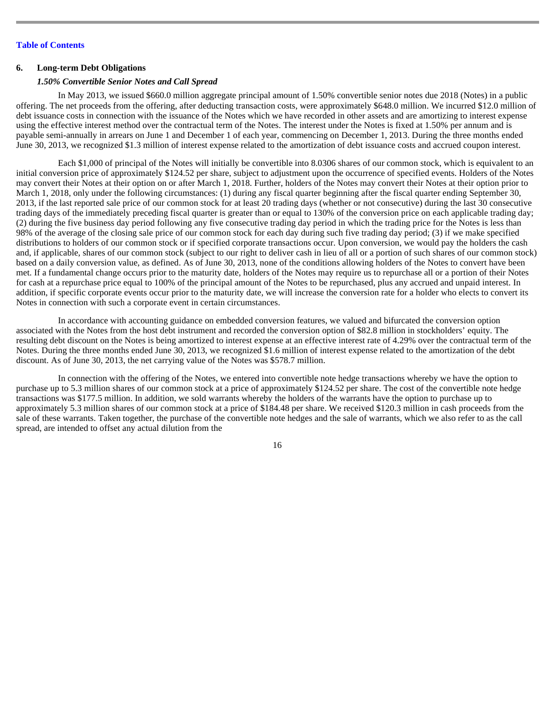#### **6. Long-term Debt Obligations**

#### *1.50% Convertible Senior Notes and Call Spread*

In May 2013, we issued \$660.0 million aggregate principal amount of 1.50% convertible senior notes due 2018 (Notes) in a public offering. The net proceeds from the offering, after deducting transaction costs, were approximately \$648.0 million. We incurred \$12.0 million of debt issuance costs in connection with the issuance of the Notes which we have recorded in other assets and are amortizing to interest expense using the effective interest method over the contractual term of the Notes. The interest under the Notes is fixed at 1.50% per annum and is payable semi-annually in arrears on June 1 and December 1 of each year, commencing on December 1, 2013. During the three months ended June 30, 2013, we recognized \$1.3 million of interest expense related to the amortization of debt issuance costs and accrued coupon interest.

Each \$1,000 of principal of the Notes will initially be convertible into 8.0306 shares of our common stock, which is equivalent to an initial conversion price of approximately \$124.52 per share, subject to adjustment upon the occurrence of specified events. Holders of the Notes may convert their Notes at their option on or after March 1, 2018. Further, holders of the Notes may convert their Notes at their option prior to March 1, 2018, only under the following circumstances: (1) during any fiscal quarter beginning after the fiscal quarter ending September 30, 2013, if the last reported sale price of our common stock for at least 20 trading days (whether or not consecutive) during the last 30 consecutive trading days of the immediately preceding fiscal quarter is greater than or equal to 130% of the conversion price on each applicable trading day; (2) during the five business day period following any five consecutive trading day period in which the trading price for the Notes is less than 98% of the average of the closing sale price of our common stock for each day during such five trading day period; (3) if we make specified distributions to holders of our common stock or if specified corporate transactions occur. Upon conversion, we would pay the holders the cash and, if applicable, shares of our common stock (subject to our right to deliver cash in lieu of all or a portion of such shares of our common stock) based on a daily conversion value, as defined. As of June 30, 2013, none of the conditions allowing holders of the Notes to convert have been met. If a fundamental change occurs prior to the maturity date, holders of the Notes may require us to repurchase all or a portion of their Notes for cash at a repurchase price equal to 100% of the principal amount of the Notes to be repurchased, plus any accrued and unpaid interest. In addition, if specific corporate events occur prior to the maturity date, we will increase the conversion rate for a holder who elects to convert its Notes in connection with such a corporate event in certain circumstances.

In accordance with accounting guidance on embedded conversion features, we valued and bifurcated the conversion option associated with the Notes from the host debt instrument and recorded the conversion option of \$82.8 million in stockholders' equity. The resulting debt discount on the Notes is being amortized to interest expense at an effective interest rate of 4.29% over the contractual term of the Notes. During the three months ended June 30, 2013, we recognized \$1.6 million of interest expense related to the amortization of the debt discount. As of June 30, 2013, the net carrying value of the Notes was \$578.7 million.

In connection with the offering of the Notes, we entered into convertible note hedge transactions whereby we have the option to purchase up to 5.3 million shares of our common stock at a price of approximately \$124.52 per share. The cost of the convertible note hedge transactions was \$177.5 million. In addition, we sold warrants whereby the holders of the warrants have the option to purchase up to approximately 5.3 million shares of our common stock at a price of \$184.48 per share. We received \$120.3 million in cash proceeds from the sale of these warrants. Taken together, the purchase of the convertible note hedges and the sale of warrants, which we also refer to as the call spread, are intended to offset any actual dilution from the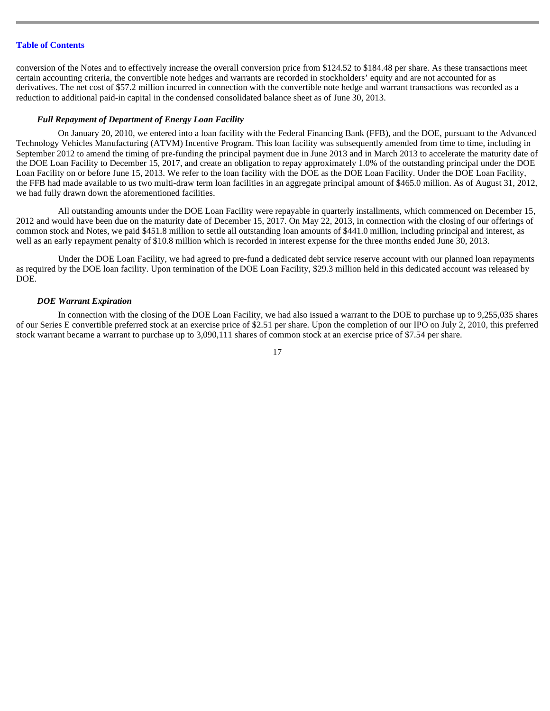conversion of the Notes and to effectively increase the overall conversion price from \$124.52 to \$184.48 per share. As these transactions meet certain accounting criteria, the convertible note hedges and warrants are recorded in stockholders' equity and are not accounted for as derivatives. The net cost of \$57.2 million incurred in connection with the convertible note hedge and warrant transactions was recorded as a reduction to additional paid-in capital in the condensed consolidated balance sheet as of June 30, 2013.

#### *Full Repayment of Department of Energy Loan Facility*

On January 20, 2010, we entered into a loan facility with the Federal Financing Bank (FFB), and the DOE, pursuant to the Advanced Technology Vehicles Manufacturing (ATVM) Incentive Program. This loan facility was subsequently amended from time to time, including in September 2012 to amend the timing of pre-funding the principal payment due in June 2013 and in March 2013 to accelerate the maturity date of the DOE Loan Facility to December 15, 2017, and create an obligation to repay approximately 1.0% of the outstanding principal under the DOE Loan Facility on or before June 15, 2013. We refer to the loan facility with the DOE as the DOE Loan Facility. Under the DOE Loan Facility, the FFB had made available to us two multi-draw term loan facilities in an aggregate principal amount of \$465.0 million. As of August 31, 2012, we had fully drawn down the aforementioned facilities.

All outstanding amounts under the DOE Loan Facility were repayable in quarterly installments, which commenced on December 15, 2012 and would have been due on the maturity date of December 15, 2017. On May 22, 2013, in connection with the closing of our offerings of common stock and Notes, we paid \$451.8 million to settle all outstanding loan amounts of \$441.0 million, including principal and interest, as well as an early repayment penalty of \$10.8 million which is recorded in interest expense for the three months ended June 30, 2013.

Under the DOE Loan Facility, we had agreed to pre-fund a dedicated debt service reserve account with our planned loan repayments as required by the DOE loan facility. Upon termination of the DOE Loan Facility, \$29.3 million held in this dedicated account was released by DOE.

#### *DOE Warrant Expiration*

In connection with the closing of the DOE Loan Facility, we had also issued a warrant to the DOE to purchase up to 9,255,035 shares of our Series E convertible preferred stock at an exercise price of \$2.51 per share. Upon the completion of our IPO on July 2, 2010, this preferred stock warrant became a warrant to purchase up to 3,090,111 shares of common stock at an exercise price of \$7.54 per share.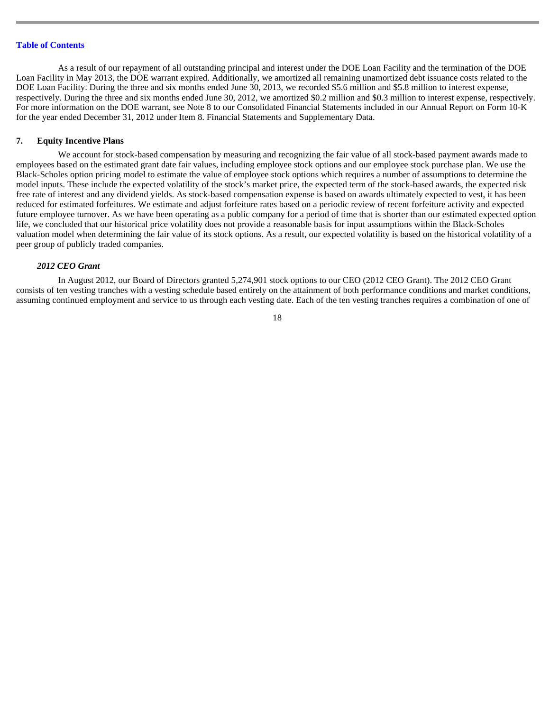As a result of our repayment of all outstanding principal and interest under the DOE Loan Facility and the termination of the DOE Loan Facility in May 2013, the DOE warrant expired. Additionally, we amortized all remaining unamortized debt issuance costs related to the DOE Loan Facility. During the three and six months ended June 30, 2013, we recorded \$5.6 million and \$5.8 million to interest expense, respectively. During the three and six months ended June 30, 2012, we amortized \$0.2 million and \$0.3 million to interest expense, respectively. For more information on the DOE warrant, see Note 8 to our Consolidated Financial Statements included in our Annual Report on Form 10-K for the year ended December 31, 2012 under Item 8. Financial Statements and Supplementary Data.

#### **7. Equity Incentive Plans**

We account for stock-based compensation by measuring and recognizing the fair value of all stock-based payment awards made to employees based on the estimated grant date fair values, including employee stock options and our employee stock purchase plan. We use the Black-Scholes option pricing model to estimate the value of employee stock options which requires a number of assumptions to determine the model inputs. These include the expected volatility of the stock's market price, the expected term of the stock-based awards, the expected risk free rate of interest and any dividend yields. As stock-based compensation expense is based on awards ultimately expected to vest, it has been reduced for estimated forfeitures. We estimate and adjust forfeiture rates based on a periodic review of recent forfeiture activity and expected future employee turnover. As we have been operating as a public company for a period of time that is shorter than our estimated expected option life, we concluded that our historical price volatility does not provide a reasonable basis for input assumptions within the Black-Scholes valuation model when determining the fair value of its stock options. As a result, our expected volatility is based on the historical volatility of a peer group of publicly traded companies.

#### *2012 CEO Grant*

In August 2012, our Board of Directors granted 5,274,901 stock options to our CEO (2012 CEO Grant). The 2012 CEO Grant consists of ten vesting tranches with a vesting schedule based entirely on the attainment of both performance conditions and market conditions, assuming continued employment and service to us through each vesting date. Each of the ten vesting tranches requires a combination of one of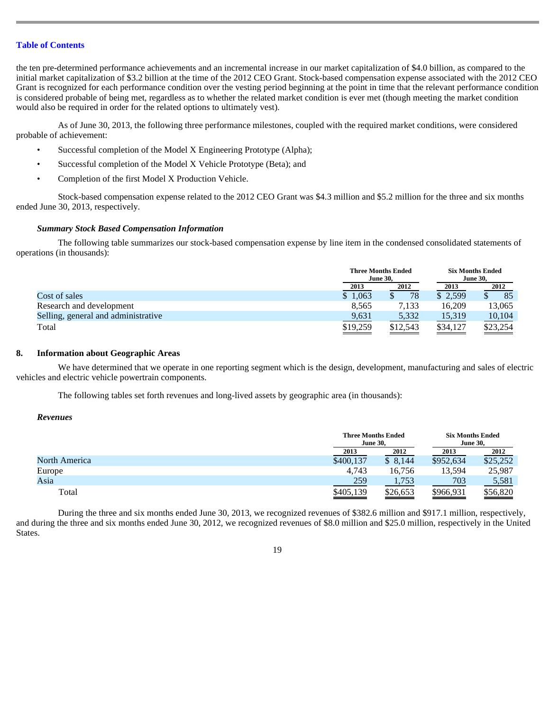the ten pre-determined performance achievements and an incremental increase in our market capitalization of \$4.0 billion, as compared to the initial market capitalization of \$3.2 billion at the time of the 2012 CEO Grant. Stock-based compensation expense associated with the 2012 CEO Grant is recognized for each performance condition over the vesting period beginning at the point in time that the relevant performance condition is considered probable of being met, regardless as to whether the related market condition is ever met (though meeting the market condition would also be required in order for the related options to ultimately vest).

As of June 30, 2013, the following three performance milestones, coupled with the required market conditions, were considered probable of achievement:

- Successful completion of the Model X Engineering Prototype (Alpha);
- Successful completion of the Model X Vehicle Prototype (Beta); and
- Completion of the first Model X Production Vehicle.

Stock-based compensation expense related to the 2012 CEO Grant was \$4.3 million and \$5.2 million for the three and six months ended June 30, 2013, respectively.

#### *Summary Stock Based Compensation Information*

The following table summarizes our stock-based compensation expense by line item in the condensed consolidated statements of operations (in thousands):

|                                     |          | <b>Three Months Ended</b><br><b>June 30.</b> |          | <b>Six Months Ended</b><br><b>June 30.</b> |  |
|-------------------------------------|----------|----------------------------------------------|----------|--------------------------------------------|--|
|                                     | 2013     | 2012                                         | 2013     | 2012                                       |  |
| Cost of sales                       | \$1,063  | 78                                           | \$2.599  | 85                                         |  |
| Research and development            | 8,565    | 7,133                                        | 16.209   | 13,065                                     |  |
| Selling, general and administrative | 9,631    | 5,332                                        | 15,319   | 10,104                                     |  |
| Total                               | \$19,259 | \$12,543                                     | \$34,127 | \$23,254                                   |  |

#### **8. Information about Geographic Areas**

We have determined that we operate in one reporting segment which is the design, development, manufacturing and sales of electric vehicles and electric vehicle powertrain components.

The following tables set forth revenues and long-lived assets by geographic area (in thousands):

#### *Revenues*

|               |           | <b>Three Months Ended</b><br><b>June 30.</b> |           | <b>Six Months Ended</b><br><b>June 30.</b> |  |
|---------------|-----------|----------------------------------------------|-----------|--------------------------------------------|--|
|               | 2013      | 2012                                         | 2013      | 2012                                       |  |
| North America | \$400.137 | \$8,144                                      | \$952,634 | \$25,252                                   |  |
| Europe        | 4.743     | 16.756                                       | 13,594    | 25,987                                     |  |
| Asia          | 259       | 1,753                                        | 703       | 5,581                                      |  |
| Total         | \$405,139 | \$26,653                                     | \$966,931 | \$56,820                                   |  |

During the three and six months ended June 30, 2013, we recognized revenues of \$382.6 million and \$917.1 million, respectively, and during the three and six months ended June 30, 2012, we recognized revenues of \$8.0 million and \$25.0 million, respectively in the United States.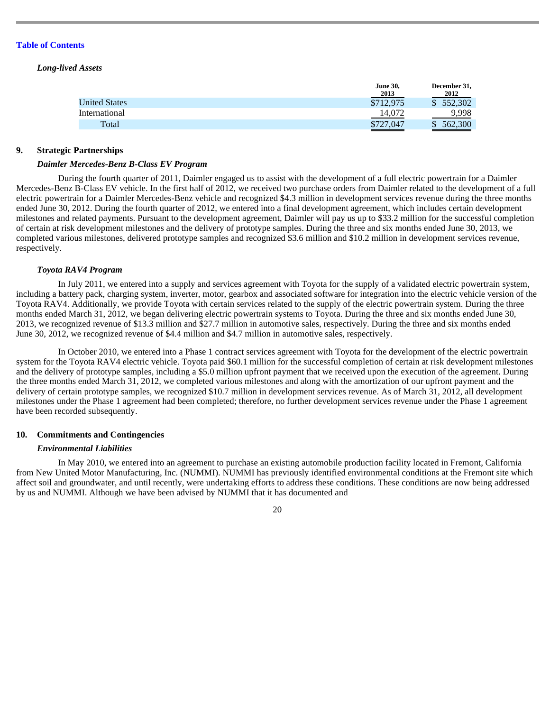*Long-lived Assets* 

|                      | <b>June 30,</b><br>2013 | December 31,<br>2012 |
|----------------------|-------------------------|----------------------|
| <b>United States</b> | \$712,975               | \$ 552,302           |
| International        | 14,072                  | 9.998                |
| Total                | \$727,047               | 562,300              |

#### **9. Strategic Partnerships**

#### *Daimler Mercedes-Benz B-Class EV Program*

During the fourth quarter of 2011, Daimler engaged us to assist with the development of a full electric powertrain for a Daimler Mercedes-Benz B-Class EV vehicle. In the first half of 2012, we received two purchase orders from Daimler related to the development of a full electric powertrain for a Daimler Mercedes-Benz vehicle and recognized \$4.3 million in development services revenue during the three months ended June 30, 2012. During the fourth quarter of 2012, we entered into a final development agreement, which includes certain development milestones and related payments. Pursuant to the development agreement, Daimler will pay us up to \$33.2 million for the successful completion of certain at risk development milestones and the delivery of prototype samples. During the three and six months ended June 30, 2013, we completed various milestones, delivered prototype samples and recognized \$3.6 million and \$10.2 million in development services revenue, respectively.

#### *Toyota RAV4 Program*

In July 2011, we entered into a supply and services agreement with Toyota for the supply of a validated electric powertrain system, including a battery pack, charging system, inverter, motor, gearbox and associated software for integration into the electric vehicle version of the Toyota RAV4. Additionally, we provide Toyota with certain services related to the supply of the electric powertrain system. During the three months ended March 31, 2012, we began delivering electric powertrain systems to Toyota. During the three and six months ended June 30, 2013, we recognized revenue of \$13.3 million and \$27.7 million in automotive sales, respectively. During the three and six months ended June 30, 2012, we recognized revenue of \$4.4 million and \$4.7 million in automotive sales, respectively.

In October 2010, we entered into a Phase 1 contract services agreement with Toyota for the development of the electric powertrain system for the Toyota RAV4 electric vehicle. Toyota paid \$60.1 million for the successful completion of certain at risk development milestones and the delivery of prototype samples, including a \$5.0 million upfront payment that we received upon the execution of the agreement. During the three months ended March 31, 2012, we completed various milestones and along with the amortization of our upfront payment and the delivery of certain prototype samples, we recognized \$10.7 million in development services revenue. As of March 31, 2012, all development milestones under the Phase 1 agreement had been completed; therefore, no further development services revenue under the Phase 1 agreement have been recorded subsequently.

#### **10. Commitments and Contingencies**

#### *Environmental Liabilities*

In May 2010, we entered into an agreement to purchase an existing automobile production facility located in Fremont, California from New United Motor Manufacturing, Inc. (NUMMI). NUMMI has previously identified environmental conditions at the Fremont site which affect soil and groundwater, and until recently, were undertaking efforts to address these conditions. These conditions are now being addressed by us and NUMMI. Although we have been advised by NUMMI that it has documented and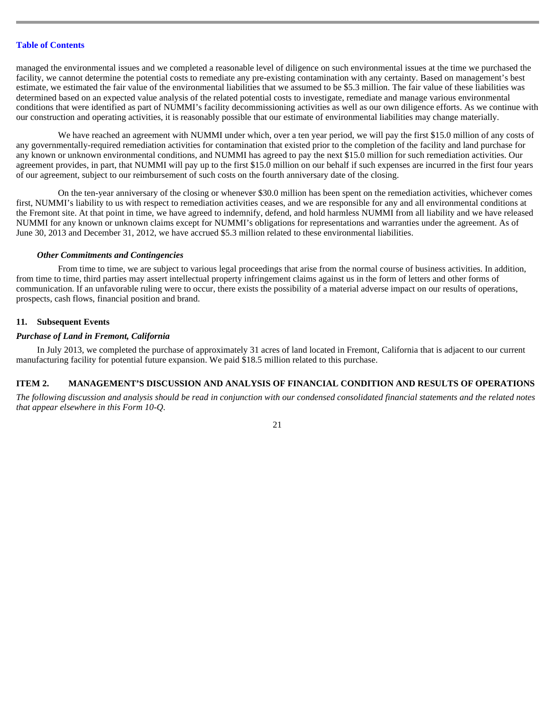managed the environmental issues and we completed a reasonable level of diligence on such environmental issues at the time we purchased the facility, we cannot determine the potential costs to remediate any pre-existing contamination with any certainty. Based on management's best estimate, we estimated the fair value of the environmental liabilities that we assumed to be \$5.3 million. The fair value of these liabilities was determined based on an expected value analysis of the related potential costs to investigate, remediate and manage various environmental conditions that were identified as part of NUMMI's facility decommissioning activities as well as our own diligence efforts. As we continue with our construction and operating activities, it is reasonably possible that our estimate of environmental liabilities may change materially.

We have reached an agreement with NUMMI under which, over a ten year period, we will pay the first \$15.0 million of any costs of any governmentally-required remediation activities for contamination that existed prior to the completion of the facility and land purchase for any known or unknown environmental conditions, and NUMMI has agreed to pay the next \$15.0 million for such remediation activities. Our agreement provides, in part, that NUMMI will pay up to the first \$15.0 million on our behalf if such expenses are incurred in the first four years of our agreement, subject to our reimbursement of such costs on the fourth anniversary date of the closing.

On the ten-year anniversary of the closing or whenever \$30.0 million has been spent on the remediation activities, whichever comes first, NUMMI's liability to us with respect to remediation activities ceases, and we are responsible for any and all environmental conditions at the Fremont site. At that point in time, we have agreed to indemnify, defend, and hold harmless NUMMI from all liability and we have released NUMMI for any known or unknown claims except for NUMMI's obligations for representations and warranties under the agreement. As of June 30, 2013 and December 31, 2012, we have accrued \$5.3 million related to these environmental liabilities.

#### *Other Commitments and Contingencies*

From time to time, we are subject to various legal proceedings that arise from the normal course of business activities. In addition, from time to time, third parties may assert intellectual property infringement claims against us in the form of letters and other forms of communication. If an unfavorable ruling were to occur, there exists the possibility of a material adverse impact on our results of operations, prospects, cash flows, financial position and brand.

#### **11. Subsequent Events**

#### *Purchase of Land in Fremont, California*

In July 2013, we completed the purchase of approximately 31 acres of land located in Fremont, California that is adjacent to our current manufacturing facility for potential future expansion. We paid \$18.5 million related to this purchase.

#### **ITEM 2. MANAGEMENT'S DISCUSSION AND ANALYSIS OF FINANCIAL CONDITION AND RESULTS OF OPERATIONS**

*The following discussion and analysis should be read in conjunction with our condensed consolidated financial statements and the related notes that appear elsewhere in this Form 10-Q.*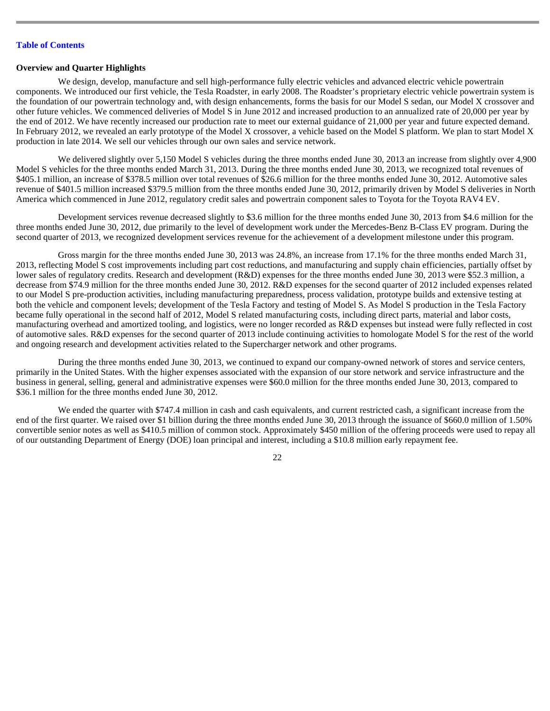#### **Overview and Quarter Highlights**

We design, develop, manufacture and sell high-performance fully electric vehicles and advanced electric vehicle powertrain components. We introduced our first vehicle, the Tesla Roadster, in early 2008. The Roadster's proprietary electric vehicle powertrain system is the foundation of our powertrain technology and, with design enhancements, forms the basis for our Model S sedan, our Model X crossover and other future vehicles. We commenced deliveries of Model S in June 2012 and increased production to an annualized rate of 20,000 per year by the end of 2012. We have recently increased our production rate to meet our external guidance of 21,000 per year and future expected demand. In February 2012, we revealed an early prototype of the Model X crossover, a vehicle based on the Model S platform. We plan to start Model X production in late 2014. We sell our vehicles through our own sales and service network.

We delivered slightly over 5,150 Model S vehicles during the three months ended June 30, 2013 an increase from slightly over 4,900 Model S vehicles for the three months ended March 31, 2013. During the three months ended June 30, 2013, we recognized total revenues of \$405.1 million, an increase of \$378.5 million over total revenues of \$26.6 million for the three months ended June 30, 2012. Automotive sales revenue of \$401.5 million increased \$379.5 million from the three months ended June 30, 2012, primarily driven by Model S deliveries in North America which commenced in June 2012, regulatory credit sales and powertrain component sales to Toyota for the Toyota RAV4 EV.

Development services revenue decreased slightly to \$3.6 million for the three months ended June 30, 2013 from \$4.6 million for the three months ended June 30, 2012, due primarily to the level of development work under the Mercedes-Benz B-Class EV program. During the second quarter of 2013, we recognized development services revenue for the achievement of a development milestone under this program.

Gross margin for the three months ended June 30, 2013 was 24.8%, an increase from 17.1% for the three months ended March 31, 2013, reflecting Model S cost improvements including part cost reductions, and manufacturing and supply chain efficiencies, partially offset by lower sales of regulatory credits. Research and development (R&D) expenses for the three months ended June 30, 2013 were \$52.3 million, a decrease from \$74.9 million for the three months ended June 30, 2012. R&D expenses for the second quarter of 2012 included expenses related to our Model S pre-production activities, including manufacturing preparedness, process validation, prototype builds and extensive testing at both the vehicle and component levels; development of the Tesla Factory and testing of Model S. As Model S production in the Tesla Factory became fully operational in the second half of 2012, Model S related manufacturing costs, including direct parts, material and labor costs, manufacturing overhead and amortized tooling, and logistics, were no longer recorded as R&D expenses but instead were fully reflected in cost of automotive sales. R&D expenses for the second quarter of 2013 include continuing activities to homologate Model S for the rest of the world and ongoing research and development activities related to the Supercharger network and other programs.

During the three months ended June 30, 2013, we continued to expand our company-owned network of stores and service centers, primarily in the United States. With the higher expenses associated with the expansion of our store network and service infrastructure and the business in general, selling, general and administrative expenses were \$60.0 million for the three months ended June 30, 2013, compared to \$36.1 million for the three months ended June 30, 2012.

We ended the quarter with \$747.4 million in cash and cash equivalents, and current restricted cash, a significant increase from the end of the first quarter. We raised over \$1 billion during the three months ended June 30, 2013 through the issuance of \$660.0 million of 1.50% convertible senior notes as well as \$410.5 million of common stock. Approximately \$450 million of the offering proceeds were used to repay all of our outstanding Department of Energy (DOE) loan principal and interest, including a \$10.8 million early repayment fee.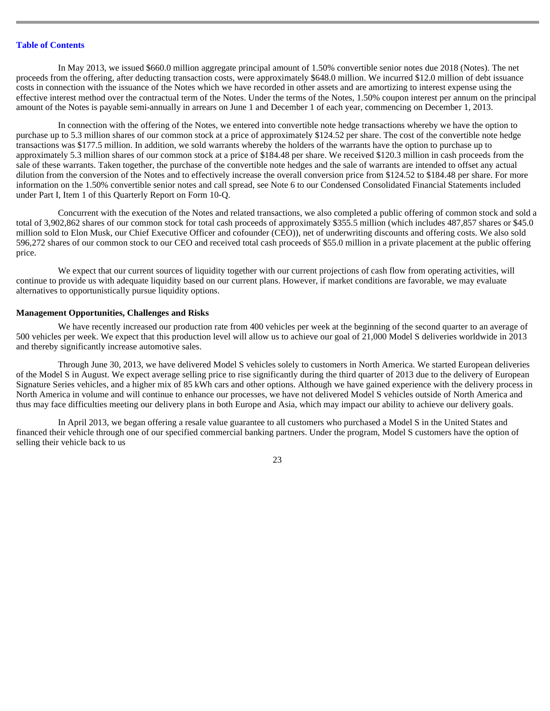In May 2013, we issued \$660.0 million aggregate principal amount of 1.50% convertible senior notes due 2018 (Notes). The net proceeds from the offering, after deducting transaction costs, were approximately \$648.0 million. We incurred \$12.0 million of debt issuance costs in connection with the issuance of the Notes which we have recorded in other assets and are amortizing to interest expense using the effective interest method over the contractual term of the Notes. Under the terms of the Notes, 1.50% coupon interest per annum on the principal amount of the Notes is payable semi-annually in arrears on June 1 and December 1 of each year, commencing on December 1, 2013.

In connection with the offering of the Notes, we entered into convertible note hedge transactions whereby we have the option to purchase up to 5.3 million shares of our common stock at a price of approximately \$124.52 per share. The cost of the convertible note hedge transactions was \$177.5 million. In addition, we sold warrants whereby the holders of the warrants have the option to purchase up to approximately 5.3 million shares of our common stock at a price of \$184.48 per share. We received \$120.3 million in cash proceeds from the sale of these warrants. Taken together, the purchase of the convertible note hedges and the sale of warrants are intended to offset any actual dilution from the conversion of the Notes and to effectively increase the overall conversion price from \$124.52 to \$184.48 per share. For more information on the 1.50% convertible senior notes and call spread, see Note 6 to our Condensed Consolidated Financial Statements included under Part I, Item 1 of this Quarterly Report on Form 10-Q.

Concurrent with the execution of the Notes and related transactions, we also completed a public offering of common stock and sold a total of 3,902,862 shares of our common stock for total cash proceeds of approximately \$355.5 million (which includes 487,857 shares or \$45.0 million sold to Elon Musk, our Chief Executive Officer and cofounder (CEO)), net of underwriting discounts and offering costs. We also sold 596,272 shares of our common stock to our CEO and received total cash proceeds of \$55.0 million in a private placement at the public offering price.

We expect that our current sources of liquidity together with our current projections of cash flow from operating activities, will continue to provide us with adequate liquidity based on our current plans. However, if market conditions are favorable, we may evaluate alternatives to opportunistically pursue liquidity options.

#### **Management Opportunities, Challenges and Risks**

We have recently increased our production rate from 400 vehicles per week at the beginning of the second quarter to an average of 500 vehicles per week. We expect that this production level will allow us to achieve our goal of 21,000 Model S deliveries worldwide in 2013 and thereby significantly increase automotive sales.

Through June 30, 2013, we have delivered Model S vehicles solely to customers in North America. We started European deliveries of the Model S in August. We expect average selling price to rise significantly during the third quarter of 2013 due to the delivery of European Signature Series vehicles, and a higher mix of 85 kWh cars and other options. Although we have gained experience with the delivery process in North America in volume and will continue to enhance our processes, we have not delivered Model S vehicles outside of North America and thus may face difficulties meeting our delivery plans in both Europe and Asia, which may impact our ability to achieve our delivery goals.

In April 2013, we began offering a resale value guarantee to all customers who purchased a Model S in the United States and financed their vehicle through one of our specified commercial banking partners. Under the program, Model S customers have the option of selling their vehicle back to us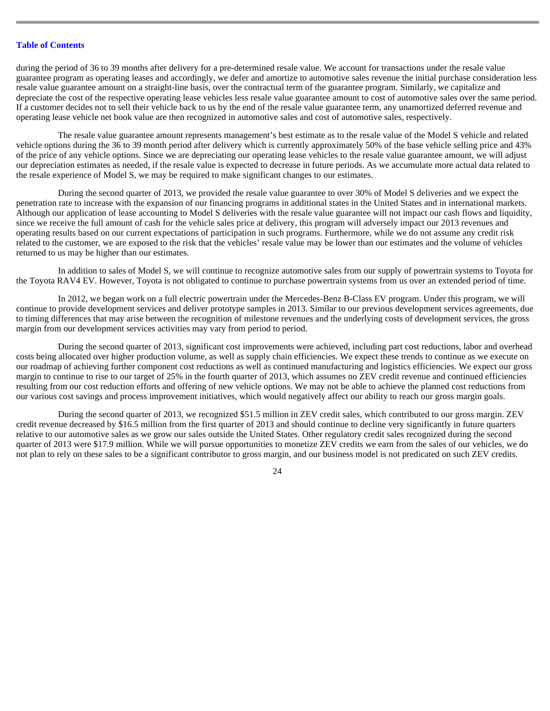during the period of 36 to 39 months after delivery for a pre-determined resale value. We account for transactions under the resale value guarantee program as operating leases and accordingly, we defer and amortize to automotive sales revenue the initial purchase consideration less resale value guarantee amount on a straight-line basis, over the contractual term of the guarantee program. Similarly, we capitalize and depreciate the cost of the respective operating lease vehicles less resale value guarantee amount to cost of automotive sales over the same period. If a customer decides not to sell their vehicle back to us by the end of the resale value guarantee term, any unamortized deferred revenue and operating lease vehicle net book value are then recognized in automotive sales and cost of automotive sales, respectively.

The resale value guarantee amount represents management's best estimate as to the resale value of the Model S vehicle and related vehicle options during the 36 to 39 month period after delivery which is currently approximately 50% of the base vehicle selling price and 43% of the price of any vehicle options. Since we are depreciating our operating lease vehicles to the resale value guarantee amount, we will adjust our depreciation estimates as needed, if the resale value is expected to decrease in future periods. As we accumulate more actual data related to the resale experience of Model S, we may be required to make significant changes to our estimates.

During the second quarter of 2013, we provided the resale value guarantee to over 30% of Model S deliveries and we expect the penetration rate to increase with the expansion of our financing programs in additional states in the United States and in international markets. Although our application of lease accounting to Model S deliveries with the resale value guarantee will not impact our cash flows and liquidity, since we receive the full amount of cash for the vehicle sales price at delivery, this program will adversely impact our 2013 revenues and operating results based on our current expectations of participation in such programs. Furthermore, while we do not assume any credit risk related to the customer, we are exposed to the risk that the vehicles' resale value may be lower than our estimates and the volume of vehicles returned to us may be higher than our estimates.

In addition to sales of Model S, we will continue to recognize automotive sales from our supply of powertrain systems to Toyota for the Toyota RAV4 EV. However, Toyota is not obligated to continue to purchase powertrain systems from us over an extended period of time.

In 2012, we began work on a full electric powertrain under the Mercedes-Benz B-Class EV program. Under this program, we will continue to provide development services and deliver prototype samples in 2013. Similar to our previous development services agreements, due to timing differences that may arise between the recognition of milestone revenues and the underlying costs of development services, the gross margin from our development services activities may vary from period to period.

During the second quarter of 2013, significant cost improvements were achieved, including part cost reductions, labor and overhead costs being allocated over higher production volume, as well as supply chain efficiencies. We expect these trends to continue as we execute on our roadmap of achieving further component cost reductions as well as continued manufacturing and logistics efficiencies. We expect our gross margin to continue to rise to our target of 25% in the fourth quarter of 2013, which assumes no ZEV credit revenue and continued efficiencies resulting from our cost reduction efforts and offering of new vehicle options. We may not be able to achieve the planned cost reductions from our various cost savings and process improvement initiatives, which would negatively affect our ability to reach our gross margin goals.

During the second quarter of 2013, we recognized \$51.5 million in ZEV credit sales, which contributed to our gross margin. ZEV credit revenue decreased by \$16.5 million from the first quarter of 2013 and should continue to decline very significantly in future quarters relative to our automotive sales as we grow our sales outside the United States. Other regulatory credit sales recognized during the second quarter of 2013 were \$17.9 million. While we will pursue opportunities to monetize ZEV credits we earn from the sales of our vehicles, we do not plan to rely on these sales to be a significant contributor to gross margin, and our business model is not predicated on such ZEV credits.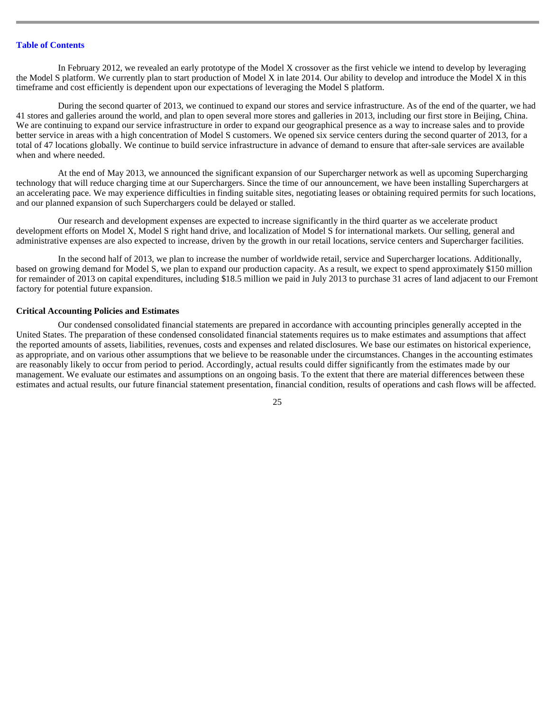In February 2012, we revealed an early prototype of the Model X crossover as the first vehicle we intend to develop by leveraging the Model S platform. We currently plan to start production of Model X in late 2014. Our ability to develop and introduce the Model X in this timeframe and cost efficiently is dependent upon our expectations of leveraging the Model S platform.

During the second quarter of 2013, we continued to expand our stores and service infrastructure. As of the end of the quarter, we had 41 stores and galleries around the world, and plan to open several more stores and galleries in 2013, including our first store in Beijing, China. We are continuing to expand our service infrastructure in order to expand our geographical presence as a way to increase sales and to provide better service in areas with a high concentration of Model S customers. We opened six service centers during the second quarter of 2013, for a total of 47 locations globally. We continue to build service infrastructure in advance of demand to ensure that after-sale services are available when and where needed.

At the end of May 2013, we announced the significant expansion of our Supercharger network as well as upcoming Supercharging technology that will reduce charging time at our Superchargers. Since the time of our announcement, we have been installing Superchargers at an accelerating pace. We may experience difficulties in finding suitable sites, negotiating leases or obtaining required permits for such locations, and our planned expansion of such Superchargers could be delayed or stalled.

Our research and development expenses are expected to increase significantly in the third quarter as we accelerate product development efforts on Model X, Model S right hand drive, and localization of Model S for international markets. Our selling, general and administrative expenses are also expected to increase, driven by the growth in our retail locations, service centers and Supercharger facilities.

In the second half of 2013, we plan to increase the number of worldwide retail, service and Supercharger locations. Additionally, based on growing demand for Model S, we plan to expand our production capacity. As a result, we expect to spend approximately \$150 million for remainder of 2013 on capital expenditures, including \$18.5 million we paid in July 2013 to purchase 31 acres of land adjacent to our Fremont factory for potential future expansion.

#### **Critical Accounting Policies and Estimates**

Our condensed consolidated financial statements are prepared in accordance with accounting principles generally accepted in the United States. The preparation of these condensed consolidated financial statements requires us to make estimates and assumptions that affect the reported amounts of assets, liabilities, revenues, costs and expenses and related disclosures. We base our estimates on historical experience, as appropriate, and on various other assumptions that we believe to be reasonable under the circumstances. Changes in the accounting estimates are reasonably likely to occur from period to period. Accordingly, actual results could differ significantly from the estimates made by our management. We evaluate our estimates and assumptions on an ongoing basis. To the extent that there are material differences between these estimates and actual results, our future financial statement presentation, financial condition, results of operations and cash flows will be affected.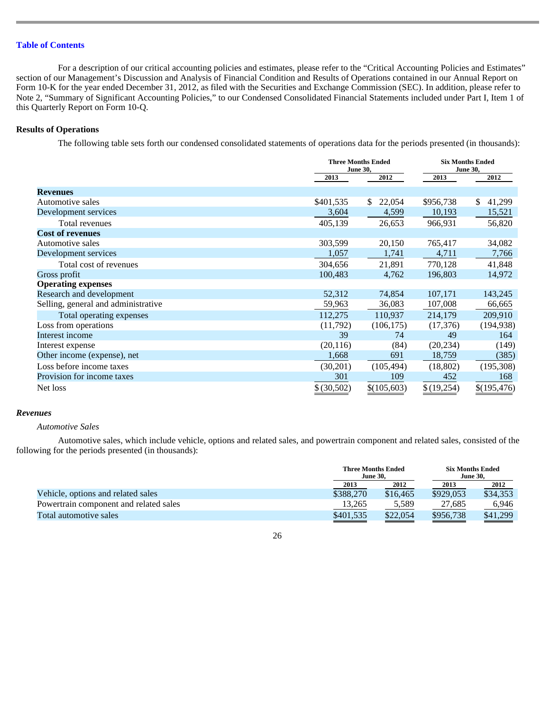For a description of our critical accounting policies and estimates, please refer to the "Critical Accounting Policies and Estimates" section of our Management's Discussion and Analysis of Financial Condition and Results of Operations contained in our Annual Report on Form 10-K for the year ended December 31, 2012, as filed with the Securities and Exchange Commission (SEC). In addition, please refer to Note 2, "Summary of Significant Accounting Policies," to our Condensed Consolidated Financial Statements included under Part I, Item 1 of this Quarterly Report on Form 10-Q.

#### **Results of Operations**

The following table sets forth our condensed consolidated statements of operations data for the periods presented (in thousands):

|                                     |             | <b>Three Months Ended</b><br><b>June 30.</b> |            | <b>Six Months Ended</b><br><b>June 30.</b> |  |
|-------------------------------------|-------------|----------------------------------------------|------------|--------------------------------------------|--|
|                                     | 2013        | 2012                                         | 2013       | 2012                                       |  |
| <b>Revenues</b>                     |             |                                              |            |                                            |  |
| Automotive sales                    | \$401,535   | 22,054<br>\$                                 | \$956,738  | \$<br>41,299                               |  |
| Development services                | 3,604       | 4,599                                        | 10,193     | 15,521                                     |  |
| Total revenues                      | 405,139     | 26,653                                       | 966,931    | 56,820                                     |  |
| <b>Cost of revenues</b>             |             |                                              |            |                                            |  |
| Automotive sales                    | 303,599     | 20,150                                       | 765,417    | 34,082                                     |  |
| Development services                | 1,057       | 1,741                                        | 4,711      | 7,766                                      |  |
| Total cost of revenues              | 304,656     | 21,891                                       | 770,128    | 41,848                                     |  |
| Gross profit                        | 100,483     | 4,762                                        | 196,803    | 14,972                                     |  |
| <b>Operating expenses</b>           |             |                                              |            |                                            |  |
| Research and development            | 52,312      | 74,854                                       | 107,171    | 143,245                                    |  |
| Selling, general and administrative | 59,963      | 36,083                                       | 107,008    | 66,665                                     |  |
| Total operating expenses            | 112,275     | 110,937                                      | 214,179    | 209,910                                    |  |
| Loss from operations                | (11,792)    | (106, 175)                                   | (17, 376)  | (194, 938)                                 |  |
| Interest income                     | 39          | 74                                           | 49         | 164                                        |  |
| Interest expense                    | (20, 116)   | (84)                                         | (20, 234)  | (149)                                      |  |
| Other income (expense), net         | 1,668       | 691                                          | 18,759     | (385)                                      |  |
| Loss before income taxes            | (30,201)    | (105, 494)                                   | (18, 802)  | (195, 308)                                 |  |
| Provision for income taxes          | 301         | 109                                          | 452        | 168                                        |  |
| Net loss                            | \$ (30,502) | \$(105,603)                                  | \$(19,254) | \$(195,476)                                |  |

#### *Revenues*

#### *Automotive Sales*

Automotive sales, which include vehicle, options and related sales, and powertrain component and related sales, consisted of the following for the periods presented (in thousands):

|                                        |           | <b>Three Months Ended</b><br><b>June 30.</b> |           | <b>Six Months Ended</b><br><b>June 30.</b> |  |
|----------------------------------------|-----------|----------------------------------------------|-----------|--------------------------------------------|--|
|                                        | 2013      | 2012                                         | 2013      | 2012                                       |  |
| Vehicle, options and related sales     | \$388,270 | \$16,465                                     | \$929,053 | \$34,353                                   |  |
| Powertrain component and related sales | 13.265    | 5,589                                        | 27.685    | 6.946                                      |  |
| Total automotive sales                 | \$401.535 | \$22,054                                     | \$956.738 | \$41,299                                   |  |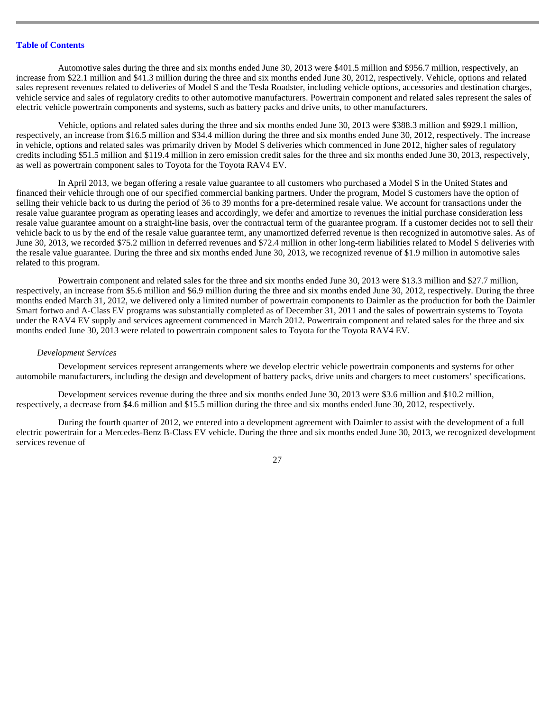Automotive sales during the three and six months ended June 30, 2013 were \$401.5 million and \$956.7 million, respectively, an increase from \$22.1 million and \$41.3 million during the three and six months ended June 30, 2012, respectively. Vehicle, options and related sales represent revenues related to deliveries of Model S and the Tesla Roadster, including vehicle options, accessories and destination charges, vehicle service and sales of regulatory credits to other automotive manufacturers. Powertrain component and related sales represent the sales of electric vehicle powertrain components and systems, such as battery packs and drive units, to other manufacturers.

Vehicle, options and related sales during the three and six months ended June 30, 2013 were \$388.3 million and \$929.1 million, respectively, an increase from \$16.5 million and \$34.4 million during the three and six months ended June 30, 2012, respectively. The increase in vehicle, options and related sales was primarily driven by Model S deliveries which commenced in June 2012, higher sales of regulatory credits including \$51.5 million and \$119.4 million in zero emission credit sales for the three and six months ended June 30, 2013, respectively, as well as powertrain component sales to Toyota for the Toyota RAV4 EV.

In April 2013, we began offering a resale value guarantee to all customers who purchased a Model S in the United States and financed their vehicle through one of our specified commercial banking partners. Under the program, Model S customers have the option of selling their vehicle back to us during the period of 36 to 39 months for a pre-determined resale value. We account for transactions under the resale value guarantee program as operating leases and accordingly, we defer and amortize to revenues the initial purchase consideration less resale value guarantee amount on a straight-line basis, over the contractual term of the guarantee program. If a customer decides not to sell their vehicle back to us by the end of the resale value guarantee term, any unamortized deferred revenue is then recognized in automotive sales. As of June 30, 2013, we recorded \$75.2 million in deferred revenues and \$72.4 million in other long-term liabilities related to Model S deliveries with the resale value guarantee. During the three and six months ended June 30, 2013, we recognized revenue of \$1.9 million in automotive sales related to this program.

Powertrain component and related sales for the three and six months ended June 30, 2013 were \$13.3 million and \$27.7 million, respectively, an increase from \$5.6 million and \$6.9 million during the three and six months ended June 30, 2012, respectively. During the three months ended March 31, 2012, we delivered only a limited number of powertrain components to Daimler as the production for both the Daimler Smart fortwo and A-Class EV programs was substantially completed as of December 31, 2011 and the sales of powertrain systems to Toyota under the RAV4 EV supply and services agreement commenced in March 2012. Powertrain component and related sales for the three and six months ended June 30, 2013 were related to powertrain component sales to Toyota for the Toyota RAV4 EV.

#### *Development Services*

Development services represent arrangements where we develop electric vehicle powertrain components and systems for other automobile manufacturers, including the design and development of battery packs, drive units and chargers to meet customers' specifications.

Development services revenue during the three and six months ended June 30, 2013 were \$3.6 million and \$10.2 million, respectively, a decrease from \$4.6 million and \$15.5 million during the three and six months ended June 30, 2012, respectively.

During the fourth quarter of 2012, we entered into a development agreement with Daimler to assist with the development of a full electric powertrain for a Mercedes-Benz B-Class EV vehicle. During the three and six months ended June 30, 2013, we recognized development services revenue of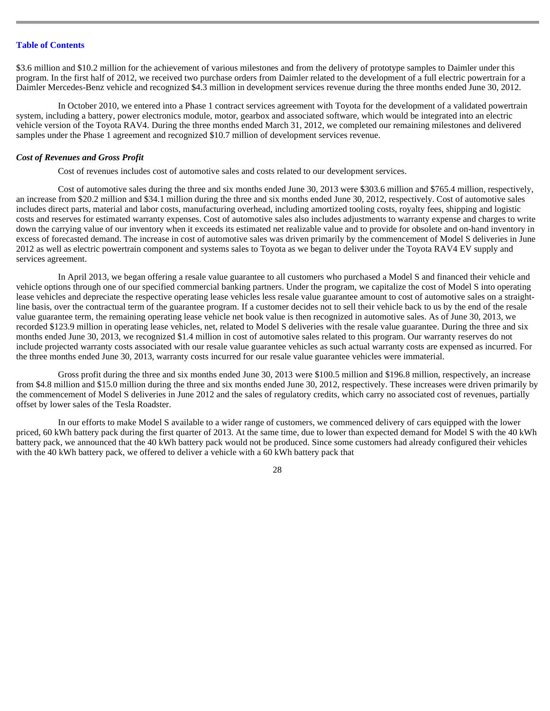\$3.6 million and \$10.2 million for the achievement of various milestones and from the delivery of prototype samples to Daimler under this program. In the first half of 2012, we received two purchase orders from Daimler related to the development of a full electric powertrain for a Daimler Mercedes-Benz vehicle and recognized \$4.3 million in development services revenue during the three months ended June 30, 2012.

In October 2010, we entered into a Phase 1 contract services agreement with Toyota for the development of a validated powertrain system, including a battery, power electronics module, motor, gearbox and associated software, which would be integrated into an electric vehicle version of the Toyota RAV4. During the three months ended March 31, 2012, we completed our remaining milestones and delivered samples under the Phase 1 agreement and recognized \$10.7 million of development services revenue.

#### *Cost of Revenues and Gross Profit*

Cost of revenues includes cost of automotive sales and costs related to our development services.

Cost of automotive sales during the three and six months ended June 30, 2013 were \$303.6 million and \$765.4 million, respectively, an increase from \$20.2 million and \$34.1 million during the three and six months ended June 30, 2012, respectively. Cost of automotive sales includes direct parts, material and labor costs, manufacturing overhead, including amortized tooling costs, royalty fees, shipping and logistic costs and reserves for estimated warranty expenses. Cost of automotive sales also includes adjustments to warranty expense and charges to write down the carrying value of our inventory when it exceeds its estimated net realizable value and to provide for obsolete and on-hand inventory in excess of forecasted demand. The increase in cost of automotive sales was driven primarily by the commencement of Model S deliveries in June 2012 as well as electric powertrain component and systems sales to Toyota as we began to deliver under the Toyota RAV4 EV supply and services agreement.

In April 2013, we began offering a resale value guarantee to all customers who purchased a Model S and financed their vehicle and vehicle options through one of our specified commercial banking partners. Under the program, we capitalize the cost of Model S into operating lease vehicles and depreciate the respective operating lease vehicles less resale value guarantee amount to cost of automotive sales on a straightline basis, over the contractual term of the guarantee program. If a customer decides not to sell their vehicle back to us by the end of the resale value guarantee term, the remaining operating lease vehicle net book value is then recognized in automotive sales. As of June 30, 2013, we recorded \$123.9 million in operating lease vehicles, net, related to Model S deliveries with the resale value guarantee. During the three and six months ended June 30, 2013, we recognized \$1.4 million in cost of automotive sales related to this program. Our warranty reserves do not include projected warranty costs associated with our resale value guarantee vehicles as such actual warranty costs are expensed as incurred. For the three months ended June 30, 2013, warranty costs incurred for our resale value guarantee vehicles were immaterial.

Gross profit during the three and six months ended June 30, 2013 were \$100.5 million and \$196.8 million, respectively, an increase from \$4.8 million and \$15.0 million during the three and six months ended June 30, 2012, respectively. These increases were driven primarily by the commencement of Model S deliveries in June 2012 and the sales of regulatory credits, which carry no associated cost of revenues, partially offset by lower sales of the Tesla Roadster.

In our efforts to make Model S available to a wider range of customers, we commenced delivery of cars equipped with the lower priced, 60 kWh battery pack during the first quarter of 2013. At the same time, due to lower than expected demand for Model S with the 40 kWh battery pack, we announced that the 40 kWh battery pack would not be produced. Since some customers had already configured their vehicles with the 40 kWh battery pack, we offered to deliver a vehicle with a 60 kWh battery pack that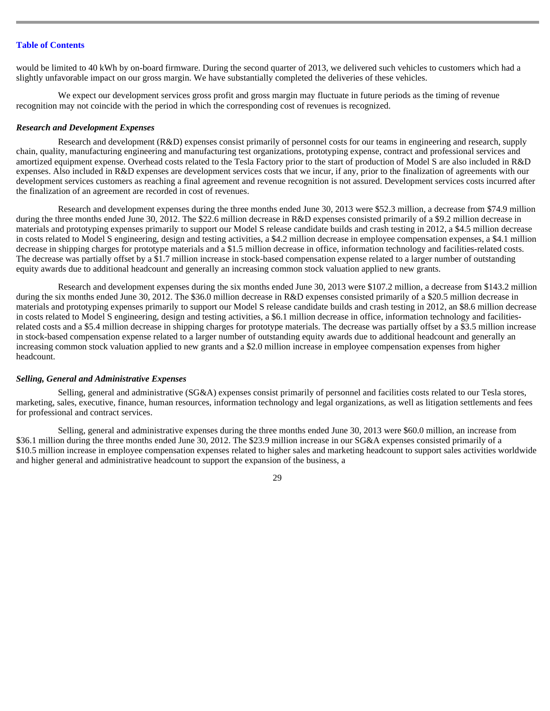would be limited to 40 kWh by on-board firmware. During the second quarter of 2013, we delivered such vehicles to customers which had a slightly unfavorable impact on our gross margin. We have substantially completed the deliveries of these vehicles.

We expect our development services gross profit and gross margin may fluctuate in future periods as the timing of revenue recognition may not coincide with the period in which the corresponding cost of revenues is recognized.

#### *Research and Development Expenses*

Research and development (R&D) expenses consist primarily of personnel costs for our teams in engineering and research, supply chain, quality, manufacturing engineering and manufacturing test organizations, prototyping expense, contract and professional services and amortized equipment expense. Overhead costs related to the Tesla Factory prior to the start of production of Model S are also included in R&D expenses. Also included in R&D expenses are development services costs that we incur, if any, prior to the finalization of agreements with our development services customers as reaching a final agreement and revenue recognition is not assured. Development services costs incurred after the finalization of an agreement are recorded in cost of revenues.

Research and development expenses during the three months ended June 30, 2013 were \$52.3 million, a decrease from \$74.9 million during the three months ended June 30, 2012. The \$22.6 million decrease in R&D expenses consisted primarily of a \$9.2 million decrease in materials and prototyping expenses primarily to support our Model S release candidate builds and crash testing in 2012, a \$4.5 million decrease in costs related to Model S engineering, design and testing activities, a \$4.2 million decrease in employee compensation expenses, a \$4.1 million decrease in shipping charges for prototype materials and a \$1.5 million decrease in office, information technology and facilities-related costs. The decrease was partially offset by a \$1.7 million increase in stock-based compensation expense related to a larger number of outstanding equity awards due to additional headcount and generally an increasing common stock valuation applied to new grants.

Research and development expenses during the six months ended June 30, 2013 were \$107.2 million, a decrease from \$143.2 million during the six months ended June 30, 2012. The \$36.0 million decrease in R&D expenses consisted primarily of a \$20.5 million decrease in materials and prototyping expenses primarily to support our Model S release candidate builds and crash testing in 2012, an \$8.6 million decrease in costs related to Model S engineering, design and testing activities, a \$6.1 million decrease in office, information technology and facilitiesrelated costs and a \$5.4 million decrease in shipping charges for prototype materials. The decrease was partially offset by a \$3.5 million increase in stock-based compensation expense related to a larger number of outstanding equity awards due to additional headcount and generally an increasing common stock valuation applied to new grants and a \$2.0 million increase in employee compensation expenses from higher headcount.

#### *Selling, General and Administrative Expenses*

Selling, general and administrative (SG&A) expenses consist primarily of personnel and facilities costs related to our Tesla stores, marketing, sales, executive, finance, human resources, information technology and legal organizations, as well as litigation settlements and fees for professional and contract services.

Selling, general and administrative expenses during the three months ended June 30, 2013 were \$60.0 million, an increase from \$36.1 million during the three months ended June 30, 2012. The \$23.9 million increase in our SG&A expenses consisted primarily of a \$10.5 million increase in employee compensation expenses related to higher sales and marketing headcount to support sales activities worldwide and higher general and administrative headcount to support the expansion of the business, a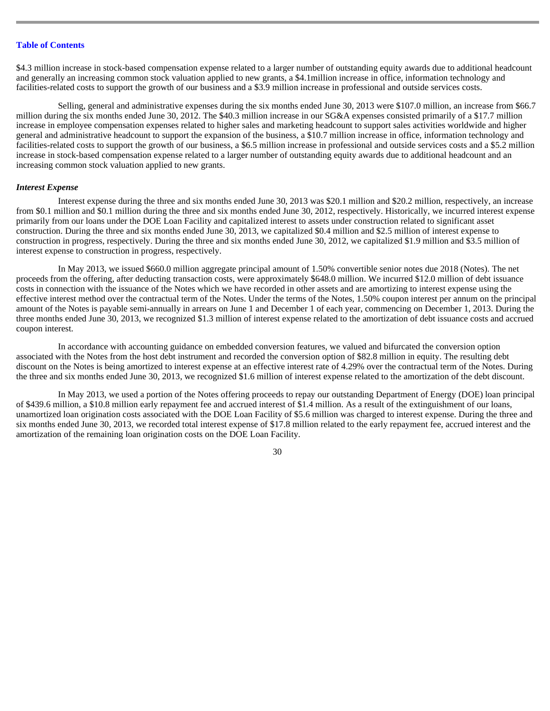\$4.3 million increase in stock-based compensation expense related to a larger number of outstanding equity awards due to additional headcount and generally an increasing common stock valuation applied to new grants, a \$4.1million increase in office, information technology and facilities-related costs to support the growth of our business and a \$3.9 million increase in professional and outside services costs.

Selling, general and administrative expenses during the six months ended June 30, 2013 were \$107.0 million, an increase from \$66.7 million during the six months ended June 30, 2012. The \$40.3 million increase in our SG&A expenses consisted primarily of a \$17.7 million increase in employee compensation expenses related to higher sales and marketing headcount to support sales activities worldwide and higher general and administrative headcount to support the expansion of the business, a \$10.7 million increase in office, information technology and facilities-related costs to support the growth of our business, a \$6.5 million increase in professional and outside services costs and a \$5.2 million increase in stock-based compensation expense related to a larger number of outstanding equity awards due to additional headcount and an increasing common stock valuation applied to new grants.

#### *Interest Expense*

Interest expense during the three and six months ended June 30, 2013 was \$20.1 million and \$20.2 million, respectively, an increase from \$0.1 million and \$0.1 million during the three and six months ended June 30, 2012, respectively. Historically, we incurred interest expense primarily from our loans under the DOE Loan Facility and capitalized interest to assets under construction related to significant asset construction. During the three and six months ended June 30, 2013, we capitalized \$0.4 million and \$2.5 million of interest expense to construction in progress, respectively. During the three and six months ended June 30, 2012, we capitalized \$1.9 million and \$3.5 million of interest expense to construction in progress, respectively.

In May 2013, we issued \$660.0 million aggregate principal amount of 1.50% convertible senior notes due 2018 (Notes). The net proceeds from the offering, after deducting transaction costs, were approximately \$648.0 million. We incurred \$12.0 million of debt issuance costs in connection with the issuance of the Notes which we have recorded in other assets and are amortizing to interest expense using the effective interest method over the contractual term of the Notes. Under the terms of the Notes, 1.50% coupon interest per annum on the principal amount of the Notes is payable semi-annually in arrears on June 1 and December 1 of each year, commencing on December 1, 2013. During the three months ended June 30, 2013, we recognized \$1.3 million of interest expense related to the amortization of debt issuance costs and accrued coupon interest.

In accordance with accounting guidance on embedded conversion features, we valued and bifurcated the conversion option associated with the Notes from the host debt instrument and recorded the conversion option of \$82.8 million in equity. The resulting debt discount on the Notes is being amortized to interest expense at an effective interest rate of 4.29% over the contractual term of the Notes. During the three and six months ended June 30, 2013, we recognized \$1.6 million of interest expense related to the amortization of the debt discount.

In May 2013, we used a portion of the Notes offering proceeds to repay our outstanding Department of Energy (DOE) loan principal of \$439.6 million, a \$10.8 million early repayment fee and accrued interest of \$1.4 million. As a result of the extinguishment of our loans, unamortized loan origination costs associated with the DOE Loan Facility of \$5.6 million was charged to interest expense. During the three and six months ended June 30, 2013, we recorded total interest expense of \$17.8 million related to the early repayment fee, accrued interest and the amortization of the remaining loan origination costs on the DOE Loan Facility.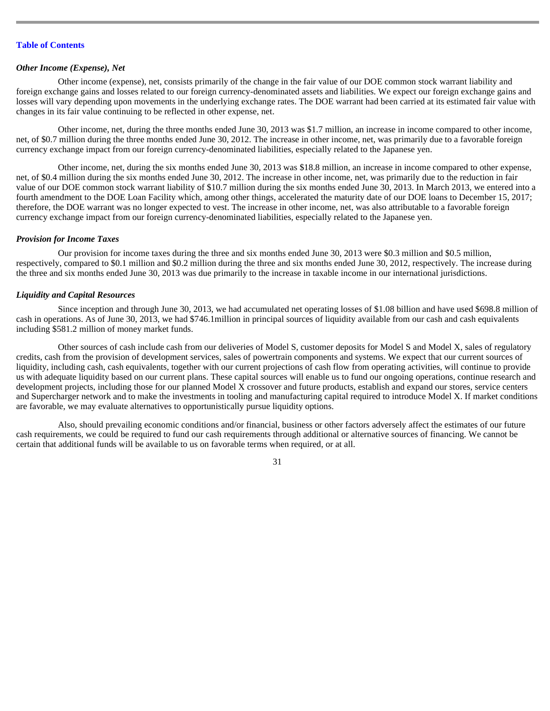#### *Other Income (Expense), Net*

Other income (expense), net, consists primarily of the change in the fair value of our DOE common stock warrant liability and foreign exchange gains and losses related to our foreign currency-denominated assets and liabilities. We expect our foreign exchange gains and losses will vary depending upon movements in the underlying exchange rates. The DOE warrant had been carried at its estimated fair value with changes in its fair value continuing to be reflected in other expense, net.

Other income, net, during the three months ended June 30, 2013 was \$1.7 million, an increase in income compared to other income, net, of \$0.7 million during the three months ended June 30, 2012. The increase in other income, net, was primarily due to a favorable foreign currency exchange impact from our foreign currency-denominated liabilities, especially related to the Japanese yen.

Other income, net, during the six months ended June 30, 2013 was \$18.8 million, an increase in income compared to other expense, net, of \$0.4 million during the six months ended June 30, 2012. The increase in other income, net, was primarily due to the reduction in fair value of our DOE common stock warrant liability of \$10.7 million during the six months ended June 30, 2013. In March 2013, we entered into a fourth amendment to the DOE Loan Facility which, among other things, accelerated the maturity date of our DOE loans to December 15, 2017; therefore, the DOE warrant was no longer expected to vest. The increase in other income, net, was also attributable to a favorable foreign currency exchange impact from our foreign currency-denominated liabilities, especially related to the Japanese yen.

#### *Provision for Income Taxes*

Our provision for income taxes during the three and six months ended June 30, 2013 were \$0.3 million and \$0.5 million, respectively, compared to \$0.1 million and \$0.2 million during the three and six months ended June 30, 2012, respectively. The increase during the three and six months ended June 30, 2013 was due primarily to the increase in taxable income in our international jurisdictions.

#### *Liquidity and Capital Resources*

Since inception and through June 30, 2013, we had accumulated net operating losses of \$1.08 billion and have used \$698.8 million of cash in operations. As of June 30, 2013, we had \$746.1million in principal sources of liquidity available from our cash and cash equivalents including \$581.2 million of money market funds.

Other sources of cash include cash from our deliveries of Model S, customer deposits for Model S and Model X, sales of regulatory credits, cash from the provision of development services, sales of powertrain components and systems. We expect that our current sources of liquidity, including cash, cash equivalents, together with our current projections of cash flow from operating activities, will continue to provide us with adequate liquidity based on our current plans. These capital sources will enable us to fund our ongoing operations, continue research and development projects, including those for our planned Model X crossover and future products, establish and expand our stores, service centers and Supercharger network and to make the investments in tooling and manufacturing capital required to introduce Model X. If market conditions are favorable, we may evaluate alternatives to opportunistically pursue liquidity options.

Also, should prevailing economic conditions and/or financial, business or other factors adversely affect the estimates of our future cash requirements, we could be required to fund our cash requirements through additional or alternative sources of financing. We cannot be certain that additional funds will be available to us on favorable terms when required, or at all.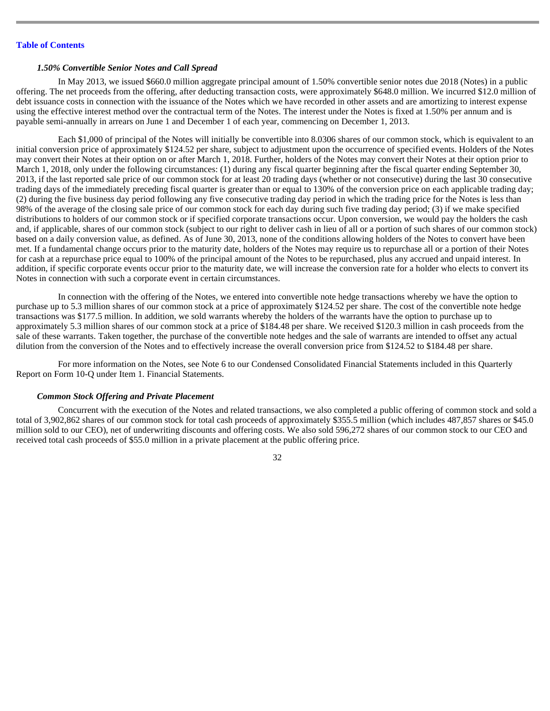#### *1.50% Convertible Senior Notes and Call Spread*

In May 2013, we issued \$660.0 million aggregate principal amount of 1.50% convertible senior notes due 2018 (Notes) in a public offering. The net proceeds from the offering, after deducting transaction costs, were approximately \$648.0 million. We incurred \$12.0 million of debt issuance costs in connection with the issuance of the Notes which we have recorded in other assets and are amortizing to interest expense using the effective interest method over the contractual term of the Notes. The interest under the Notes is fixed at 1.50% per annum and is payable semi-annually in arrears on June 1 and December 1 of each year, commencing on December 1, 2013.

Each \$1,000 of principal of the Notes will initially be convertible into 8.0306 shares of our common stock, which is equivalent to an initial conversion price of approximately \$124.52 per share, subject to adjustment upon the occurrence of specified events. Holders of the Notes may convert their Notes at their option on or after March 1, 2018. Further, holders of the Notes may convert their Notes at their option prior to March 1, 2018, only under the following circumstances: (1) during any fiscal quarter beginning after the fiscal quarter ending September 30, 2013, if the last reported sale price of our common stock for at least 20 trading days (whether or not consecutive) during the last 30 consecutive trading days of the immediately preceding fiscal quarter is greater than or equal to 130% of the conversion price on each applicable trading day; (2) during the five business day period following any five consecutive trading day period in which the trading price for the Notes is less than 98% of the average of the closing sale price of our common stock for each day during such five trading day period; (3) if we make specified distributions to holders of our common stock or if specified corporate transactions occur. Upon conversion, we would pay the holders the cash and, if applicable, shares of our common stock (subject to our right to deliver cash in lieu of all or a portion of such shares of our common stock) based on a daily conversion value, as defined. As of June 30, 2013, none of the conditions allowing holders of the Notes to convert have been met. If a fundamental change occurs prior to the maturity date, holders of the Notes may require us to repurchase all or a portion of their Notes for cash at a repurchase price equal to 100% of the principal amount of the Notes to be repurchased, plus any accrued and unpaid interest. In addition, if specific corporate events occur prior to the maturity date, we will increase the conversion rate for a holder who elects to convert its Notes in connection with such a corporate event in certain circumstances.

In connection with the offering of the Notes, we entered into convertible note hedge transactions whereby we have the option to purchase up to 5.3 million shares of our common stock at a price of approximately \$124.52 per share. The cost of the convertible note hedge transactions was \$177.5 million. In addition, we sold warrants whereby the holders of the warrants have the option to purchase up to approximately 5.3 million shares of our common stock at a price of \$184.48 per share. We received \$120.3 million in cash proceeds from the sale of these warrants. Taken together, the purchase of the convertible note hedges and the sale of warrants are intended to offset any actual dilution from the conversion of the Notes and to effectively increase the overall conversion price from \$124.52 to \$184.48 per share.

For more information on the Notes, see Note 6 to our Condensed Consolidated Financial Statements included in this Quarterly Report on Form 10-Q under Item 1. Financial Statements.

#### *Common Stock Offering and Private Placement*

Concurrent with the execution of the Notes and related transactions, we also completed a public offering of common stock and sold a total of 3,902,862 shares of our common stock for total cash proceeds of approximately \$355.5 million (which includes 487,857 shares or \$45.0 million sold to our CEO), net of underwriting discounts and offering costs. We also sold 596,272 shares of our common stock to our CEO and received total cash proceeds of \$55.0 million in a private placement at the public offering price.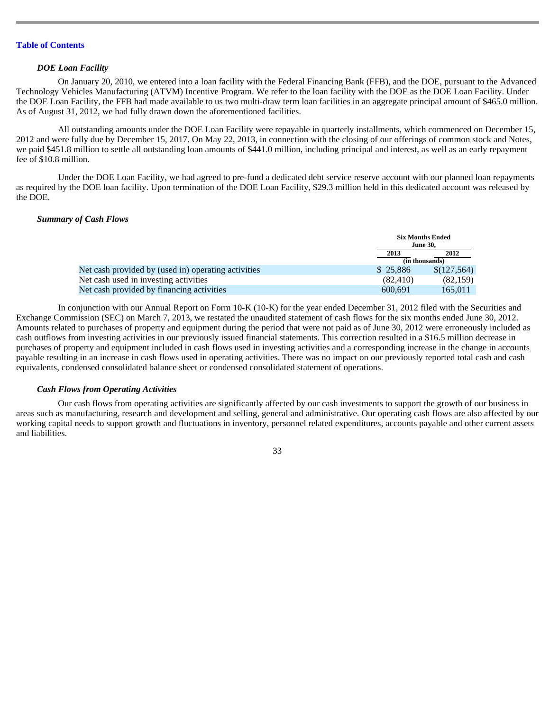#### *DOE Loan Facility*

On January 20, 2010, we entered into a loan facility with the Federal Financing Bank (FFB), and the DOE, pursuant to the Advanced Technology Vehicles Manufacturing (ATVM) Incentive Program. We refer to the loan facility with the DOE as the DOE Loan Facility. Under the DOE Loan Facility, the FFB had made available to us two multi-draw term loan facilities in an aggregate principal amount of \$465.0 million. As of August 31, 2012, we had fully drawn down the aforementioned facilities.

All outstanding amounts under the DOE Loan Facility were repayable in quarterly installments, which commenced on December 15, 2012 and were fully due by December 15, 2017. On May 22, 2013, in connection with the closing of our offerings of common stock and Notes, we paid \$451.8 million to settle all outstanding loan amounts of \$441.0 million, including principal and interest, as well as an early repayment fee of \$10.8 million.

Under the DOE Loan Facility, we had agreed to pre-fund a dedicated debt service reserve account with our planned loan repayments as required by the DOE loan facility. Upon termination of the DOE Loan Facility, \$29.3 million held in this dedicated account was released by the DOE.

#### *Summary of Cash Flows*

|                                                     |           | <b>Six Months Ended</b><br><b>June 30.</b> |  |  |
|-----------------------------------------------------|-----------|--------------------------------------------|--|--|
|                                                     | 2013      | 2012                                       |  |  |
|                                                     |           | (in thousands)                             |  |  |
| Net cash provided by (used in) operating activities | \$25,886  | \$(127,564)                                |  |  |
| Net cash used in investing activities               | (82, 410) | (82,159)                                   |  |  |
| Net cash provided by financing activities           | 600.691   | 165,011                                    |  |  |

In conjunction with our Annual Report on Form 10-K (10-K) for the year ended December 31, 2012 filed with the Securities and Exchange Commission (SEC) on March 7, 2013, we restated the unaudited statement of cash flows for the six months ended June 30, 2012. Amounts related to purchases of property and equipment during the period that were not paid as of June 30, 2012 were erroneously included as cash outflows from investing activities in our previously issued financial statements. This correction resulted in a \$16.5 million decrease in purchases of property and equipment included in cash flows used in investing activities and a corresponding increase in the change in accounts payable resulting in an increase in cash flows used in operating activities. There was no impact on our previously reported total cash and cash equivalents, condensed consolidated balance sheet or condensed consolidated statement of operations.

#### *Cash Flows from Operating Activities*

Our cash flows from operating activities are significantly affected by our cash investments to support the growth of our business in areas such as manufacturing, research and development and selling, general and administrative. Our operating cash flows are also affected by our working capital needs to support growth and fluctuations in inventory, personnel related expenditures, accounts payable and other current assets and liabilities.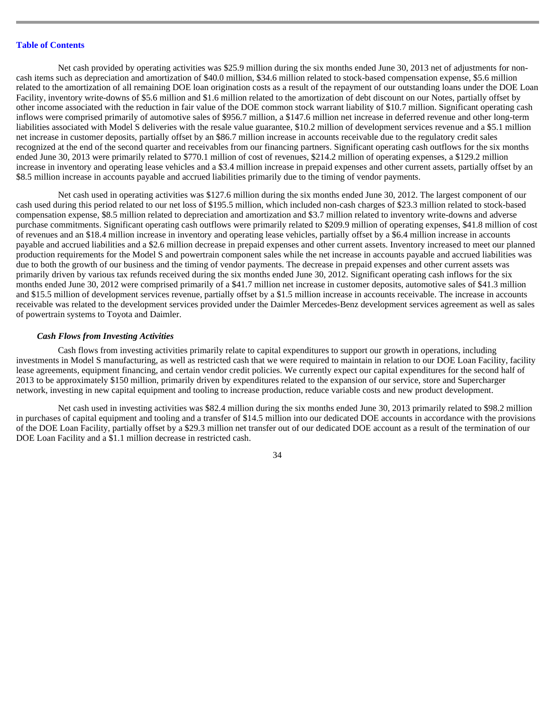Net cash provided by operating activities was \$25.9 million during the six months ended June 30, 2013 net of adjustments for noncash items such as depreciation and amortization of \$40.0 million, \$34.6 million related to stock-based compensation expense, \$5.6 million related to the amortization of all remaining DOE loan origination costs as a result of the repayment of our outstanding loans under the DOE Loan Facility, inventory write-downs of \$5.6 million and \$1.6 million related to the amortization of debt discount on our Notes, partially offset by other income associated with the reduction in fair value of the DOE common stock warrant liability of \$10.7 million. Significant operating cash inflows were comprised primarily of automotive sales of \$956.7 million, a \$147.6 million net increase in deferred revenue and other long-term liabilities associated with Model S deliveries with the resale value guarantee, \$10.2 million of development services revenue and a \$5.1 million net increase in customer deposits, partially offset by an \$86.7 million increase in accounts receivable due to the regulatory credit sales recognized at the end of the second quarter and receivables from our financing partners. Significant operating cash outflows for the six months ended June 30, 2013 were primarily related to \$770.1 million of cost of revenues, \$214.2 million of operating expenses, a \$129.2 million increase in inventory and operating lease vehicles and a \$3.4 million increase in prepaid expenses and other current assets, partially offset by an \$8.5 million increase in accounts payable and accrued liabilities primarily due to the timing of vendor payments.

Net cash used in operating activities was \$127.6 million during the six months ended June 30, 2012. The largest component of our cash used during this period related to our net loss of \$195.5 million, which included non-cash charges of \$23.3 million related to stock-based compensation expense, \$8.5 million related to depreciation and amortization and \$3.7 million related to inventory write-downs and adverse purchase commitments. Significant operating cash outflows were primarily related to \$209.9 million of operating expenses, \$41.8 million of cost of revenues and an \$18.4 million increase in inventory and operating lease vehicles, partially offset by a \$6.4 million increase in accounts payable and accrued liabilities and a \$2.6 million decrease in prepaid expenses and other current assets. Inventory increased to meet our planned production requirements for the Model S and powertrain component sales while the net increase in accounts payable and accrued liabilities was due to both the growth of our business and the timing of vendor payments. The decrease in prepaid expenses and other current assets was primarily driven by various tax refunds received during the six months ended June 30, 2012. Significant operating cash inflows for the six months ended June 30, 2012 were comprised primarily of a \$41.7 million net increase in customer deposits, automotive sales of \$41.3 million and \$15.5 million of development services revenue, partially offset by a \$1.5 million increase in accounts receivable. The increase in accounts receivable was related to the development services provided under the Daimler Mercedes-Benz development services agreement as well as sales of powertrain systems to Toyota and Daimler.

#### *Cash Flows from Investing Activities*

Cash flows from investing activities primarily relate to capital expenditures to support our growth in operations, including investments in Model S manufacturing, as well as restricted cash that we were required to maintain in relation to our DOE Loan Facility, facility lease agreements, equipment financing, and certain vendor credit policies. We currently expect our capital expenditures for the second half of 2013 to be approximately \$150 million, primarily driven by expenditures related to the expansion of our service, store and Supercharger network, investing in new capital equipment and tooling to increase production, reduce variable costs and new product development.

Net cash used in investing activities was \$82.4 million during the six months ended June 30, 2013 primarily related to \$98.2 million in purchases of capital equipment and tooling and a transfer of \$14.5 million into our dedicated DOE accounts in accordance with the provisions of the DOE Loan Facility, partially offset by a \$29.3 million net transfer out of our dedicated DOE account as a result of the termination of our DOE Loan Facility and a \$1.1 million decrease in restricted cash.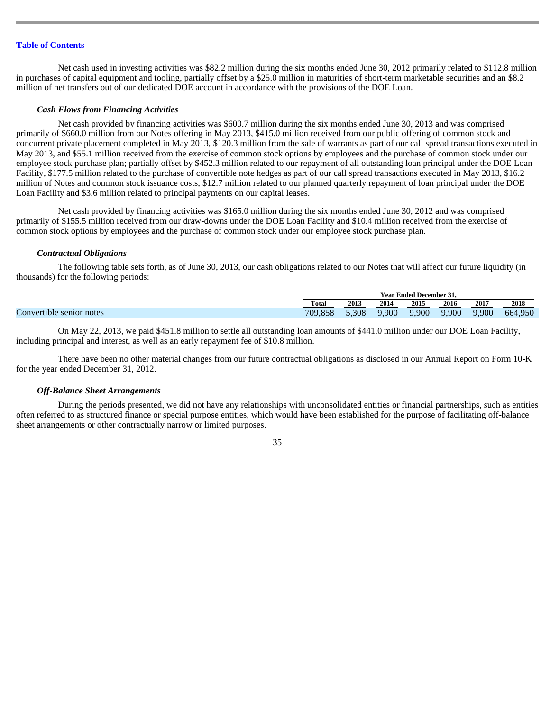Net cash used in investing activities was \$82.2 million during the six months ended June 30, 2012 primarily related to \$112.8 million in purchases of capital equipment and tooling, partially offset by a \$25.0 million in maturities of short-term marketable securities and an \$8.2 million of net transfers out of our dedicated DOE account in accordance with the provisions of the DOE Loan.

#### *Cash Flows from Financing Activities*

Net cash provided by financing activities was \$600.7 million during the six months ended June 30, 2013 and was comprised primarily of \$660.0 million from our Notes offering in May 2013, \$415.0 million received from our public offering of common stock and concurrent private placement completed in May 2013, \$120.3 million from the sale of warrants as part of our call spread transactions executed in May 2013, and \$55.1 million received from the exercise of common stock options by employees and the purchase of common stock under our employee stock purchase plan; partially offset by \$452.3 million related to our repayment of all outstanding loan principal under the DOE Loan Facility, \$177.5 million related to the purchase of convertible note hedges as part of our call spread transactions executed in May 2013, \$16.2 million of Notes and common stock issuance costs, \$12.7 million related to our planned quarterly repayment of loan principal under the DOE Loan Facility and \$3.6 million related to principal payments on our capital leases.

Net cash provided by financing activities was \$165.0 million during the six months ended June 30, 2012 and was comprised primarily of \$155.5 million received from our draw-downs under the DOE Loan Facility and \$10.4 million received from the exercise of common stock options by employees and the purchase of common stock under our employee stock purchase plan.

#### *Contractual Obligations*

The following table sets forth, as of June 30, 2013, our cash obligations related to our Notes that will affect our future liquidity (in thousands) for the following periods:

|                         | <b>Year Ended December 31.</b> |      |      |       |       |       |         |
|-------------------------|--------------------------------|------|------|-------|-------|-------|---------|
|                         | Total                          | 2013 | 2014 | 2015  | 2016  | 2017  | 2018    |
| Convertible semor notes | 709.858                        | .308 | ,900 | 9,900 | 9,900 | 9,900 | 664.950 |

On May 22, 2013, we paid \$451.8 million to settle all outstanding loan amounts of \$441.0 million under our DOE Loan Facility, including principal and interest, as well as an early repayment fee of \$10.8 million.

There have been no other material changes from our future contractual obligations as disclosed in our Annual Report on Form 10-K for the year ended December 31, 2012.

#### *Off-Balance Sheet Arrangements*

During the periods presented, we did not have any relationships with unconsolidated entities or financial partnerships, such as entities often referred to as structured finance or special purpose entities, which would have been established for the purpose of facilitating off-balance sheet arrangements or other contractually narrow or limited purposes.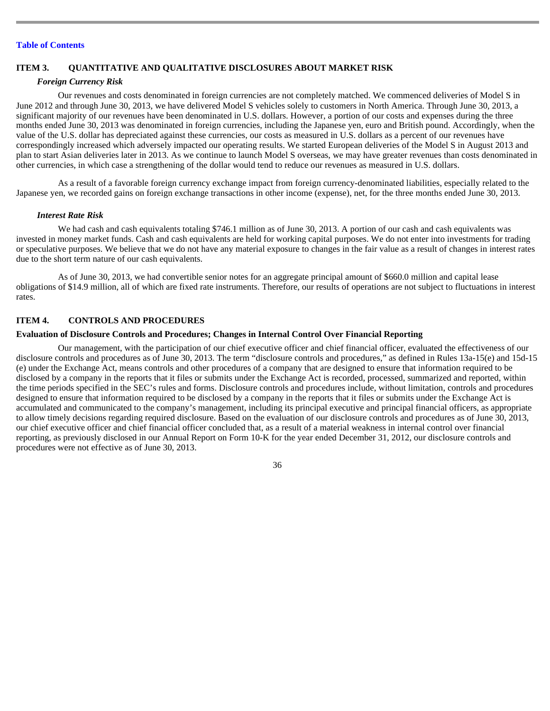#### **ITEM 3. QUANTITATIVE AND QUALITATIVE DISCLOSURES ABOUT MARKET RISK**

# *Foreign Currency Risk*

Our revenues and costs denominated in foreign currencies are not completely matched. We commenced deliveries of Model S in June 2012 and through June 30, 2013, we have delivered Model S vehicles solely to customers in North America. Through June 30, 2013, a significant majority of our revenues have been denominated in U.S. dollars. However, a portion of our costs and expenses during the three months ended June 30, 2013 was denominated in foreign currencies, including the Japanese yen, euro and British pound. Accordingly, when the value of the U.S. dollar has depreciated against these currencies, our costs as measured in U.S. dollars as a percent of our revenues have correspondingly increased which adversely impacted our operating results. We started European deliveries of the Model S in August 2013 and plan to start Asian deliveries later in 2013. As we continue to launch Model S overseas, we may have greater revenues than costs denominated in other currencies, in which case a strengthening of the dollar would tend to reduce our revenues as measured in U.S. dollars.

As a result of a favorable foreign currency exchange impact from foreign currency-denominated liabilities, especially related to the Japanese yen, we recorded gains on foreign exchange transactions in other income (expense), net, for the three months ended June 30, 2013.

#### *Interest Rate Risk*

We had cash and cash equivalents totaling \$746.1 million as of June 30, 2013. A portion of our cash and cash equivalents was invested in money market funds. Cash and cash equivalents are held for working capital purposes. We do not enter into investments for trading or speculative purposes. We believe that we do not have any material exposure to changes in the fair value as a result of changes in interest rates due to the short term nature of our cash equivalents.

As of June 30, 2013, we had convertible senior notes for an aggregate principal amount of \$660.0 million and capital lease obligations of \$14.9 million, all of which are fixed rate instruments. Therefore, our results of operations are not subject to fluctuations in interest rates.

## **ITEM 4. CONTROLS AND PROCEDURES**

#### **Evaluation of Disclosure Controls and Procedures; Changes in Internal Control Over Financial Reporting**

Our management, with the participation of our chief executive officer and chief financial officer, evaluated the effectiveness of our disclosure controls and procedures as of June 30, 2013. The term "disclosure controls and procedures," as defined in Rules 13a-15(e) and 15d-15 (e) under the Exchange Act, means controls and other procedures of a company that are designed to ensure that information required to be disclosed by a company in the reports that it files or submits under the Exchange Act is recorded, processed, summarized and reported, within the time periods specified in the SEC's rules and forms. Disclosure controls and procedures include, without limitation, controls and procedures designed to ensure that information required to be disclosed by a company in the reports that it files or submits under the Exchange Act is accumulated and communicated to the company's management, including its principal executive and principal financial officers, as appropriate to allow timely decisions regarding required disclosure. Based on the evaluation of our disclosure controls and procedures as of June 30, 2013, our chief executive officer and chief financial officer concluded that, as a result of a material weakness in internal control over financial reporting, as previously disclosed in our Annual Report on Form 10-K for the year ended December 31, 2012, our disclosure controls and procedures were not effective as of June 30, 2013.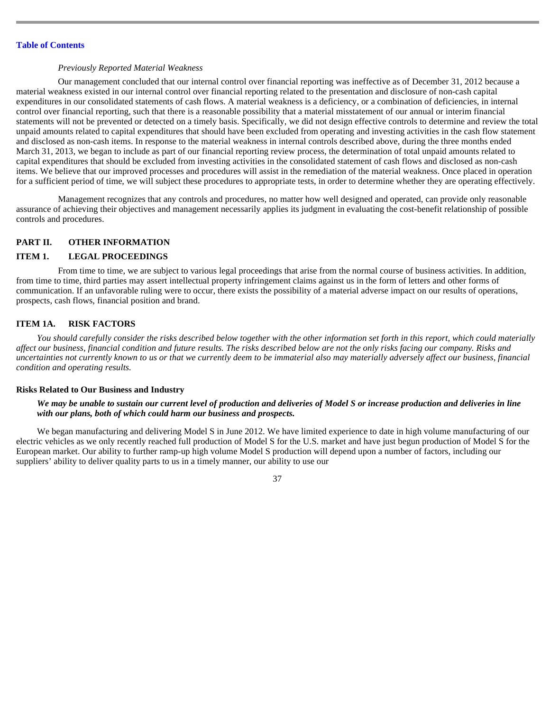#### *Previously Reported Material Weakness*

Our management concluded that our internal control over financial reporting was ineffective as of December 31, 2012 because a material weakness existed in our internal control over financial reporting related to the presentation and disclosure of non-cash capital expenditures in our consolidated statements of cash flows. A material weakness is a deficiency, or a combination of deficiencies, in internal control over financial reporting, such that there is a reasonable possibility that a material misstatement of our annual or interim financial statements will not be prevented or detected on a timely basis. Specifically, we did not design effective controls to determine and review the total unpaid amounts related to capital expenditures that should have been excluded from operating and investing activities in the cash flow statement and disclosed as non-cash items. In response to the material weakness in internal controls described above, during the three months ended March 31, 2013, we began to include as part of our financial reporting review process, the determination of total unpaid amounts related to capital expenditures that should be excluded from investing activities in the consolidated statement of cash flows and disclosed as non-cash items. We believe that our improved processes and procedures will assist in the remediation of the material weakness. Once placed in operation for a sufficient period of time, we will subject these procedures to appropriate tests, in order to determine whether they are operating effectively.

Management recognizes that any controls and procedures, no matter how well designed and operated, can provide only reasonable assurance of achieving their objectives and management necessarily applies its judgment in evaluating the cost-benefit relationship of possible controls and procedures.

# **PART II. OTHER INFORMATION**

# **ITEM 1. LEGAL PROCEEDINGS**

From time to time, we are subject to various legal proceedings that arise from the normal course of business activities. In addition, from time to time, third parties may assert intellectual property infringement claims against us in the form of letters and other forms of communication. If an unfavorable ruling were to occur, there exists the possibility of a material adverse impact on our results of operations, prospects, cash flows, financial position and brand.

#### **ITEM 1A. RISK FACTORS**

You should carefully consider the risks described below together with the other information set forth in this report, which could materially *affect our business, financial condition and future results. The risks described below are not the only risks facing our company. Risks and uncertainties not currently known to us or that we currently deem to be immaterial also may materially adversely affect our business, financial condition and operating results.* 

### **Risks Related to Our Business and Industry**

# *We may be unable to sustain our current level of production and deliveries of Model S or increase production and deliveries in line with our plans, both of which could harm our business and prospects.*

We began manufacturing and delivering Model S in June 2012. We have limited experience to date in high volume manufacturing of our electric vehicles as we only recently reached full production of Model S for the U.S. market and have just begun production of Model S for the European market. Our ability to further ramp-up high volume Model S production will depend upon a number of factors, including our suppliers' ability to deliver quality parts to us in a timely manner, our ability to use our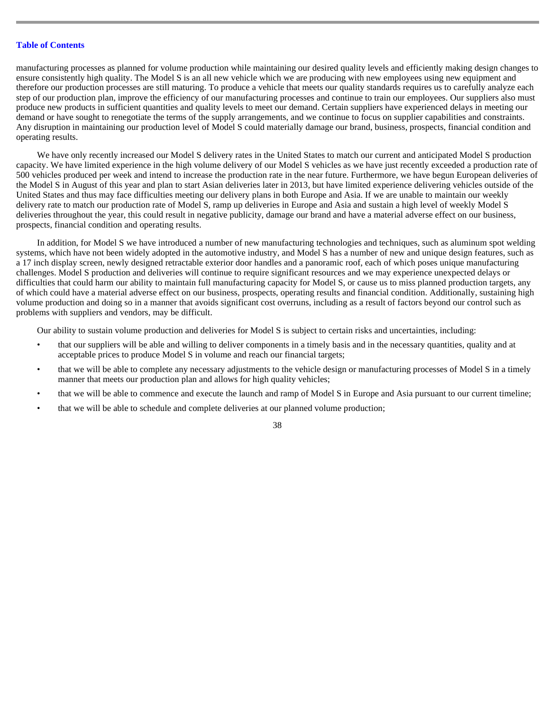manufacturing processes as planned for volume production while maintaining our desired quality levels and efficiently making design changes to ensure consistently high quality. The Model S is an all new vehicle which we are producing with new employees using new equipment and therefore our production processes are still maturing. To produce a vehicle that meets our quality standards requires us to carefully analyze each step of our production plan, improve the efficiency of our manufacturing processes and continue to train our employees. Our suppliers also must produce new products in sufficient quantities and quality levels to meet our demand. Certain suppliers have experienced delays in meeting our demand or have sought to renegotiate the terms of the supply arrangements, and we continue to focus on supplier capabilities and constraints. Any disruption in maintaining our production level of Model S could materially damage our brand, business, prospects, financial condition and operating results.

We have only recently increased our Model S delivery rates in the United States to match our current and anticipated Model S production capacity. We have limited experience in the high volume delivery of our Model S vehicles as we have just recently exceeded a production rate of 500 vehicles produced per week and intend to increase the production rate in the near future. Furthermore, we have begun European deliveries of the Model S in August of this year and plan to start Asian deliveries later in 2013, but have limited experience delivering vehicles outside of the United States and thus may face difficulties meeting our delivery plans in both Europe and Asia. If we are unable to maintain our weekly delivery rate to match our production rate of Model S, ramp up deliveries in Europe and Asia and sustain a high level of weekly Model S deliveries throughout the year, this could result in negative publicity, damage our brand and have a material adverse effect on our business, prospects, financial condition and operating results.

In addition, for Model S we have introduced a number of new manufacturing technologies and techniques, such as aluminum spot welding systems, which have not been widely adopted in the automotive industry, and Model S has a number of new and unique design features, such as a 17 inch display screen, newly designed retractable exterior door handles and a panoramic roof, each of which poses unique manufacturing challenges. Model S production and deliveries will continue to require significant resources and we may experience unexpected delays or difficulties that could harm our ability to maintain full manufacturing capacity for Model S, or cause us to miss planned production targets, any of which could have a material adverse effect on our business, prospects, operating results and financial condition. Additionally, sustaining high volume production and doing so in a manner that avoids significant cost overruns, including as a result of factors beyond our control such as problems with suppliers and vendors, may be difficult.

Our ability to sustain volume production and deliveries for Model S is subject to certain risks and uncertainties, including:

- that our suppliers will be able and willing to deliver components in a timely basis and in the necessary quantities, quality and at acceptable prices to produce Model S in volume and reach our financial targets;
- that we will be able to complete any necessary adjustments to the vehicle design or manufacturing processes of Model S in a timely manner that meets our production plan and allows for high quality vehicles;
- that we will be able to commence and execute the launch and ramp of Model S in Europe and Asia pursuant to our current timeline;
- that we will be able to schedule and complete deliveries at our planned volume production;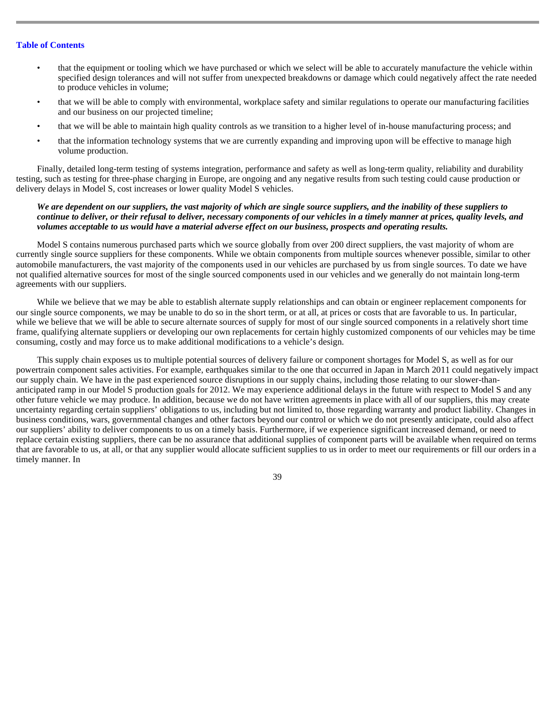- that the equipment or tooling which we have purchased or which we select will be able to accurately manufacture the vehicle within specified design tolerances and will not suffer from unexpected breakdowns or damage which could negatively affect the rate needed to produce vehicles in volume;
- that we will be able to comply with environmental, workplace safety and similar regulations to operate our manufacturing facilities and our business on our projected timeline;
- that we will be able to maintain high quality controls as we transition to a higher level of in-house manufacturing process; and
- that the information technology systems that we are currently expanding and improving upon will be effective to manage high volume production.

Finally, detailed long-term testing of systems integration, performance and safety as well as long-term quality, reliability and durability testing, such as testing for three-phase charging in Europe, are ongoing and any negative results from such testing could cause production or delivery delays in Model S, cost increases or lower quality Model S vehicles.

# *We are dependent on our suppliers, the vast majority of which are single source suppliers, and the inability of these suppliers to continue to deliver, or their refusal to deliver, necessary components of our vehicles in a timely manner at prices, quality levels, and volumes acceptable to us would have a material adverse effect on our business, prospects and operating results.*

Model S contains numerous purchased parts which we source globally from over 200 direct suppliers, the vast majority of whom are currently single source suppliers for these components. While we obtain components from multiple sources whenever possible, similar to other automobile manufacturers, the vast majority of the components used in our vehicles are purchased by us from single sources. To date we have not qualified alternative sources for most of the single sourced components used in our vehicles and we generally do not maintain long-term agreements with our suppliers.

While we believe that we may be able to establish alternate supply relationships and can obtain or engineer replacement components for our single source components, we may be unable to do so in the short term, or at all, at prices or costs that are favorable to us. In particular, while we believe that we will be able to secure alternate sources of supply for most of our single sourced components in a relatively short time frame, qualifying alternate suppliers or developing our own replacements for certain highly customized components of our vehicles may be time consuming, costly and may force us to make additional modifications to a vehicle's design.

This supply chain exposes us to multiple potential sources of delivery failure or component shortages for Model S, as well as for our powertrain component sales activities. For example, earthquakes similar to the one that occurred in Japan in March 2011 could negatively impact our supply chain. We have in the past experienced source disruptions in our supply chains, including those relating to our slower-thananticipated ramp in our Model S production goals for 2012. We may experience additional delays in the future with respect to Model S and any other future vehicle we may produce. In addition, because we do not have written agreements in place with all of our suppliers, this may create uncertainty regarding certain suppliers' obligations to us, including but not limited to, those regarding warranty and product liability. Changes in business conditions, wars, governmental changes and other factors beyond our control or which we do not presently anticipate, could also affect our suppliers' ability to deliver components to us on a timely basis. Furthermore, if we experience significant increased demand, or need to replace certain existing suppliers, there can be no assurance that additional supplies of component parts will be available when required on terms that are favorable to us, at all, or that any supplier would allocate sufficient supplies to us in order to meet our requirements or fill our orders in a timely manner. In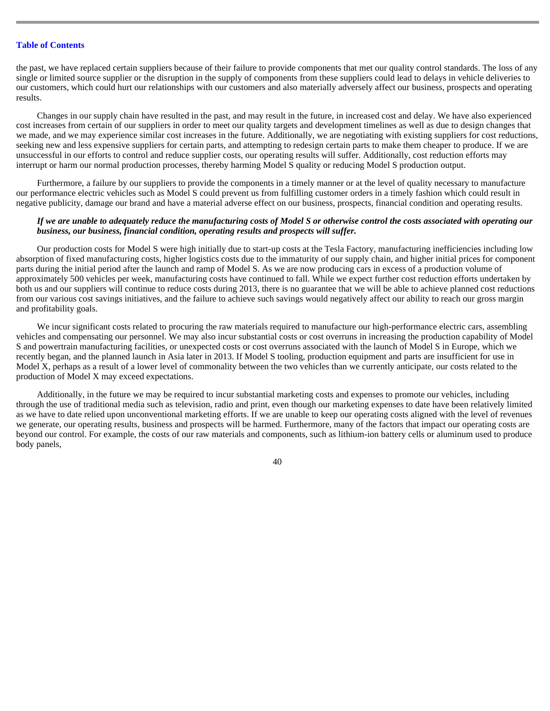the past, we have replaced certain suppliers because of their failure to provide components that met our quality control standards. The loss of any single or limited source supplier or the disruption in the supply of components from these suppliers could lead to delays in vehicle deliveries to our customers, which could hurt our relationships with our customers and also materially adversely affect our business, prospects and operating results.

Changes in our supply chain have resulted in the past, and may result in the future, in increased cost and delay. We have also experienced cost increases from certain of our suppliers in order to meet our quality targets and development timelines as well as due to design changes that we made, and we may experience similar cost increases in the future. Additionally, we are negotiating with existing suppliers for cost reductions, seeking new and less expensive suppliers for certain parts, and attempting to redesign certain parts to make them cheaper to produce. If we are unsuccessful in our efforts to control and reduce supplier costs, our operating results will suffer. Additionally, cost reduction efforts may interrupt or harm our normal production processes, thereby harming Model S quality or reducing Model S production output.

Furthermore, a failure by our suppliers to provide the components in a timely manner or at the level of quality necessary to manufacture our performance electric vehicles such as Model S could prevent us from fulfilling customer orders in a timely fashion which could result in negative publicity, damage our brand and have a material adverse effect on our business, prospects, financial condition and operating results.

## *If we are unable to adequately reduce the manufacturing costs of Model S or otherwise control the costs associated with operating our business, our business, financial condition, operating results and prospects will suffer.*

Our production costs for Model S were high initially due to start-up costs at the Tesla Factory, manufacturing inefficiencies including low absorption of fixed manufacturing costs, higher logistics costs due to the immaturity of our supply chain, and higher initial prices for component parts during the initial period after the launch and ramp of Model S. As we are now producing cars in excess of a production volume of approximately 500 vehicles per week, manufacturing costs have continued to fall. While we expect further cost reduction efforts undertaken by both us and our suppliers will continue to reduce costs during 2013, there is no guarantee that we will be able to achieve planned cost reductions from our various cost savings initiatives, and the failure to achieve such savings would negatively affect our ability to reach our gross margin and profitability goals.

We incur significant costs related to procuring the raw materials required to manufacture our high-performance electric cars, assembling vehicles and compensating our personnel. We may also incur substantial costs or cost overruns in increasing the production capability of Model S and powertrain manufacturing facilities, or unexpected costs or cost overruns associated with the launch of Model S in Europe, which we recently began, and the planned launch in Asia later in 2013. If Model S tooling, production equipment and parts are insufficient for use in Model X, perhaps as a result of a lower level of commonality between the two vehicles than we currently anticipate, our costs related to the production of Model X may exceed expectations.

Additionally, in the future we may be required to incur substantial marketing costs and expenses to promote our vehicles, including through the use of traditional media such as television, radio and print, even though our marketing expenses to date have been relatively limited as we have to date relied upon unconventional marketing efforts. If we are unable to keep our operating costs aligned with the level of revenues we generate, our operating results, business and prospects will be harmed. Furthermore, many of the factors that impact our operating costs are beyond our control. For example, the costs of our raw materials and components, such as lithium-ion battery cells or aluminum used to produce body panels,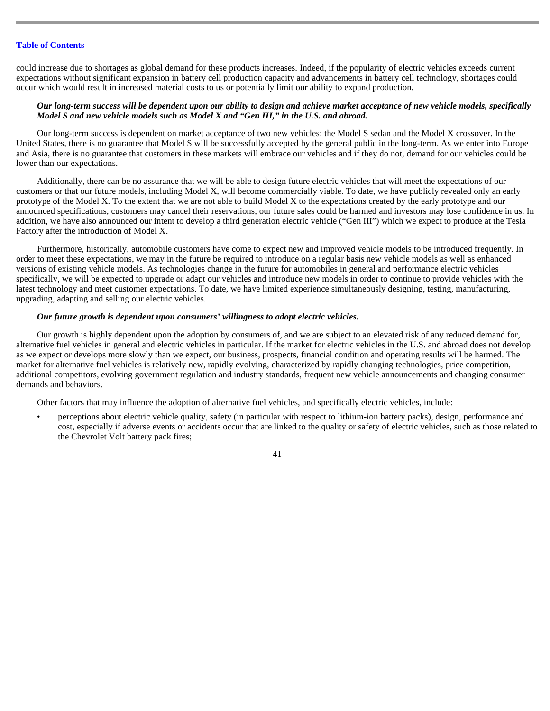could increase due to shortages as global demand for these products increases. Indeed, if the popularity of electric vehicles exceeds current expectations without significant expansion in battery cell production capacity and advancements in battery cell technology, shortages could occur which would result in increased material costs to us or potentially limit our ability to expand production.

### *Our long-term success will be dependent upon our ability to design and achieve market acceptance of new vehicle models, specifically Model S and new vehicle models such as Model X and "Gen III," in the U.S. and abroad.*

Our long-term success is dependent on market acceptance of two new vehicles: the Model S sedan and the Model X crossover. In the United States, there is no guarantee that Model S will be successfully accepted by the general public in the long-term. As we enter into Europe and Asia, there is no guarantee that customers in these markets will embrace our vehicles and if they do not, demand for our vehicles could be lower than our expectations.

Additionally, there can be no assurance that we will be able to design future electric vehicles that will meet the expectations of our customers or that our future models, including Model X, will become commercially viable. To date, we have publicly revealed only an early prototype of the Model X. To the extent that we are not able to build Model X to the expectations created by the early prototype and our announced specifications, customers may cancel their reservations, our future sales could be harmed and investors may lose confidence in us. In addition, we have also announced our intent to develop a third generation electric vehicle ("Gen III") which we expect to produce at the Tesla Factory after the introduction of Model X.

Furthermore, historically, automobile customers have come to expect new and improved vehicle models to be introduced frequently. In order to meet these expectations, we may in the future be required to introduce on a regular basis new vehicle models as well as enhanced versions of existing vehicle models. As technologies change in the future for automobiles in general and performance electric vehicles specifically, we will be expected to upgrade or adapt our vehicles and introduce new models in order to continue to provide vehicles with the latest technology and meet customer expectations. To date, we have limited experience simultaneously designing, testing, manufacturing, upgrading, adapting and selling our electric vehicles.

#### *Our future growth is dependent upon consumers' willingness to adopt electric vehicles.*

Our growth is highly dependent upon the adoption by consumers of, and we are subject to an elevated risk of any reduced demand for, alternative fuel vehicles in general and electric vehicles in particular. If the market for electric vehicles in the U.S. and abroad does not develop as we expect or develops more slowly than we expect, our business, prospects, financial condition and operating results will be harmed. The market for alternative fuel vehicles is relatively new, rapidly evolving, characterized by rapidly changing technologies, price competition, additional competitors, evolving government regulation and industry standards, frequent new vehicle announcements and changing consumer demands and behaviors.

Other factors that may influence the adoption of alternative fuel vehicles, and specifically electric vehicles, include:

• perceptions about electric vehicle quality, safety (in particular with respect to lithium-ion battery packs), design, performance and cost, especially if adverse events or accidents occur that are linked to the quality or safety of electric vehicles, such as those related to the Chevrolet Volt battery pack fires;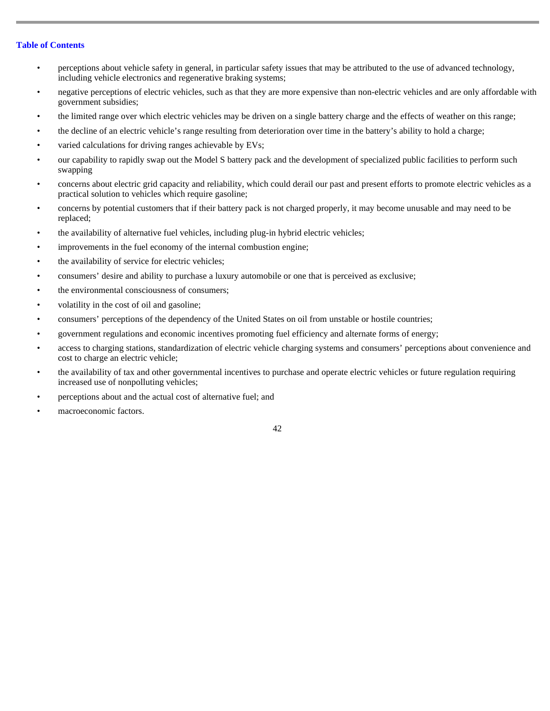- perceptions about vehicle safety in general, in particular safety issues that may be attributed to the use of advanced technology, including vehicle electronics and regenerative braking systems;
- negative perceptions of electric vehicles, such as that they are more expensive than non-electric vehicles and are only affordable with government subsidies;
- the limited range over which electric vehicles may be driven on a single battery charge and the effects of weather on this range;
- the decline of an electric vehicle's range resulting from deterioration over time in the battery's ability to hold a charge;
- varied calculations for driving ranges achievable by EVs;
- our capability to rapidly swap out the Model S battery pack and the development of specialized public facilities to perform such swapping
- concerns about electric grid capacity and reliability, which could derail our past and present efforts to promote electric vehicles as a practical solution to vehicles which require gasoline;
- concerns by potential customers that if their battery pack is not charged properly, it may become unusable and may need to be replaced;
- the availability of alternative fuel vehicles, including plug-in hybrid electric vehicles;
- improvements in the fuel economy of the internal combustion engine;
- the availability of service for electric vehicles;
- consumers' desire and ability to purchase a luxury automobile or one that is perceived as exclusive;
- the environmental consciousness of consumers;
- volatility in the cost of oil and gasoline;
- consumers' perceptions of the dependency of the United States on oil from unstable or hostile countries;
- government regulations and economic incentives promoting fuel efficiency and alternate forms of energy;
- access to charging stations, standardization of electric vehicle charging systems and consumers' perceptions about convenience and cost to charge an electric vehicle;
- the availability of tax and other governmental incentives to purchase and operate electric vehicles or future regulation requiring increased use of nonpolluting vehicles;
- perceptions about and the actual cost of alternative fuel; and
- macroeconomic factors.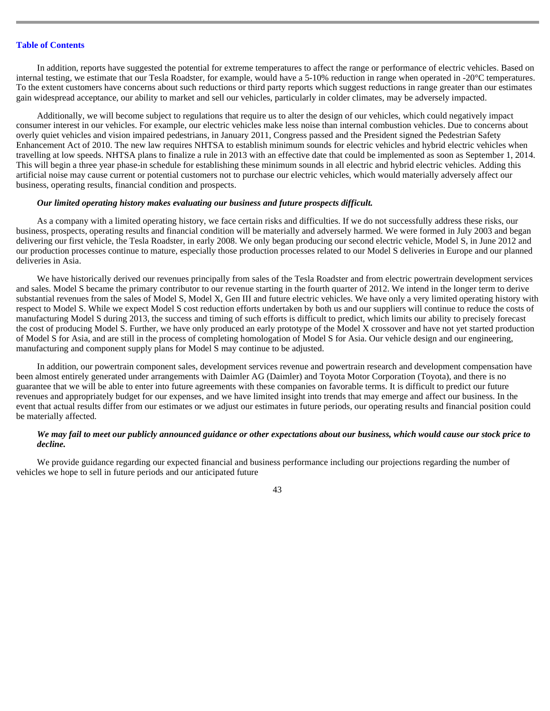In addition, reports have suggested the potential for extreme temperatures to affect the range or performance of electric vehicles. Based on internal testing, we estimate that our Tesla Roadster, for example, would have a 5-10% reduction in range when operated in -20°C temperatures. To the extent customers have concerns about such reductions or third party reports which suggest reductions in range greater than our estimates gain widespread acceptance, our ability to market and sell our vehicles, particularly in colder climates, may be adversely impacted.

Additionally, we will become subject to regulations that require us to alter the design of our vehicles, which could negatively impact consumer interest in our vehicles. For example, our electric vehicles make less noise than internal combustion vehicles. Due to concerns about overly quiet vehicles and vision impaired pedestrians, in January 2011, Congress passed and the President signed the Pedestrian Safety Enhancement Act of 2010. The new law requires NHTSA to establish minimum sounds for electric vehicles and hybrid electric vehicles when travelling at low speeds. NHTSA plans to finalize a rule in 2013 with an effective date that could be implemented as soon as September 1, 2014. This will begin a three year phase-in schedule for establishing these minimum sounds in all electric and hybrid electric vehicles. Adding this artificial noise may cause current or potential customers not to purchase our electric vehicles, which would materially adversely affect our business, operating results, financial condition and prospects.

#### *Our limited operating history makes evaluating our business and future prospects difficult.*

As a company with a limited operating history, we face certain risks and difficulties. If we do not successfully address these risks, our business, prospects, operating results and financial condition will be materially and adversely harmed. We were formed in July 2003 and began delivering our first vehicle, the Tesla Roadster, in early 2008. We only began producing our second electric vehicle, Model S, in June 2012 and our production processes continue to mature, especially those production processes related to our Model S deliveries in Europe and our planned deliveries in Asia.

We have historically derived our revenues principally from sales of the Tesla Roadster and from electric powertrain development services and sales. Model S became the primary contributor to our revenue starting in the fourth quarter of 2012. We intend in the longer term to derive substantial revenues from the sales of Model S, Model X, Gen III and future electric vehicles. We have only a very limited operating history with respect to Model S. While we expect Model S cost reduction efforts undertaken by both us and our suppliers will continue to reduce the costs of manufacturing Model S during 2013, the success and timing of such efforts is difficult to predict, which limits our ability to precisely forecast the cost of producing Model S. Further, we have only produced an early prototype of the Model X crossover and have not yet started production of Model S for Asia, and are still in the process of completing homologation of Model S for Asia. Our vehicle design and our engineering, manufacturing and component supply plans for Model S may continue to be adjusted.

In addition, our powertrain component sales, development services revenue and powertrain research and development compensation have been almost entirely generated under arrangements with Daimler AG (Daimler) and Toyota Motor Corporation (Toyota), and there is no guarantee that we will be able to enter into future agreements with these companies on favorable terms. It is difficult to predict our future revenues and appropriately budget for our expenses, and we have limited insight into trends that may emerge and affect our business. In the event that actual results differ from our estimates or we adjust our estimates in future periods, our operating results and financial position could be materially affected.

# *We may fail to meet our publicly announced guidance or other expectations about our business, which would cause our stock price to decline.*

We provide guidance regarding our expected financial and business performance including our projections regarding the number of vehicles we hope to sell in future periods and our anticipated future

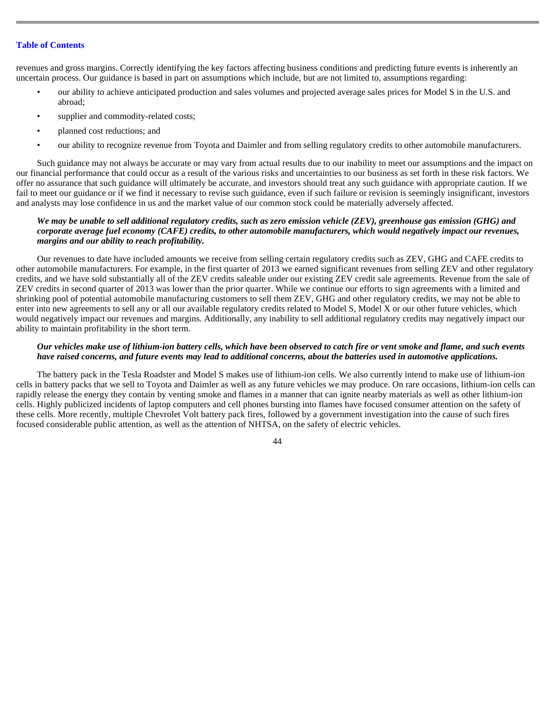revenues and gross margins. Correctly identifying the key factors affecting business conditions and predicting future events is inherently an uncertain process. Our guidance is based in part on assumptions which include, but are not limited to, assumptions regarding:

- our ability to achieve anticipated production and sales volumes and projected average sales prices for Model S in the U.S. and abroad;
- supplier and commodity-related costs;
- planned cost reductions; and
- our ability to recognize revenue from Toyota and Daimler and from selling regulatory credits to other automobile manufacturers.

Such guidance may not always be accurate or may vary from actual results due to our inability to meet our assumptions and the impact on our financial performance that could occur as a result of the various risks and uncertainties to our business as set forth in these risk factors. We offer no assurance that such guidance will ultimately be accurate, and investors should treat any such guidance with appropriate caution. If we fail to meet our guidance or if we find it necessary to revise such guidance, even if such failure or revision is seemingly insignificant, investors and analysts may lose confidence in us and the market value of our common stock could be materially adversely affected.

# *We may be unable to sell additional regulatory credits, such as zero emission vehicle (ZEV), greenhouse gas emission (GHG) and corporate average fuel economy (CAFE) credits, to other automobile manufacturers, which would negatively impact our revenues, margins and our ability to reach profitability.*

Our revenues to date have included amounts we receive from selling certain regulatory credits such as ZEV, GHG and CAFE credits to other automobile manufacturers. For example, in the first quarter of 2013 we earned significant revenues from selling ZEV and other regulatory credits, and we have sold substantially all of the ZEV credits saleable under our existing ZEV credit sale agreements. Revenue from the sale of ZEV credits in second quarter of 2013 was lower than the prior quarter. While we continue our efforts to sign agreements with a limited and shrinking pool of potential automobile manufacturing customers to sell them ZEV, GHG and other regulatory credits, we may not be able to enter into new agreements to sell any or all our available regulatory credits related to Model S, Model X or our other future vehicles, which would negatively impact our revenues and margins. Additionally, any inability to sell additional regulatory credits may negatively impact our ability to maintain profitability in the short term.

# *Our vehicles make use of lithium-ion battery cells, which have been observed to catch fire or vent smoke and flame, and such events have raised concerns, and future events may lead to additional concerns, about the batteries used in automotive applications.*

The battery pack in the Tesla Roadster and Model S makes use of lithium-ion cells. We also currently intend to make use of lithium-ion cells in battery packs that we sell to Toyota and Daimler as well as any future vehicles we may produce. On rare occasions, lithium-ion cells can rapidly release the energy they contain by venting smoke and flames in a manner that can ignite nearby materials as well as other lithium-ion cells. Highly publicized incidents of laptop computers and cell phones bursting into flames have focused consumer attention on the safety of these cells. More recently, multiple Chevrolet Volt battery pack fires, followed by a government investigation into the cause of such fires focused considerable public attention, as well as the attention of NHTSA, on the safety of electric vehicles.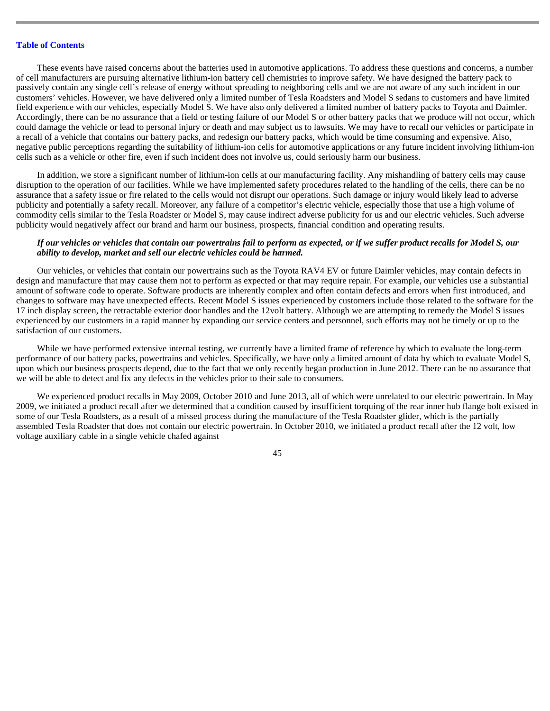These events have raised concerns about the batteries used in automotive applications. To address these questions and concerns, a number of cell manufacturers are pursuing alternative lithium-ion battery cell chemistries to improve safety. We have designed the battery pack to passively contain any single cell's release of energy without spreading to neighboring cells and we are not aware of any such incident in our customers' vehicles. However, we have delivered only a limited number of Tesla Roadsters and Model S sedans to customers and have limited field experience with our vehicles, especially Model S. We have also only delivered a limited number of battery packs to Toyota and Daimler. Accordingly, there can be no assurance that a field or testing failure of our Model S or other battery packs that we produce will not occur, which could damage the vehicle or lead to personal injury or death and may subject us to lawsuits. We may have to recall our vehicles or participate in a recall of a vehicle that contains our battery packs, and redesign our battery packs, which would be time consuming and expensive. Also, negative public perceptions regarding the suitability of lithium-ion cells for automotive applications or any future incident involving lithium-ion cells such as a vehicle or other fire, even if such incident does not involve us, could seriously harm our business.

In addition, we store a significant number of lithium-ion cells at our manufacturing facility. Any mishandling of battery cells may cause disruption to the operation of our facilities. While we have implemented safety procedures related to the handling of the cells, there can be no assurance that a safety issue or fire related to the cells would not disrupt our operations. Such damage or injury would likely lead to adverse publicity and potentially a safety recall. Moreover, any failure of a competitor's electric vehicle, especially those that use a high volume of commodity cells similar to the Tesla Roadster or Model S, may cause indirect adverse publicity for us and our electric vehicles. Such adverse publicity would negatively affect our brand and harm our business, prospects, financial condition and operating results.

# *If our vehicles or vehicles that contain our powertrains fail to perform as expected, or if we suffer product recalls for Model S, our ability to develop, market and sell our electric vehicles could be harmed.*

Our vehicles, or vehicles that contain our powertrains such as the Toyota RAV4 EV or future Daimler vehicles, may contain defects in design and manufacture that may cause them not to perform as expected or that may require repair. For example, our vehicles use a substantial amount of software code to operate. Software products are inherently complex and often contain defects and errors when first introduced, and changes to software may have unexpected effects. Recent Model S issues experienced by customers include those related to the software for the 17 inch display screen, the retractable exterior door handles and the 12volt battery. Although we are attempting to remedy the Model S issues experienced by our customers in a rapid manner by expanding our service centers and personnel, such efforts may not be timely or up to the satisfaction of our customers.

While we have performed extensive internal testing, we currently have a limited frame of reference by which to evaluate the long-term performance of our battery packs, powertrains and vehicles. Specifically, we have only a limited amount of data by which to evaluate Model S, upon which our business prospects depend, due to the fact that we only recently began production in June 2012. There can be no assurance that we will be able to detect and fix any defects in the vehicles prior to their sale to consumers.

We experienced product recalls in May 2009, October 2010 and June 2013, all of which were unrelated to our electric powertrain. In May 2009, we initiated a product recall after we determined that a condition caused by insufficient torquing of the rear inner hub flange bolt existed in some of our Tesla Roadsters, as a result of a missed process during the manufacture of the Tesla Roadster glider, which is the partially assembled Tesla Roadster that does not contain our electric powertrain. In October 2010, we initiated a product recall after the 12 volt, low voltage auxiliary cable in a single vehicle chafed against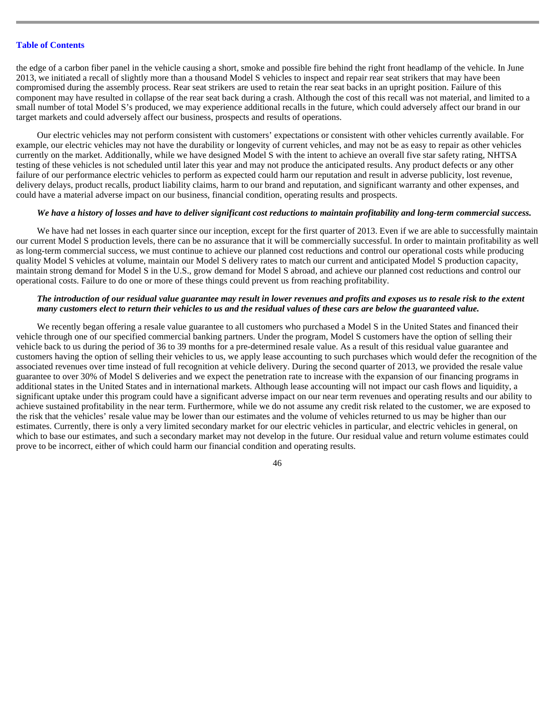the edge of a carbon fiber panel in the vehicle causing a short, smoke and possible fire behind the right front headlamp of the vehicle. In June 2013, we initiated a recall of slightly more than a thousand Model S vehicles to inspect and repair rear seat strikers that may have been compromised during the assembly process. Rear seat strikers are used to retain the rear seat backs in an upright position. Failure of this component may have resulted in collapse of the rear seat back during a crash. Although the cost of this recall was not material, and limited to a small number of total Model S's produced, we may experience additional recalls in the future, which could adversely affect our brand in our target markets and could adversely affect our business, prospects and results of operations.

Our electric vehicles may not perform consistent with customers' expectations or consistent with other vehicles currently available. For example, our electric vehicles may not have the durability or longevity of current vehicles, and may not be as easy to repair as other vehicles currently on the market. Additionally, while we have designed Model S with the intent to achieve an overall five star safety rating, NHTSA testing of these vehicles is not scheduled until later this year and may not produce the anticipated results. Any product defects or any other failure of our performance electric vehicles to perform as expected could harm our reputation and result in adverse publicity, lost revenue, delivery delays, product recalls, product liability claims, harm to our brand and reputation, and significant warranty and other expenses, and could have a material adverse impact on our business, financial condition, operating results and prospects.

#### *We have a history of losses and have to deliver significant cost reductions to maintain profitability and long-term commercial success.*

We have had net losses in each quarter since our inception, except for the first quarter of 2013. Even if we are able to successfully maintain our current Model S production levels, there can be no assurance that it will be commercially successful. In order to maintain profitability as well as long-term commercial success, we must continue to achieve our planned cost reductions and control our operational costs while producing quality Model S vehicles at volume, maintain our Model S delivery rates to match our current and anticipated Model S production capacity, maintain strong demand for Model S in the U.S., grow demand for Model S abroad, and achieve our planned cost reductions and control our operational costs. Failure to do one or more of these things could prevent us from reaching profitability.

### *The introduction of our residual value guarantee may result in lower revenues and profits and exposes us to resale risk to the extent many customers elect to return their vehicles to us and the residual values of these cars are below the guaranteed value.*

We recently began offering a resale value guarantee to all customers who purchased a Model S in the United States and financed their vehicle through one of our specified commercial banking partners. Under the program, Model S customers have the option of selling their vehicle back to us during the period of 36 to 39 months for a pre-determined resale value. As a result of this residual value guarantee and customers having the option of selling their vehicles to us, we apply lease accounting to such purchases which would defer the recognition of the associated revenues over time instead of full recognition at vehicle delivery. During the second quarter of 2013, we provided the resale value guarantee to over 30% of Model S deliveries and we expect the penetration rate to increase with the expansion of our financing programs in additional states in the United States and in international markets. Although lease accounting will not impact our cash flows and liquidity, a significant uptake under this program could have a significant adverse impact on our near term revenues and operating results and our ability to achieve sustained profitability in the near term. Furthermore, while we do not assume any credit risk related to the customer, we are exposed to the risk that the vehicles' resale value may be lower than our estimates and the volume of vehicles returned to us may be higher than our estimates. Currently, there is only a very limited secondary market for our electric vehicles in particular, and electric vehicles in general, on which to base our estimates, and such a secondary market may not develop in the future. Our residual value and return volume estimates could prove to be incorrect, either of which could harm our financial condition and operating results.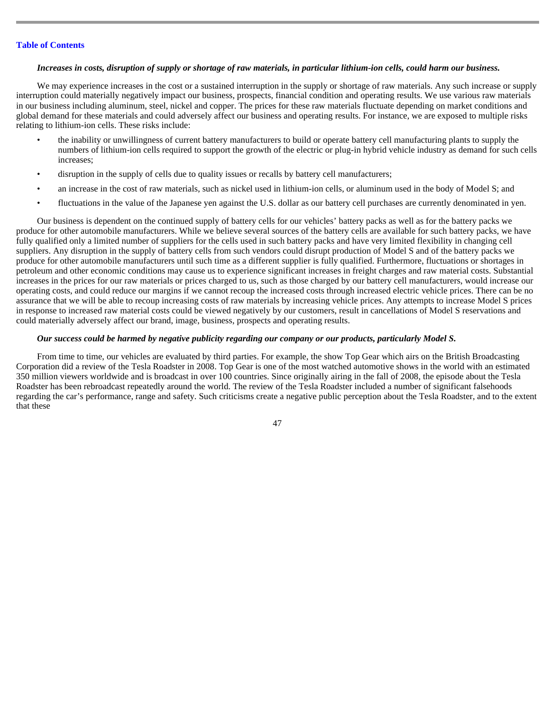#### *Increases in costs, disruption of supply or shortage of raw materials, in particular lithium-ion cells, could harm our business.*

We may experience increases in the cost or a sustained interruption in the supply or shortage of raw materials. Any such increase or supply interruption could materially negatively impact our business, prospects, financial condition and operating results. We use various raw materials in our business including aluminum, steel, nickel and copper. The prices for these raw materials fluctuate depending on market conditions and global demand for these materials and could adversely affect our business and operating results. For instance, we are exposed to multiple risks relating to lithium-ion cells. These risks include:

- the inability or unwillingness of current battery manufacturers to build or operate battery cell manufacturing plants to supply the numbers of lithium-ion cells required to support the growth of the electric or plug-in hybrid vehicle industry as demand for such cells increases;
- disruption in the supply of cells due to quality issues or recalls by battery cell manufacturers;
- an increase in the cost of raw materials, such as nickel used in lithium-ion cells, or aluminum used in the body of Model S; and
- fluctuations in the value of the Japanese yen against the U.S. dollar as our battery cell purchases are currently denominated in yen.

Our business is dependent on the continued supply of battery cells for our vehicles' battery packs as well as for the battery packs we produce for other automobile manufacturers. While we believe several sources of the battery cells are available for such battery packs, we have fully qualified only a limited number of suppliers for the cells used in such battery packs and have very limited flexibility in changing cell suppliers. Any disruption in the supply of battery cells from such vendors could disrupt production of Model S and of the battery packs we produce for other automobile manufacturers until such time as a different supplier is fully qualified. Furthermore, fluctuations or shortages in petroleum and other economic conditions may cause us to experience significant increases in freight charges and raw material costs. Substantial increases in the prices for our raw materials or prices charged to us, such as those charged by our battery cell manufacturers, would increase our operating costs, and could reduce our margins if we cannot recoup the increased costs through increased electric vehicle prices. There can be no assurance that we will be able to recoup increasing costs of raw materials by increasing vehicle prices. Any attempts to increase Model S prices in response to increased raw material costs could be viewed negatively by our customers, result in cancellations of Model S reservations and could materially adversely affect our brand, image, business, prospects and operating results.

#### *Our success could be harmed by negative publicity regarding our company or our products, particularly Model S.*

From time to time, our vehicles are evaluated by third parties. For example, the show Top Gear which airs on the British Broadcasting Corporation did a review of the Tesla Roadster in 2008. Top Gear is one of the most watched automotive shows in the world with an estimated 350 million viewers worldwide and is broadcast in over 100 countries. Since originally airing in the fall of 2008, the episode about the Tesla Roadster has been rebroadcast repeatedly around the world. The review of the Tesla Roadster included a number of significant falsehoods regarding the car's performance, range and safety. Such criticisms create a negative public perception about the Tesla Roadster, and to the extent that these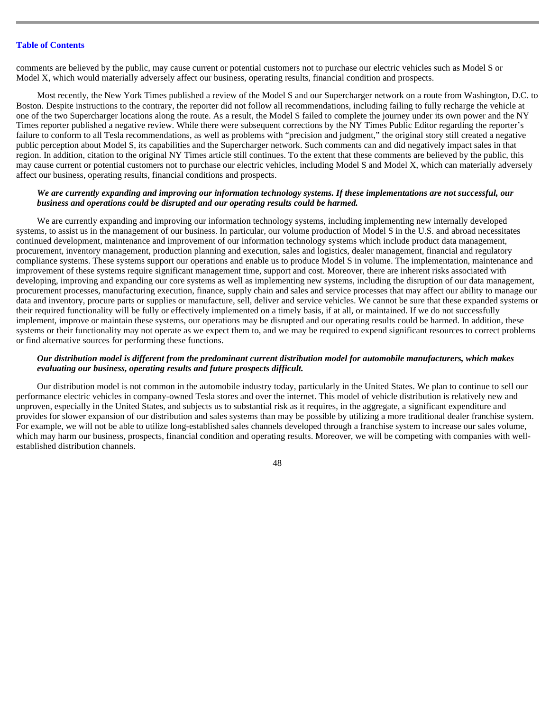comments are believed by the public, may cause current or potential customers not to purchase our electric vehicles such as Model S or Model X, which would materially adversely affect our business, operating results, financial condition and prospects.

Most recently, the New York Times published a review of the Model S and our Supercharger network on a route from Washington, D.C. to Boston. Despite instructions to the contrary, the reporter did not follow all recommendations, including failing to fully recharge the vehicle at one of the two Supercharger locations along the route. As a result, the Model S failed to complete the journey under its own power and the NY Times reporter published a negative review. While there were subsequent corrections by the NY Times Public Editor regarding the reporter's failure to conform to all Tesla recommendations, as well as problems with "precision and judgment," the original story still created a negative public perception about Model S, its capabilities and the Supercharger network. Such comments can and did negatively impact sales in that region. In addition, citation to the original NY Times article still continues. To the extent that these comments are believed by the public, this may cause current or potential customers not to purchase our electric vehicles, including Model S and Model X, which can materially adversely affect our business, operating results, financial conditions and prospects.

# *We are currently expanding and improving our information technology systems. If these implementations are not successful, our business and operations could be disrupted and our operating results could be harmed.*

We are currently expanding and improving our information technology systems, including implementing new internally developed systems, to assist us in the management of our business. In particular, our volume production of Model S in the U.S. and abroad necessitates continued development, maintenance and improvement of our information technology systems which include product data management, procurement, inventory management, production planning and execution, sales and logistics, dealer management, financial and regulatory compliance systems. These systems support our operations and enable us to produce Model S in volume. The implementation, maintenance and improvement of these systems require significant management time, support and cost. Moreover, there are inherent risks associated with developing, improving and expanding our core systems as well as implementing new systems, including the disruption of our data management, procurement processes, manufacturing execution, finance, supply chain and sales and service processes that may affect our ability to manage our data and inventory, procure parts or supplies or manufacture, sell, deliver and service vehicles. We cannot be sure that these expanded systems or their required functionality will be fully or effectively implemented on a timely basis, if at all, or maintained. If we do not successfully implement, improve or maintain these systems, our operations may be disrupted and our operating results could be harmed. In addition, these systems or their functionality may not operate as we expect them to, and we may be required to expend significant resources to correct problems or find alternative sources for performing these functions.

# *Our distribution model is different from the predominant current distribution model for automobile manufacturers, which makes evaluating our business, operating results and future prospects difficult.*

Our distribution model is not common in the automobile industry today, particularly in the United States. We plan to continue to sell our performance electric vehicles in company-owned Tesla stores and over the internet. This model of vehicle distribution is relatively new and unproven, especially in the United States, and subjects us to substantial risk as it requires, in the aggregate, a significant expenditure and provides for slower expansion of our distribution and sales systems than may be possible by utilizing a more traditional dealer franchise system. For example, we will not be able to utilize long-established sales channels developed through a franchise system to increase our sales volume, which may harm our business, prospects, financial condition and operating results. Moreover, we will be competing with companies with wellestablished distribution channels.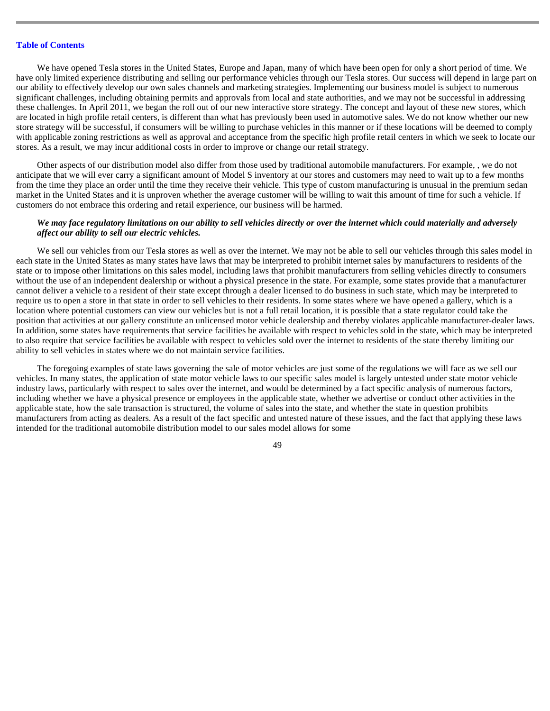We have opened Tesla stores in the United States, Europe and Japan, many of which have been open for only a short period of time. We have only limited experience distributing and selling our performance vehicles through our Tesla stores. Our success will depend in large part on our ability to effectively develop our own sales channels and marketing strategies. Implementing our business model is subject to numerous significant challenges, including obtaining permits and approvals from local and state authorities, and we may not be successful in addressing these challenges. In April 2011, we began the roll out of our new interactive store strategy. The concept and layout of these new stores, which are located in high profile retail centers, is different than what has previously been used in automotive sales. We do not know whether our new store strategy will be successful, if consumers will be willing to purchase vehicles in this manner or if these locations will be deemed to comply with applicable zoning restrictions as well as approval and acceptance from the specific high profile retail centers in which we seek to locate our stores. As a result, we may incur additional costs in order to improve or change our retail strategy.

Other aspects of our distribution model also differ from those used by traditional automobile manufacturers. For example, , we do not anticipate that we will ever carry a significant amount of Model S inventory at our stores and customers may need to wait up to a few months from the time they place an order until the time they receive their vehicle. This type of custom manufacturing is unusual in the premium sedan market in the United States and it is unproven whether the average customer will be willing to wait this amount of time for such a vehicle. If customers do not embrace this ordering and retail experience, our business will be harmed.

# *We may face regulatory limitations on our ability to sell vehicles directly or over the internet which could materially and adversely affect our ability to sell our electric vehicles.*

We sell our vehicles from our Tesla stores as well as over the internet. We may not be able to sell our vehicles through this sales model in each state in the United States as many states have laws that may be interpreted to prohibit internet sales by manufacturers to residents of the state or to impose other limitations on this sales model, including laws that prohibit manufacturers from selling vehicles directly to consumers without the use of an independent dealership or without a physical presence in the state. For example, some states provide that a manufacturer cannot deliver a vehicle to a resident of their state except through a dealer licensed to do business in such state, which may be interpreted to require us to open a store in that state in order to sell vehicles to their residents. In some states where we have opened a gallery, which is a location where potential customers can view our vehicles but is not a full retail location, it is possible that a state regulator could take the position that activities at our gallery constitute an unlicensed motor vehicle dealership and thereby violates applicable manufacturer-dealer laws. In addition, some states have requirements that service facilities be available with respect to vehicles sold in the state, which may be interpreted to also require that service facilities be available with respect to vehicles sold over the internet to residents of the state thereby limiting our ability to sell vehicles in states where we do not maintain service facilities.

The foregoing examples of state laws governing the sale of motor vehicles are just some of the regulations we will face as we sell our vehicles. In many states, the application of state motor vehicle laws to our specific sales model is largely untested under state motor vehicle industry laws, particularly with respect to sales over the internet, and would be determined by a fact specific analysis of numerous factors, including whether we have a physical presence or employees in the applicable state, whether we advertise or conduct other activities in the applicable state, how the sale transaction is structured, the volume of sales into the state, and whether the state in question prohibits manufacturers from acting as dealers. As a result of the fact specific and untested nature of these issues, and the fact that applying these laws intended for the traditional automobile distribution model to our sales model allows for some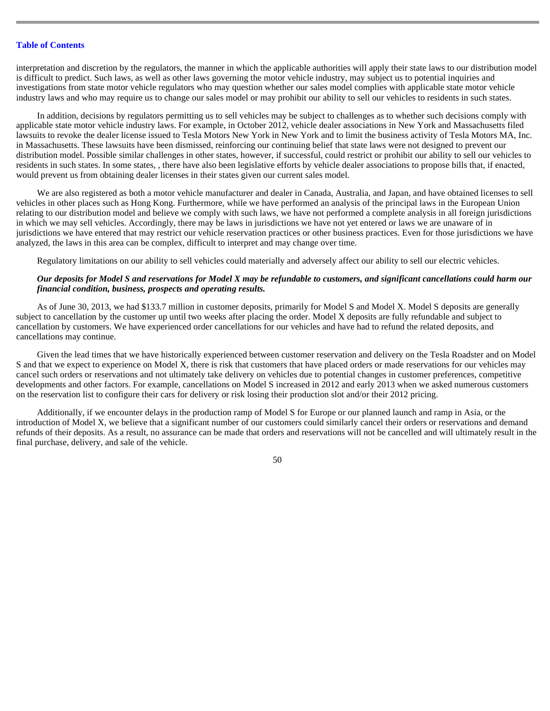interpretation and discretion by the regulators, the manner in which the applicable authorities will apply their state laws to our distribution model is difficult to predict. Such laws, as well as other laws governing the motor vehicle industry, may subject us to potential inquiries and investigations from state motor vehicle regulators who may question whether our sales model complies with applicable state motor vehicle industry laws and who may require us to change our sales model or may prohibit our ability to sell our vehicles to residents in such states.

In addition, decisions by regulators permitting us to sell vehicles may be subject to challenges as to whether such decisions comply with applicable state motor vehicle industry laws. For example, in October 2012, vehicle dealer associations in New York and Massachusetts filed lawsuits to revoke the dealer license issued to Tesla Motors New York in New York and to limit the business activity of Tesla Motors MA, Inc. in Massachusetts. These lawsuits have been dismissed, reinforcing our continuing belief that state laws were not designed to prevent our distribution model. Possible similar challenges in other states, however, if successful, could restrict or prohibit our ability to sell our vehicles to residents in such states. In some states, , there have also been legislative efforts by vehicle dealer associations to propose bills that, if enacted, would prevent us from obtaining dealer licenses in their states given our current sales model.

We are also registered as both a motor vehicle manufacturer and dealer in Canada, Australia, and Japan, and have obtained licenses to sell vehicles in other places such as Hong Kong. Furthermore, while we have performed an analysis of the principal laws in the European Union relating to our distribution model and believe we comply with such laws, we have not performed a complete analysis in all foreign jurisdictions in which we may sell vehicles. Accordingly, there may be laws in jurisdictions we have not yet entered or laws we are unaware of in jurisdictions we have entered that may restrict our vehicle reservation practices or other business practices. Even for those jurisdictions we have analyzed, the laws in this area can be complex, difficult to interpret and may change over time.

Regulatory limitations on our ability to sell vehicles could materially and adversely affect our ability to sell our electric vehicles.

## *Our deposits for Model S and reservations for Model X may be refundable to customers, and significant cancellations could harm our financial condition, business, prospects and operating results.*

As of June 30, 2013, we had \$133.7 million in customer deposits, primarily for Model S and Model X. Model S deposits are generally subject to cancellation by the customer up until two weeks after placing the order. Model X deposits are fully refundable and subject to cancellation by customers. We have experienced order cancellations for our vehicles and have had to refund the related deposits, and cancellations may continue.

Given the lead times that we have historically experienced between customer reservation and delivery on the Tesla Roadster and on Model S and that we expect to experience on Model X, there is risk that customers that have placed orders or made reservations for our vehicles may cancel such orders or reservations and not ultimately take delivery on vehicles due to potential changes in customer preferences, competitive developments and other factors. For example, cancellations on Model S increased in 2012 and early 2013 when we asked numerous customers on the reservation list to configure their cars for delivery or risk losing their production slot and/or their 2012 pricing.

Additionally, if we encounter delays in the production ramp of Model S for Europe or our planned launch and ramp in Asia, or the introduction of Model X, we believe that a significant number of our customers could similarly cancel their orders or reservations and demand refunds of their deposits. As a result, no assurance can be made that orders and reservations will not be cancelled and will ultimately result in the final purchase, delivery, and sale of the vehicle.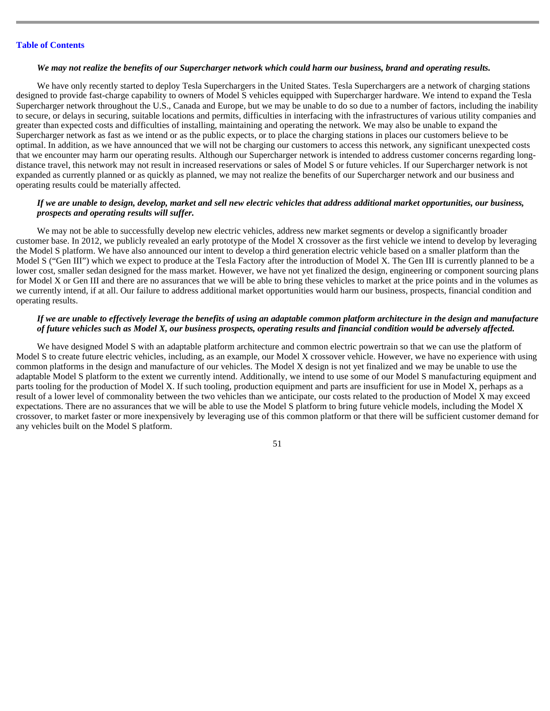#### *We may not realize the benefits of our Supercharger network which could harm our business, brand and operating results.*

We have only recently started to deploy Tesla Superchargers in the United States. Tesla Superchargers are a network of charging stations designed to provide fast-charge capability to owners of Model S vehicles equipped with Supercharger hardware. We intend to expand the Tesla Supercharger network throughout the U.S., Canada and Europe, but we may be unable to do so due to a number of factors, including the inability to secure, or delays in securing, suitable locations and permits, difficulties in interfacing with the infrastructures of various utility companies and greater than expected costs and difficulties of installing, maintaining and operating the network. We may also be unable to expand the Supercharger network as fast as we intend or as the public expects, or to place the charging stations in places our customers believe to be optimal. In addition, as we have announced that we will not be charging our customers to access this network, any significant unexpected costs that we encounter may harm our operating results. Although our Supercharger network is intended to address customer concerns regarding longdistance travel, this network may not result in increased reservations or sales of Model S or future vehicles. If our Supercharger network is not expanded as currently planned or as quickly as planned, we may not realize the benefits of our Supercharger network and our business and operating results could be materially affected.

# *If we are unable to design, develop, market and sell new electric vehicles that address additional market opportunities, our business, prospects and operating results will suffer.*

We may not be able to successfully develop new electric vehicles, address new market segments or develop a significantly broader customer base. In 2012, we publicly revealed an early prototype of the Model X crossover as the first vehicle we intend to develop by leveraging the Model S platform. We have also announced our intent to develop a third generation electric vehicle based on a smaller platform than the Model S ("Gen III") which we expect to produce at the Tesla Factory after the introduction of Model X. The Gen III is currently planned to be a lower cost, smaller sedan designed for the mass market. However, we have not yet finalized the design, engineering or component sourcing plans for Model X or Gen III and there are no assurances that we will be able to bring these vehicles to market at the price points and in the volumes as we currently intend, if at all. Our failure to address additional market opportunities would harm our business, prospects, financial condition and operating results.

#### *If we are unable to effectively leverage the benefits of using an adaptable common platform architecture in the design and manufacture of future vehicles such as Model X, our business prospects, operating results and financial condition would be adversely affected.*

We have designed Model S with an adaptable platform architecture and common electric powertrain so that we can use the platform of Model S to create future electric vehicles, including, as an example, our Model X crossover vehicle. However, we have no experience with using common platforms in the design and manufacture of our vehicles. The Model X design is not yet finalized and we may be unable to use the adaptable Model S platform to the extent we currently intend. Additionally, we intend to use some of our Model S manufacturing equipment and parts tooling for the production of Model X. If such tooling, production equipment and parts are insufficient for use in Model X, perhaps as a result of a lower level of commonality between the two vehicles than we anticipate, our costs related to the production of Model X may exceed expectations. There are no assurances that we will be able to use the Model S platform to bring future vehicle models, including the Model X crossover, to market faster or more inexpensively by leveraging use of this common platform or that there will be sufficient customer demand for any vehicles built on the Model S platform.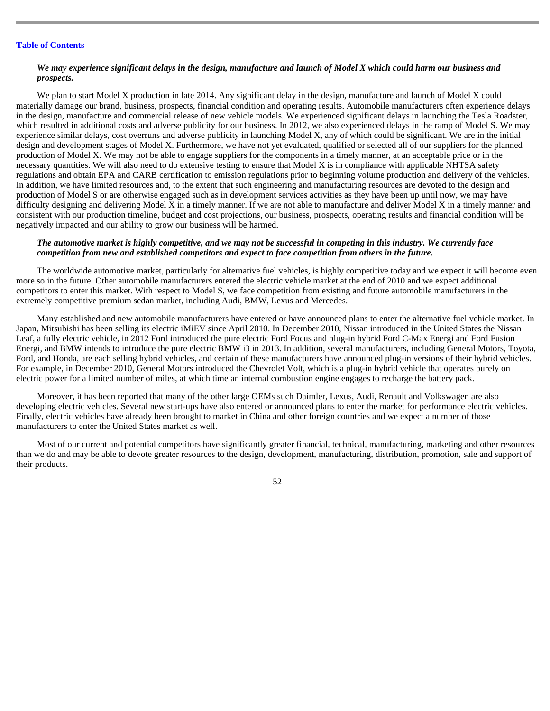## *We may experience significant delays in the design, manufacture and launch of Model X which could harm our business and prospects.*

We plan to start Model X production in late 2014. Any significant delay in the design, manufacture and launch of Model X could materially damage our brand, business, prospects, financial condition and operating results. Automobile manufacturers often experience delays in the design, manufacture and commercial release of new vehicle models. We experienced significant delays in launching the Tesla Roadster, which resulted in additional costs and adverse publicity for our business. In 2012, we also experienced delays in the ramp of Model S. We may experience similar delays, cost overruns and adverse publicity in launching Model X, any of which could be significant. We are in the initial design and development stages of Model X. Furthermore, we have not yet evaluated, qualified or selected all of our suppliers for the planned production of Model X. We may not be able to engage suppliers for the components in a timely manner, at an acceptable price or in the necessary quantities. We will also need to do extensive testing to ensure that Model X is in compliance with applicable NHTSA safety regulations and obtain EPA and CARB certification to emission regulations prior to beginning volume production and delivery of the vehicles. In addition, we have limited resources and, to the extent that such engineering and manufacturing resources are devoted to the design and production of Model S or are otherwise engaged such as in development services activities as they have been up until now, we may have difficulty designing and delivering Model X in a timely manner. If we are not able to manufacture and deliver Model X in a timely manner and consistent with our production timeline, budget and cost projections, our business, prospects, operating results and financial condition will be negatively impacted and our ability to grow our business will be harmed.

# *The automotive market is highly competitive, and we may not be successful in competing in this industry. We currently face competition from new and established competitors and expect to face competition from others in the future.*

The worldwide automotive market, particularly for alternative fuel vehicles, is highly competitive today and we expect it will become even more so in the future. Other automobile manufacturers entered the electric vehicle market at the end of 2010 and we expect additional competitors to enter this market. With respect to Model S, we face competition from existing and future automobile manufacturers in the extremely competitive premium sedan market, including Audi, BMW, Lexus and Mercedes.

Many established and new automobile manufacturers have entered or have announced plans to enter the alternative fuel vehicle market. In Japan, Mitsubishi has been selling its electric iMiEV since April 2010. In December 2010, Nissan introduced in the United States the Nissan Leaf, a fully electric vehicle, in 2012 Ford introduced the pure electric Ford Focus and plug-in hybrid Ford C-Max Energi and Ford Fusion Energi, and BMW intends to introduce the pure electric BMW i3 in 2013. In addition, several manufacturers, including General Motors, Toyota, Ford, and Honda, are each selling hybrid vehicles, and certain of these manufacturers have announced plug-in versions of their hybrid vehicles. For example, in December 2010, General Motors introduced the Chevrolet Volt, which is a plug-in hybrid vehicle that operates purely on electric power for a limited number of miles, at which time an internal combustion engine engages to recharge the battery pack.

Moreover, it has been reported that many of the other large OEMs such Daimler, Lexus, Audi, Renault and Volkswagen are also developing electric vehicles. Several new start-ups have also entered or announced plans to enter the market for performance electric vehicles. Finally, electric vehicles have already been brought to market in China and other foreign countries and we expect a number of those manufacturers to enter the United States market as well.

Most of our current and potential competitors have significantly greater financial, technical, manufacturing, marketing and other resources than we do and may be able to devote greater resources to the design, development, manufacturing, distribution, promotion, sale and support of their products.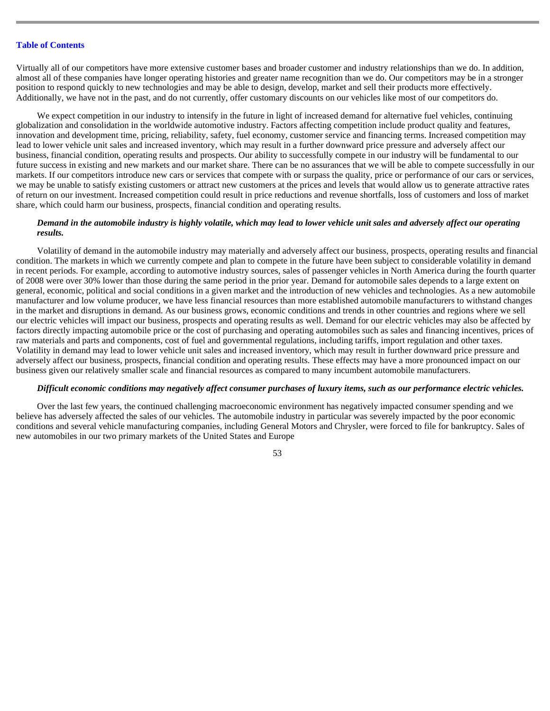Virtually all of our competitors have more extensive customer bases and broader customer and industry relationships than we do. In addition, almost all of these companies have longer operating histories and greater name recognition than we do. Our competitors may be in a stronger position to respond quickly to new technologies and may be able to design, develop, market and sell their products more effectively. Additionally, we have not in the past, and do not currently, offer customary discounts on our vehicles like most of our competitors do.

We expect competition in our industry to intensify in the future in light of increased demand for alternative fuel vehicles, continuing globalization and consolidation in the worldwide automotive industry. Factors affecting competition include product quality and features, innovation and development time, pricing, reliability, safety, fuel economy, customer service and financing terms. Increased competition may lead to lower vehicle unit sales and increased inventory, which may result in a further downward price pressure and adversely affect our business, financial condition, operating results and prospects. Our ability to successfully compete in our industry will be fundamental to our future success in existing and new markets and our market share. There can be no assurances that we will be able to compete successfully in our markets. If our competitors introduce new cars or services that compete with or surpass the quality, price or performance of our cars or services, we may be unable to satisfy existing customers or attract new customers at the prices and levels that would allow us to generate attractive rates of return on our investment. Increased competition could result in price reductions and revenue shortfalls, loss of customers and loss of market share, which could harm our business, prospects, financial condition and operating results.

# *Demand in the automobile industry is highly volatile, which may lead to lower vehicle unit sales and adversely affect our operating results.*

Volatility of demand in the automobile industry may materially and adversely affect our business, prospects, operating results and financial condition. The markets in which we currently compete and plan to compete in the future have been subject to considerable volatility in demand in recent periods. For example, according to automotive industry sources, sales of passenger vehicles in North America during the fourth quarter of 2008 were over 30% lower than those during the same period in the prior year. Demand for automobile sales depends to a large extent on general, economic, political and social conditions in a given market and the introduction of new vehicles and technologies. As a new automobile manufacturer and low volume producer, we have less financial resources than more established automobile manufacturers to withstand changes in the market and disruptions in demand. As our business grows, economic conditions and trends in other countries and regions where we sell our electric vehicles will impact our business, prospects and operating results as well. Demand for our electric vehicles may also be affected by factors directly impacting automobile price or the cost of purchasing and operating automobiles such as sales and financing incentives, prices of raw materials and parts and components, cost of fuel and governmental regulations, including tariffs, import regulation and other taxes. Volatility in demand may lead to lower vehicle unit sales and increased inventory, which may result in further downward price pressure and adversely affect our business, prospects, financial condition and operating results. These effects may have a more pronounced impact on our business given our relatively smaller scale and financial resources as compared to many incumbent automobile manufacturers.

#### *Difficult economic conditions may negatively affect consumer purchases of luxury items, such as our performance electric vehicles.*

Over the last few years, the continued challenging macroeconomic environment has negatively impacted consumer spending and we believe has adversely affected the sales of our vehicles. The automobile industry in particular was severely impacted by the poor economic conditions and several vehicle manufacturing companies, including General Motors and Chrysler, were forced to file for bankruptcy. Sales of new automobiles in our two primary markets of the United States and Europe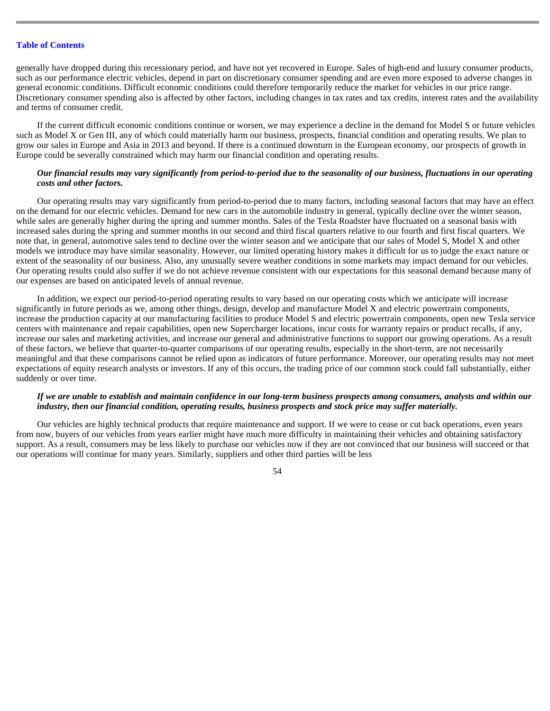generally have dropped during this recessionary period, and have not yet recovered in Europe. Sales of high-end and luxury consumer products, such as our performance electric vehicles, depend in part on discretionary consumer spending and are even more exposed to adverse changes in general economic conditions. Difficult economic conditions could therefore temporarily reduce the market for vehicles in our price range. Discretionary consumer spending also is affected by other factors, including changes in tax rates and tax credits, interest rates and the availability and terms of consumer credit.

If the current difficult economic conditions continue or worsen, we may experience a decline in the demand for Model S or future vehicles such as Model X or Gen III, any of which could materially harm our business, prospects, financial condition and operating results. We plan to grow our sales in Europe and Asia in 2013 and beyond. If there is a continued downturn in the European economy, our prospects of growth in Europe could be severally constrained which may harm our financial condition and operating results.

## *Our financial results may vary significantly from period-to-period due to the seasonality of our business, fluctuations in our operating costs and other factors.*

Our operating results may vary significantly from period-to-period due to many factors, including seasonal factors that may have an effect on the demand for our electric vehicles. Demand for new cars in the automobile industry in general, typically decline over the winter season, while sales are generally higher during the spring and summer months. Sales of the Tesla Roadster have fluctuated on a seasonal basis with increased sales during the spring and summer months in our second and third fiscal quarters relative to our fourth and first fiscal quarters. We note that, in general, automotive sales tend to decline over the winter season and we anticipate that our sales of Model S, Model X and other models we introduce may have similar seasonality. However, our limited operating history makes it difficult for us to judge the exact nature or extent of the seasonality of our business. Also, any unusually severe weather conditions in some markets may impact demand for our vehicles. Our operating results could also suffer if we do not achieve revenue consistent with our expectations for this seasonal demand because many of our expenses are based on anticipated levels of annual revenue.

In addition, we expect our period-to-period operating results to vary based on our operating costs which we anticipate will increase significantly in future periods as we, among other things, design, develop and manufacture Model X and electric powertrain components, increase the production capacity at our manufacturing facilities to produce Model S and electric powertrain components, open new Tesla service centers with maintenance and repair capabilities, open new Supercharger locations, incur costs for warranty repairs or product recalls, if any, increase our sales and marketing activities, and increase our general and administrative functions to support our growing operations. As a result of these factors, we believe that quarter-to-quarter comparisons of our operating results, especially in the short-term, are not necessarily meaningful and that these comparisons cannot be relied upon as indicators of future performance. Moreover, our operating results may not meet expectations of equity research analysts or investors. If any of this occurs, the trading price of our common stock could fall substantially, either suddenly or over time.

## *If we are unable to establish and maintain confidence in our long-term business prospects among consumers, analysts and within our industry, then our financial condition, operating results, business prospects and stock price may suffer materially.*

Our vehicles are highly technical products that require maintenance and support. If we were to cease or cut back operations, even years from now, buyers of our vehicles from years earlier might have much more difficulty in maintaining their vehicles and obtaining satisfactory support. As a result, consumers may be less likely to purchase our vehicles now if they are not convinced that our business will succeed or that our operations will continue for many years. Similarly, suppliers and other third parties will be less

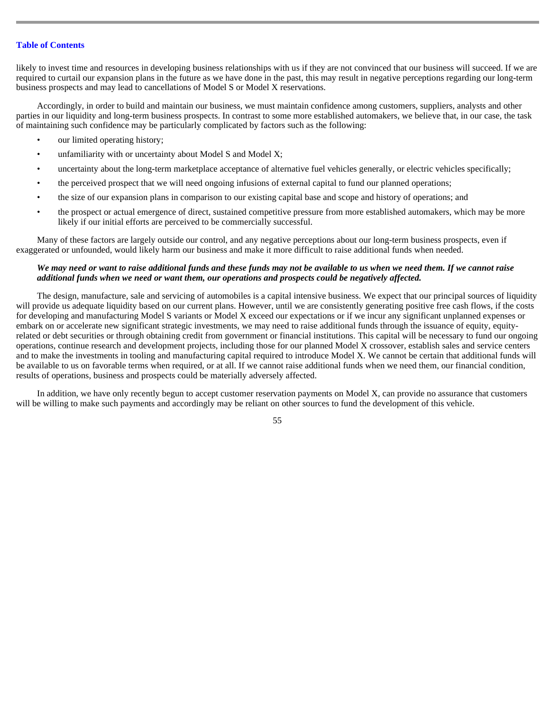likely to invest time and resources in developing business relationships with us if they are not convinced that our business will succeed. If we are required to curtail our expansion plans in the future as we have done in the past, this may result in negative perceptions regarding our long-term business prospects and may lead to cancellations of Model S or Model X reservations.

Accordingly, in order to build and maintain our business, we must maintain confidence among customers, suppliers, analysts and other parties in our liquidity and long-term business prospects. In contrast to some more established automakers, we believe that, in our case, the task of maintaining such confidence may be particularly complicated by factors such as the following:

- our limited operating history:
- unfamiliarity with or uncertainty about Model S and Model X;
- uncertainty about the long-term marketplace acceptance of alternative fuel vehicles generally, or electric vehicles specifically;
- the perceived prospect that we will need ongoing infusions of external capital to fund our planned operations;
- the size of our expansion plans in comparison to our existing capital base and scope and history of operations; and
- the prospect or actual emergence of direct, sustained competitive pressure from more established automakers, which may be more likely if our initial efforts are perceived to be commercially successful.

Many of these factors are largely outside our control, and any negative perceptions about our long-term business prospects, even if exaggerated or unfounded, would likely harm our business and make it more difficult to raise additional funds when needed.

## *We may need or want to raise additional funds and these funds may not be available to us when we need them. If we cannot raise additional funds when we need or want them, our operations and prospects could be negatively affected.*

The design, manufacture, sale and servicing of automobiles is a capital intensive business. We expect that our principal sources of liquidity will provide us adequate liquidity based on our current plans. However, until we are consistently generating positive free cash flows, if the costs for developing and manufacturing Model S variants or Model X exceed our expectations or if we incur any significant unplanned expenses or embark on or accelerate new significant strategic investments, we may need to raise additional funds through the issuance of equity, equityrelated or debt securities or through obtaining credit from government or financial institutions. This capital will be necessary to fund our ongoing operations, continue research and development projects, including those for our planned Model X crossover, establish sales and service centers and to make the investments in tooling and manufacturing capital required to introduce Model X. We cannot be certain that additional funds will be available to us on favorable terms when required, or at all. If we cannot raise additional funds when we need them, our financial condition, results of operations, business and prospects could be materially adversely affected.

In addition, we have only recently begun to accept customer reservation payments on Model X, can provide no assurance that customers will be willing to make such payments and accordingly may be reliant on other sources to fund the development of this vehicle.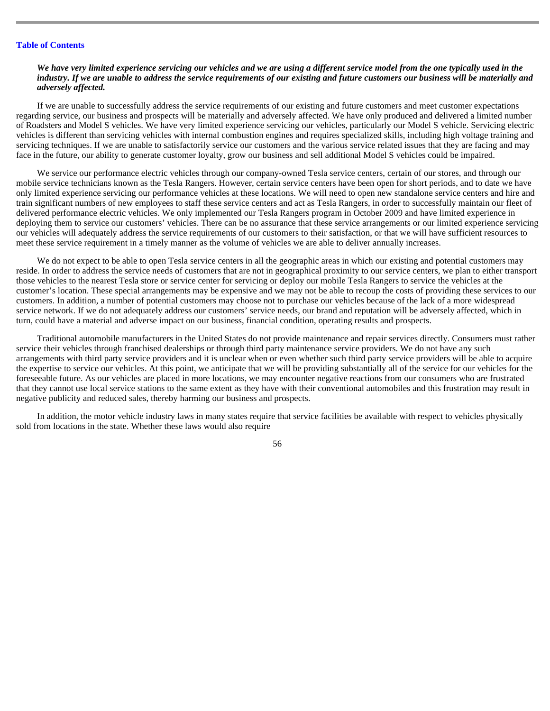## *We have very limited experience servicing our vehicles and we are using a different service model from the one typically used in the industry. If we are unable to address the service requirements of our existing and future customers our business will be materially and adversely affected.*

If we are unable to successfully address the service requirements of our existing and future customers and meet customer expectations regarding service, our business and prospects will be materially and adversely affected. We have only produced and delivered a limited number of Roadsters and Model S vehicles. We have very limited experience servicing our vehicles, particularly our Model S vehicle. Servicing electric vehicles is different than servicing vehicles with internal combustion engines and requires specialized skills, including high voltage training and servicing techniques. If we are unable to satisfactorily service our customers and the various service related issues that they are facing and may face in the future, our ability to generate customer loyalty, grow our business and sell additional Model S vehicles could be impaired.

We service our performance electric vehicles through our company-owned Tesla service centers, certain of our stores, and through our mobile service technicians known as the Tesla Rangers. However, certain service centers have been open for short periods, and to date we have only limited experience servicing our performance vehicles at these locations. We will need to open new standalone service centers and hire and train significant numbers of new employees to staff these service centers and act as Tesla Rangers, in order to successfully maintain our fleet of delivered performance electric vehicles. We only implemented our Tesla Rangers program in October 2009 and have limited experience in deploying them to service our customers' vehicles. There can be no assurance that these service arrangements or our limited experience servicing our vehicles will adequately address the service requirements of our customers to their satisfaction, or that we will have sufficient resources to meet these service requirement in a timely manner as the volume of vehicles we are able to deliver annually increases.

We do not expect to be able to open Tesla service centers in all the geographic areas in which our existing and potential customers may reside. In order to address the service needs of customers that are not in geographical proximity to our service centers, we plan to either transport those vehicles to the nearest Tesla store or service center for servicing or deploy our mobile Tesla Rangers to service the vehicles at the customer's location. These special arrangements may be expensive and we may not be able to recoup the costs of providing these services to our customers. In addition, a number of potential customers may choose not to purchase our vehicles because of the lack of a more widespread service network. If we do not adequately address our customers' service needs, our brand and reputation will be adversely affected, which in turn, could have a material and adverse impact on our business, financial condition, operating results and prospects.

Traditional automobile manufacturers in the United States do not provide maintenance and repair services directly. Consumers must rather service their vehicles through franchised dealerships or through third party maintenance service providers. We do not have any such arrangements with third party service providers and it is unclear when or even whether such third party service providers will be able to acquire the expertise to service our vehicles. At this point, we anticipate that we will be providing substantially all of the service for our vehicles for the foreseeable future. As our vehicles are placed in more locations, we may encounter negative reactions from our consumers who are frustrated that they cannot use local service stations to the same extent as they have with their conventional automobiles and this frustration may result in negative publicity and reduced sales, thereby harming our business and prospects.

In addition, the motor vehicle industry laws in many states require that service facilities be available with respect to vehicles physically sold from locations in the state. Whether these laws would also require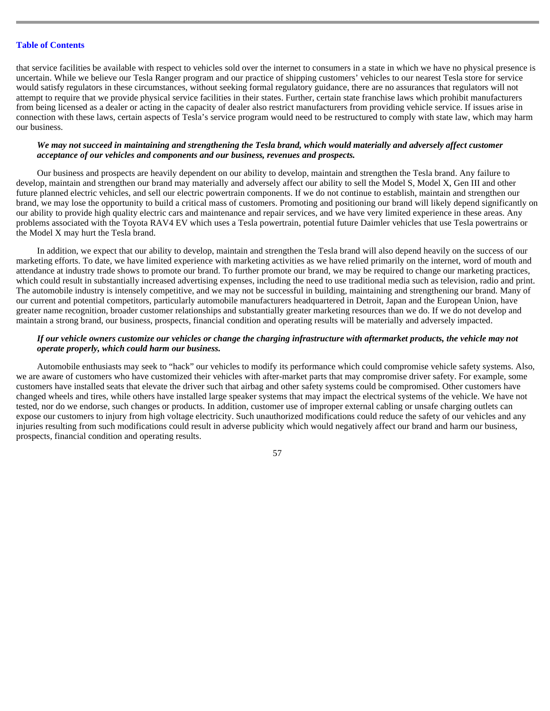that service facilities be available with respect to vehicles sold over the internet to consumers in a state in which we have no physical presence is uncertain. While we believe our Tesla Ranger program and our practice of shipping customers' vehicles to our nearest Tesla store for service would satisfy regulators in these circumstances, without seeking formal regulatory guidance, there are no assurances that regulators will not attempt to require that we provide physical service facilities in their states. Further, certain state franchise laws which prohibit manufacturers from being licensed as a dealer or acting in the capacity of dealer also restrict manufacturers from providing vehicle service. If issues arise in connection with these laws, certain aspects of Tesla's service program would need to be restructured to comply with state law, which may harm our business.

### *We may not succeed in maintaining and strengthening the Tesla brand, which would materially and adversely affect customer acceptance of our vehicles and components and our business, revenues and prospects.*

Our business and prospects are heavily dependent on our ability to develop, maintain and strengthen the Tesla brand. Any failure to develop, maintain and strengthen our brand may materially and adversely affect our ability to sell the Model S, Model X, Gen III and other future planned electric vehicles, and sell our electric powertrain components. If we do not continue to establish, maintain and strengthen our brand, we may lose the opportunity to build a critical mass of customers. Promoting and positioning our brand will likely depend significantly on our ability to provide high quality electric cars and maintenance and repair services, and we have very limited experience in these areas. Any problems associated with the Toyota RAV4 EV which uses a Tesla powertrain, potential future Daimler vehicles that use Tesla powertrains or the Model X may hurt the Tesla brand.

In addition, we expect that our ability to develop, maintain and strengthen the Tesla brand will also depend heavily on the success of our marketing efforts. To date, we have limited experience with marketing activities as we have relied primarily on the internet, word of mouth and attendance at industry trade shows to promote our brand. To further promote our brand, we may be required to change our marketing practices, which could result in substantially increased advertising expenses, including the need to use traditional media such as television, radio and print. The automobile industry is intensely competitive, and we may not be successful in building, maintaining and strengthening our brand. Many of our current and potential competitors, particularly automobile manufacturers headquartered in Detroit, Japan and the European Union, have greater name recognition, broader customer relationships and substantially greater marketing resources than we do. If we do not develop and maintain a strong brand, our business, prospects, financial condition and operating results will be materially and adversely impacted.

### *If our vehicle owners customize our vehicles or change the charging infrastructure with aftermarket products, the vehicle may not operate properly, which could harm our business.*

Automobile enthusiasts may seek to "hack" our vehicles to modify its performance which could compromise vehicle safety systems. Also, we are aware of customers who have customized their vehicles with after-market parts that may compromise driver safety. For example, some customers have installed seats that elevate the driver such that airbag and other safety systems could be compromised. Other customers have changed wheels and tires, while others have installed large speaker systems that may impact the electrical systems of the vehicle. We have not tested, nor do we endorse, such changes or products. In addition, customer use of improper external cabling or unsafe charging outlets can expose our customers to injury from high voltage electricity. Such unauthorized modifications could reduce the safety of our vehicles and any injuries resulting from such modifications could result in adverse publicity which would negatively affect our brand and harm our business, prospects, financial condition and operating results.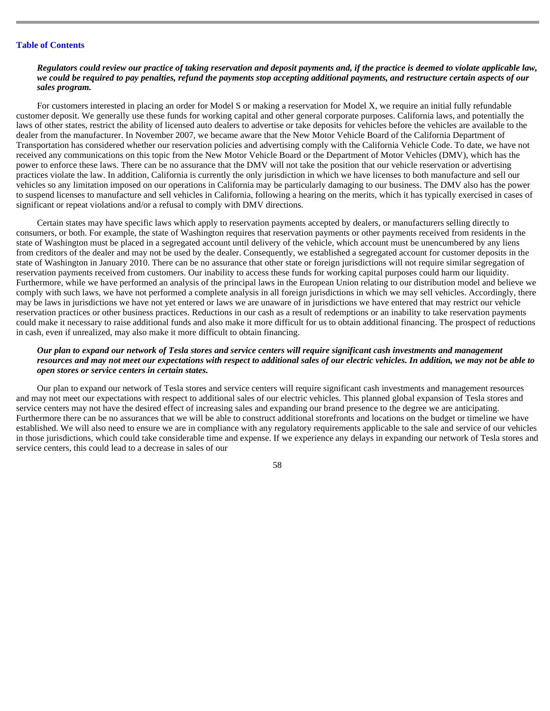# *Regulators could review our practice of taking reservation and deposit payments and, if the practice is deemed to violate applicable law, we could be required to pay penalties, refund the payments stop accepting additional payments, and restructure certain aspects of our sales program.*

For customers interested in placing an order for Model S or making a reservation for Model X, we require an initial fully refundable customer deposit. We generally use these funds for working capital and other general corporate purposes. California laws, and potentially the laws of other states, restrict the ability of licensed auto dealers to advertise or take deposits for vehicles before the vehicles are available to the dealer from the manufacturer. In November 2007, we became aware that the New Motor Vehicle Board of the California Department of Transportation has considered whether our reservation policies and advertising comply with the California Vehicle Code. To date, we have not received any communications on this topic from the New Motor Vehicle Board or the Department of Motor Vehicles (DMV), which has the power to enforce these laws. There can be no assurance that the DMV will not take the position that our vehicle reservation or advertising practices violate the law. In addition, California is currently the only jurisdiction in which we have licenses to both manufacture and sell our vehicles so any limitation imposed on our operations in California may be particularly damaging to our business. The DMV also has the power to suspend licenses to manufacture and sell vehicles in California, following a hearing on the merits, which it has typically exercised in cases of significant or repeat violations and/or a refusal to comply with DMV directions.

Certain states may have specific laws which apply to reservation payments accepted by dealers, or manufacturers selling directly to consumers, or both. For example, the state of Washington requires that reservation payments or other payments received from residents in the state of Washington must be placed in a segregated account until delivery of the vehicle, which account must be unencumbered by any liens from creditors of the dealer and may not be used by the dealer. Consequently, we established a segregated account for customer deposits in the state of Washington in January 2010. There can be no assurance that other state or foreign jurisdictions will not require similar segregation of reservation payments received from customers. Our inability to access these funds for working capital purposes could harm our liquidity. Furthermore, while we have performed an analysis of the principal laws in the European Union relating to our distribution model and believe we comply with such laws, we have not performed a complete analysis in all foreign jurisdictions in which we may sell vehicles. Accordingly, there may be laws in jurisdictions we have not yet entered or laws we are unaware of in jurisdictions we have entered that may restrict our vehicle reservation practices or other business practices. Reductions in our cash as a result of redemptions or an inability to take reservation payments could make it necessary to raise additional funds and also make it more difficult for us to obtain additional financing. The prospect of reductions in cash, even if unrealized, may also make it more difficult to obtain financing.

# *Our plan to expand our network of Tesla stores and service centers will require significant cash investments and management resources and may not meet our expectations with respect to additional sales of our electric vehicles. In addition, we may not be able to open stores or service centers in certain states.*

Our plan to expand our network of Tesla stores and service centers will require significant cash investments and management resources and may not meet our expectations with respect to additional sales of our electric vehicles. This planned global expansion of Tesla stores and service centers may not have the desired effect of increasing sales and expanding our brand presence to the degree we are anticipating. Furthermore there can be no assurances that we will be able to construct additional storefronts and locations on the budget or timeline we have established. We will also need to ensure we are in compliance with any regulatory requirements applicable to the sale and service of our vehicles in those jurisdictions, which could take considerable time and expense. If we experience any delays in expanding our network of Tesla stores and service centers, this could lead to a decrease in sales of our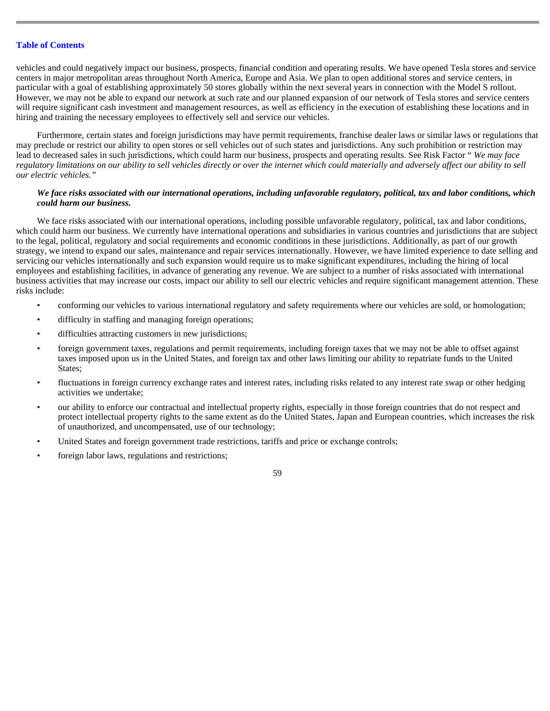vehicles and could negatively impact our business, prospects, financial condition and operating results. We have opened Tesla stores and service centers in major metropolitan areas throughout North America, Europe and Asia. We plan to open additional stores and service centers, in particular with a goal of establishing approximately 50 stores globally within the next several years in connection with the Model S rollout. However, we may not be able to expand our network at such rate and our planned expansion of our network of Tesla stores and service centers will require significant cash investment and management resources, as well as efficiency in the execution of establishing these locations and in hiring and training the necessary employees to effectively sell and service our vehicles.

Furthermore, certain states and foreign jurisdictions may have permit requirements, franchise dealer laws or similar laws or regulations that may preclude or restrict our ability to open stores or sell vehicles out of such states and jurisdictions. Any such prohibition or restriction may lead to decreased sales in such jurisdictions, which could harm our business, prospects and operating results. See Risk Factor " *We may face regulatory limitations on our ability to sell vehicles directly or over the internet which could materially and adversely affect our ability to sell our electric vehicles."* 

## *We face risks associated with our international operations, including unfavorable regulatory, political, tax and labor conditions, which could harm our business.*

We face risks associated with our international operations, including possible unfavorable regulatory, political, tax and labor conditions, which could harm our business. We currently have international operations and subsidiaries in various countries and jurisdictions that are subject to the legal, political, regulatory and social requirements and economic conditions in these jurisdictions. Additionally, as part of our growth strategy, we intend to expand our sales, maintenance and repair services internationally. However, we have limited experience to date selling and servicing our vehicles internationally and such expansion would require us to make significant expenditures, including the hiring of local employees and establishing facilities, in advance of generating any revenue. We are subject to a number of risks associated with international business activities that may increase our costs, impact our ability to sell our electric vehicles and require significant management attention. These risks include:

- conforming our vehicles to various international regulatory and safety requirements where our vehicles are sold, or homologation;
- difficulty in staffing and managing foreign operations;
- difficulties attracting customers in new jurisdictions;
- foreign government taxes, regulations and permit requirements, including foreign taxes that we may not be able to offset against taxes imposed upon us in the United States, and foreign tax and other laws limiting our ability to repatriate funds to the United States;
- fluctuations in foreign currency exchange rates and interest rates, including risks related to any interest rate swap or other hedging activities we undertake;
- our ability to enforce our contractual and intellectual property rights, especially in those foreign countries that do not respect and protect intellectual property rights to the same extent as do the United States, Japan and European countries, which increases the risk of unauthorized, and uncompensated, use of our technology;
- United States and foreign government trade restrictions, tariffs and price or exchange controls;
- foreign labor laws, regulations and restrictions;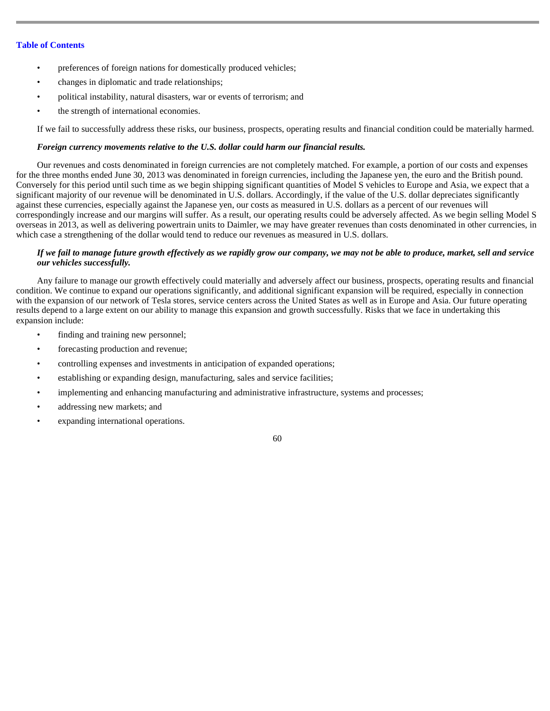- preferences of foreign nations for domestically produced vehicles;
- changes in diplomatic and trade relationships;
- political instability, natural disasters, war or events of terrorism; and
- the strength of international economies.

If we fail to successfully address these risks, our business, prospects, operating results and financial condition could be materially harmed.

# *Foreign currency movements relative to the U.S. dollar could harm our financial results.*

Our revenues and costs denominated in foreign currencies are not completely matched. For example, a portion of our costs and expenses for the three months ended June 30, 2013 was denominated in foreign currencies, including the Japanese yen, the euro and the British pound. Conversely for this period until such time as we begin shipping significant quantities of Model S vehicles to Europe and Asia, we expect that a significant majority of our revenue will be denominated in U.S. dollars. Accordingly, if the value of the U.S. dollar depreciates significantly against these currencies, especially against the Japanese yen, our costs as measured in U.S. dollars as a percent of our revenues will correspondingly increase and our margins will suffer. As a result, our operating results could be adversely affected. As we begin selling Model S overseas in 2013, as well as delivering powertrain units to Daimler, we may have greater revenues than costs denominated in other currencies, in which case a strengthening of the dollar would tend to reduce our revenues as measured in U.S. dollars.

## *If we fail to manage future growth effectively as we rapidly grow our company, we may not be able to produce, market, sell and service our vehicles successfully.*

Any failure to manage our growth effectively could materially and adversely affect our business, prospects, operating results and financial condition. We continue to expand our operations significantly, and additional significant expansion will be required, especially in connection with the expansion of our network of Tesla stores, service centers across the United States as well as in Europe and Asia. Our future operating results depend to a large extent on our ability to manage this expansion and growth successfully. Risks that we face in undertaking this expansion include:

- finding and training new personnel;
- forecasting production and revenue;
- controlling expenses and investments in anticipation of expanded operations;
- establishing or expanding design, manufacturing, sales and service facilities;
- implementing and enhancing manufacturing and administrative infrastructure, systems and processes;
- addressing new markets; and
- expanding international operations.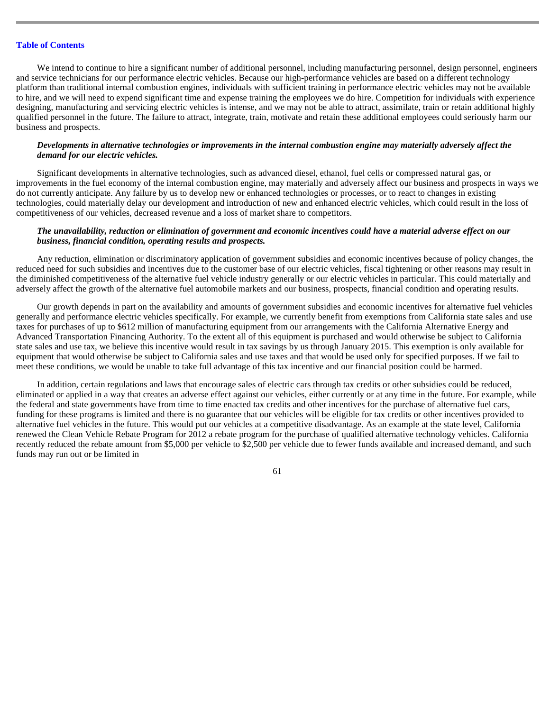We intend to continue to hire a significant number of additional personnel, including manufacturing personnel, design personnel, engineers and service technicians for our performance electric vehicles. Because our high-performance vehicles are based on a different technology platform than traditional internal combustion engines, individuals with sufficient training in performance electric vehicles may not be available to hire, and we will need to expend significant time and expense training the employees we do hire. Competition for individuals with experience designing, manufacturing and servicing electric vehicles is intense, and we may not be able to attract, assimilate, train or retain additional highly qualified personnel in the future. The failure to attract, integrate, train, motivate and retain these additional employees could seriously harm our business and prospects.

## *Developments in alternative technologies or improvements in the internal combustion engine may materially adversely affect the demand for our electric vehicles.*

Significant developments in alternative technologies, such as advanced diesel, ethanol, fuel cells or compressed natural gas, or improvements in the fuel economy of the internal combustion engine, may materially and adversely affect our business and prospects in ways we do not currently anticipate. Any failure by us to develop new or enhanced technologies or processes, or to react to changes in existing technologies, could materially delay our development and introduction of new and enhanced electric vehicles, which could result in the loss of competitiveness of our vehicles, decreased revenue and a loss of market share to competitors.

# *The unavailability, reduction or elimination of government and economic incentives could have a material adverse effect on our business, financial condition, operating results and prospects.*

Any reduction, elimination or discriminatory application of government subsidies and economic incentives because of policy changes, the reduced need for such subsidies and incentives due to the customer base of our electric vehicles, fiscal tightening or other reasons may result in the diminished competitiveness of the alternative fuel vehicle industry generally or our electric vehicles in particular. This could materially and adversely affect the growth of the alternative fuel automobile markets and our business, prospects, financial condition and operating results.

Our growth depends in part on the availability and amounts of government subsidies and economic incentives for alternative fuel vehicles generally and performance electric vehicles specifically. For example, we currently benefit from exemptions from California state sales and use taxes for purchases of up to \$612 million of manufacturing equipment from our arrangements with the California Alternative Energy and Advanced Transportation Financing Authority. To the extent all of this equipment is purchased and would otherwise be subject to California state sales and use tax, we believe this incentive would result in tax savings by us through January 2015. This exemption is only available for equipment that would otherwise be subject to California sales and use taxes and that would be used only for specified purposes. If we fail to meet these conditions, we would be unable to take full advantage of this tax incentive and our financial position could be harmed.

In addition, certain regulations and laws that encourage sales of electric cars through tax credits or other subsidies could be reduced, eliminated or applied in a way that creates an adverse effect against our vehicles, either currently or at any time in the future. For example, while the federal and state governments have from time to time enacted tax credits and other incentives for the purchase of alternative fuel cars, funding for these programs is limited and there is no guarantee that our vehicles will be eligible for tax credits or other incentives provided to alternative fuel vehicles in the future. This would put our vehicles at a competitive disadvantage. As an example at the state level, California renewed the Clean Vehicle Rebate Program for 2012 a rebate program for the purchase of qualified alternative technology vehicles. California recently reduced the rebate amount from \$5,000 per vehicle to \$2,500 per vehicle due to fewer funds available and increased demand, and such funds may run out or be limited in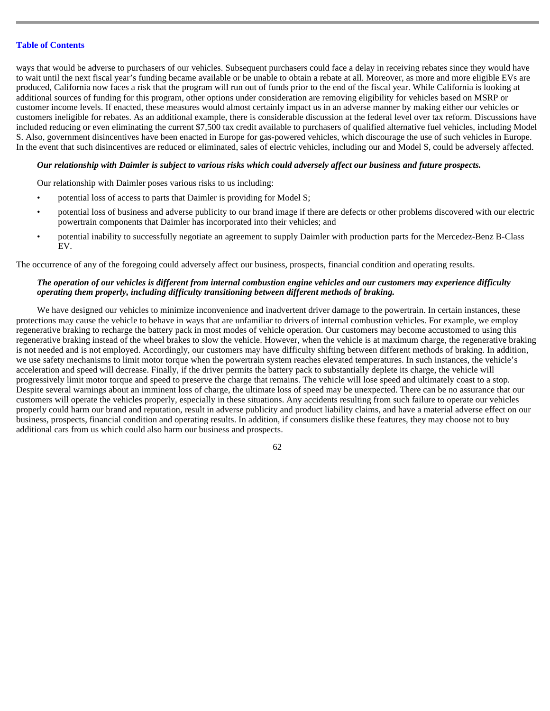ways that would be adverse to purchasers of our vehicles. Subsequent purchasers could face a delay in receiving rebates since they would have to wait until the next fiscal year's funding became available or be unable to obtain a rebate at all. Moreover, as more and more eligible EVs are produced, California now faces a risk that the program will run out of funds prior to the end of the fiscal year. While California is looking at additional sources of funding for this program, other options under consideration are removing eligibility for vehicles based on MSRP or customer income levels. If enacted, these measures would almost certainly impact us in an adverse manner by making either our vehicles or customers ineligible for rebates. As an additional example, there is considerable discussion at the federal level over tax reform. Discussions have included reducing or even eliminating the current \$7,500 tax credit available to purchasers of qualified alternative fuel vehicles, including Model S. Also, government disincentives have been enacted in Europe for gas-powered vehicles, which discourage the use of such vehicles in Europe. In the event that such disincentives are reduced or eliminated, sales of electric vehicles, including our and Model S, could be adversely affected.

#### *Our relationship with Daimler is subject to various risks which could adversely affect our business and future prospects.*

Our relationship with Daimler poses various risks to us including:

- potential loss of access to parts that Daimler is providing for Model S;
- potential loss of business and adverse publicity to our brand image if there are defects or other problems discovered with our electric powertrain components that Daimler has incorporated into their vehicles; and
- potential inability to successfully negotiate an agreement to supply Daimler with production parts for the Mercedez-Benz B-Class EV.

The occurrence of any of the foregoing could adversely affect our business, prospects, financial condition and operating results.

# *The operation of our vehicles is different from internal combustion engine vehicles and our customers may experience difficulty operating them properly, including difficulty transitioning between different methods of braking.*

We have designed our vehicles to minimize inconvenience and inadvertent driver damage to the powertrain. In certain instances, these protections may cause the vehicle to behave in ways that are unfamiliar to drivers of internal combustion vehicles. For example, we employ regenerative braking to recharge the battery pack in most modes of vehicle operation. Our customers may become accustomed to using this regenerative braking instead of the wheel brakes to slow the vehicle. However, when the vehicle is at maximum charge, the regenerative braking is not needed and is not employed. Accordingly, our customers may have difficulty shifting between different methods of braking. In addition, we use safety mechanisms to limit motor torque when the powertrain system reaches elevated temperatures. In such instances, the vehicle's acceleration and speed will decrease. Finally, if the driver permits the battery pack to substantially deplete its charge, the vehicle will progressively limit motor torque and speed to preserve the charge that remains. The vehicle will lose speed and ultimately coast to a stop. Despite several warnings about an imminent loss of charge, the ultimate loss of speed may be unexpected. There can be no assurance that our customers will operate the vehicles properly, especially in these situations. Any accidents resulting from such failure to operate our vehicles properly could harm our brand and reputation, result in adverse publicity and product liability claims, and have a material adverse effect on our business, prospects, financial condition and operating results. In addition, if consumers dislike these features, they may choose not to buy additional cars from us which could also harm our business and prospects.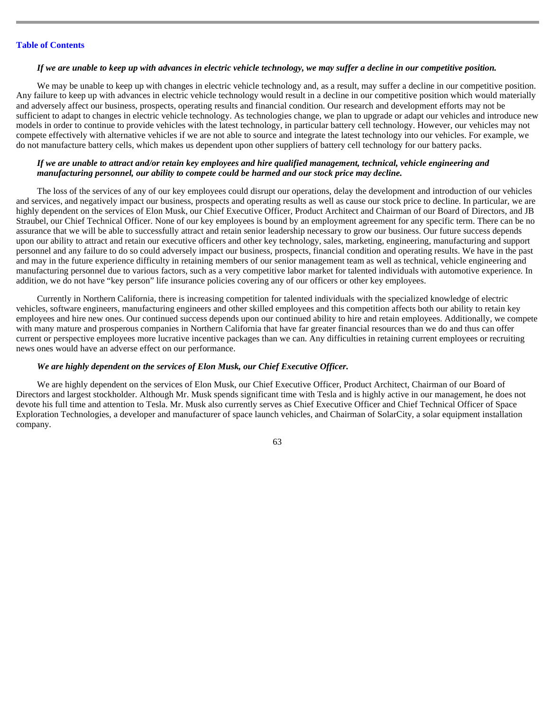# *If we are unable to keep up with advances in electric vehicle technology, we may suffer a decline in our competitive position.*

We may be unable to keep up with changes in electric vehicle technology and, as a result, may suffer a decline in our competitive position. Any failure to keep up with advances in electric vehicle technology would result in a decline in our competitive position which would materially and adversely affect our business, prospects, operating results and financial condition. Our research and development efforts may not be sufficient to adapt to changes in electric vehicle technology. As technologies change, we plan to upgrade or adapt our vehicles and introduce new models in order to continue to provide vehicles with the latest technology, in particular battery cell technology. However, our vehicles may not compete effectively with alternative vehicles if we are not able to source and integrate the latest technology into our vehicles. For example, we do not manufacture battery cells, which makes us dependent upon other suppliers of battery cell technology for our battery packs.

#### *If we are unable to attract and/or retain key employees and hire qualified management, technical, vehicle engineering and manufacturing personnel, our ability to compete could be harmed and our stock price may decline.*

The loss of the services of any of our key employees could disrupt our operations, delay the development and introduction of our vehicles and services, and negatively impact our business, prospects and operating results as well as cause our stock price to decline. In particular, we are highly dependent on the services of Elon Musk, our Chief Executive Officer, Product Architect and Chairman of our Board of Directors, and JB Straubel, our Chief Technical Officer. None of our key employees is bound by an employment agreement for any specific term. There can be no assurance that we will be able to successfully attract and retain senior leadership necessary to grow our business. Our future success depends upon our ability to attract and retain our executive officers and other key technology, sales, marketing, engineering, manufacturing and support personnel and any failure to do so could adversely impact our business, prospects, financial condition and operating results. We have in the past and may in the future experience difficulty in retaining members of our senior management team as well as technical, vehicle engineering and manufacturing personnel due to various factors, such as a very competitive labor market for talented individuals with automotive experience. In addition, we do not have "key person" life insurance policies covering any of our officers or other key employees.

Currently in Northern California, there is increasing competition for talented individuals with the specialized knowledge of electric vehicles, software engineers, manufacturing engineers and other skilled employees and this competition affects both our ability to retain key employees and hire new ones. Our continued success depends upon our continued ability to hire and retain employees. Additionally, we compete with many mature and prosperous companies in Northern California that have far greater financial resources than we do and thus can offer current or perspective employees more lucrative incentive packages than we can. Any difficulties in retaining current employees or recruiting news ones would have an adverse effect on our performance.

### *We are highly dependent on the services of Elon Musk, our Chief Executive Officer.*

We are highly dependent on the services of Elon Musk, our Chief Executive Officer, Product Architect, Chairman of our Board of Directors and largest stockholder. Although Mr. Musk spends significant time with Tesla and is highly active in our management, he does not devote his full time and attention to Tesla. Mr. Musk also currently serves as Chief Executive Officer and Chief Technical Officer of Space Exploration Technologies, a developer and manufacturer of space launch vehicles, and Chairman of SolarCity, a solar equipment installation company.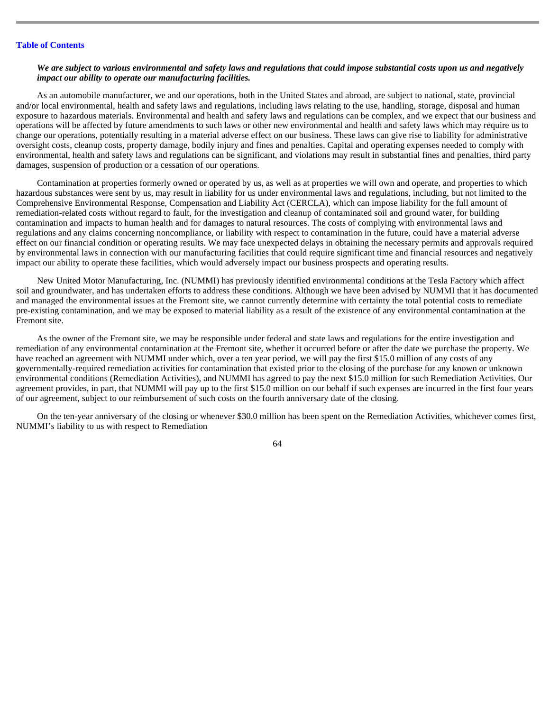### *We are subject to various environmental and safety laws and regulations that could impose substantial costs upon us and negatively impact our ability to operate our manufacturing facilities.*

As an automobile manufacturer, we and our operations, both in the United States and abroad, are subject to national, state, provincial and/or local environmental, health and safety laws and regulations, including laws relating to the use, handling, storage, disposal and human exposure to hazardous materials. Environmental and health and safety laws and regulations can be complex, and we expect that our business and operations will be affected by future amendments to such laws or other new environmental and health and safety laws which may require us to change our operations, potentially resulting in a material adverse effect on our business. These laws can give rise to liability for administrative oversight costs, cleanup costs, property damage, bodily injury and fines and penalties. Capital and operating expenses needed to comply with environmental, health and safety laws and regulations can be significant, and violations may result in substantial fines and penalties, third party damages, suspension of production or a cessation of our operations.

Contamination at properties formerly owned or operated by us, as well as at properties we will own and operate, and properties to which hazardous substances were sent by us, may result in liability for us under environmental laws and regulations, including, but not limited to the Comprehensive Environmental Response, Compensation and Liability Act (CERCLA), which can impose liability for the full amount of remediation-related costs without regard to fault, for the investigation and cleanup of contaminated soil and ground water, for building contamination and impacts to human health and for damages to natural resources. The costs of complying with environmental laws and regulations and any claims concerning noncompliance, or liability with respect to contamination in the future, could have a material adverse effect on our financial condition or operating results. We may face unexpected delays in obtaining the necessary permits and approvals required by environmental laws in connection with our manufacturing facilities that could require significant time and financial resources and negatively impact our ability to operate these facilities, which would adversely impact our business prospects and operating results.

New United Motor Manufacturing, Inc. (NUMMI) has previously identified environmental conditions at the Tesla Factory which affect soil and groundwater, and has undertaken efforts to address these conditions. Although we have been advised by NUMMI that it has documented and managed the environmental issues at the Fremont site, we cannot currently determine with certainty the total potential costs to remediate pre-existing contamination, and we may be exposed to material liability as a result of the existence of any environmental contamination at the Fremont site.

As the owner of the Fremont site, we may be responsible under federal and state laws and regulations for the entire investigation and remediation of any environmental contamination at the Fremont site, whether it occurred before or after the date we purchase the property. We have reached an agreement with NUMMI under which, over a ten year period, we will pay the first \$15.0 million of any costs of any governmentally-required remediation activities for contamination that existed prior to the closing of the purchase for any known or unknown environmental conditions (Remediation Activities), and NUMMI has agreed to pay the next \$15.0 million for such Remediation Activities. Our agreement provides, in part, that NUMMI will pay up to the first \$15.0 million on our behalf if such expenses are incurred in the first four years of our agreement, subject to our reimbursement of such costs on the fourth anniversary date of the closing.

On the ten-year anniversary of the closing or whenever \$30.0 million has been spent on the Remediation Activities, whichever comes first, NUMMI's liability to us with respect to Remediation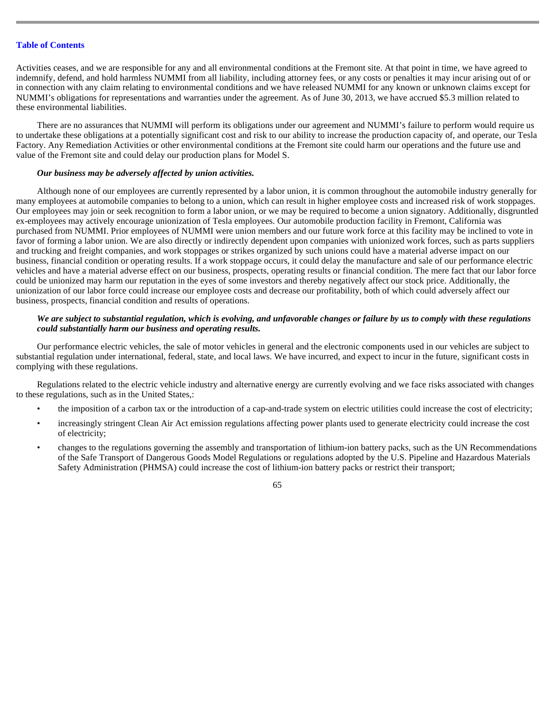Activities ceases, and we are responsible for any and all environmental conditions at the Fremont site. At that point in time, we have agreed to indemnify, defend, and hold harmless NUMMI from all liability, including attorney fees, or any costs or penalties it may incur arising out of or in connection with any claim relating to environmental conditions and we have released NUMMI for any known or unknown claims except for NUMMI's obligations for representations and warranties under the agreement. As of June 30, 2013, we have accrued \$5.3 million related to these environmental liabilities.

There are no assurances that NUMMI will perform its obligations under our agreement and NUMMI's failure to perform would require us to undertake these obligations at a potentially significant cost and risk to our ability to increase the production capacity of, and operate, our Tesla Factory. Any Remediation Activities or other environmental conditions at the Fremont site could harm our operations and the future use and value of the Fremont site and could delay our production plans for Model S.

#### *Our business may be adversely affected by union activities.*

Although none of our employees are currently represented by a labor union, it is common throughout the automobile industry generally for many employees at automobile companies to belong to a union, which can result in higher employee costs and increased risk of work stoppages. Our employees may join or seek recognition to form a labor union, or we may be required to become a union signatory. Additionally, disgruntled ex-employees may actively encourage unionization of Tesla employees. Our automobile production facility in Fremont, California was purchased from NUMMI. Prior employees of NUMMI were union members and our future work force at this facility may be inclined to vote in favor of forming a labor union. We are also directly or indirectly dependent upon companies with unionized work forces, such as parts suppliers and trucking and freight companies, and work stoppages or strikes organized by such unions could have a material adverse impact on our business, financial condition or operating results. If a work stoppage occurs, it could delay the manufacture and sale of our performance electric vehicles and have a material adverse effect on our business, prospects, operating results or financial condition. The mere fact that our labor force could be unionized may harm our reputation in the eyes of some investors and thereby negatively affect our stock price. Additionally, the unionization of our labor force could increase our employee costs and decrease our profitability, both of which could adversely affect our business, prospects, financial condition and results of operations.

### *We are subject to substantial regulation, which is evolving, and unfavorable changes or failure by us to comply with these regulations could substantially harm our business and operating results.*

Our performance electric vehicles, the sale of motor vehicles in general and the electronic components used in our vehicles are subject to substantial regulation under international, federal, state, and local laws. We have incurred, and expect to incur in the future, significant costs in complying with these regulations.

Regulations related to the electric vehicle industry and alternative energy are currently evolving and we face risks associated with changes to these regulations, such as in the United States,:

- the imposition of a carbon tax or the introduction of a cap-and-trade system on electric utilities could increase the cost of electricity;
- increasingly stringent Clean Air Act emission regulations affecting power plants used to generate electricity could increase the cost of electricity;
- changes to the regulations governing the assembly and transportation of lithium-ion battery packs, such as the UN Recommendations of the Safe Transport of Dangerous Goods Model Regulations or regulations adopted by the U.S. Pipeline and Hazardous Materials Safety Administration (PHMSA) could increase the cost of lithium-ion battery packs or restrict their transport;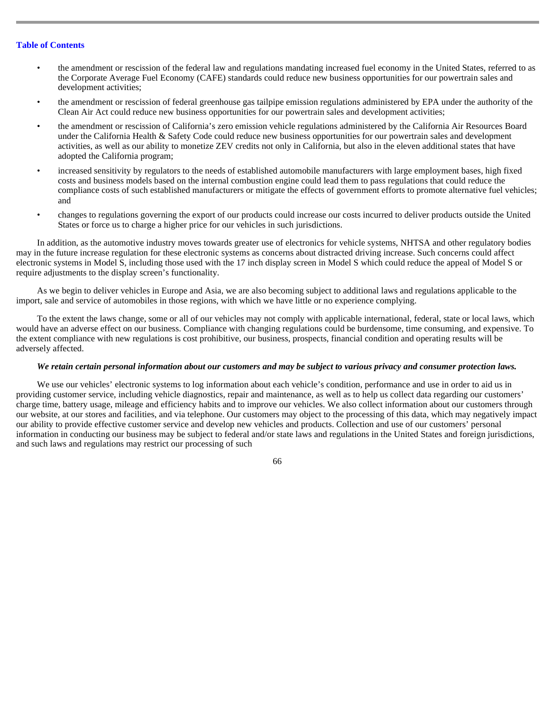- the amendment or rescission of the federal law and regulations mandating increased fuel economy in the United States, referred to as the Corporate Average Fuel Economy (CAFE) standards could reduce new business opportunities for our powertrain sales and development activities;
- the amendment or rescission of federal greenhouse gas tailpipe emission regulations administered by EPA under the authority of the Clean Air Act could reduce new business opportunities for our powertrain sales and development activities;
- the amendment or rescission of California's zero emission vehicle regulations administered by the California Air Resources Board under the California Health & Safety Code could reduce new business opportunities for our powertrain sales and development activities, as well as our ability to monetize ZEV credits not only in California, but also in the eleven additional states that have adopted the California program;
- increased sensitivity by regulators to the needs of established automobile manufacturers with large employment bases, high fixed costs and business models based on the internal combustion engine could lead them to pass regulations that could reduce the compliance costs of such established manufacturers or mitigate the effects of government efforts to promote alternative fuel vehicles; and
- changes to regulations governing the export of our products could increase our costs incurred to deliver products outside the United States or force us to charge a higher price for our vehicles in such jurisdictions.

In addition, as the automotive industry moves towards greater use of electronics for vehicle systems, NHTSA and other regulatory bodies may in the future increase regulation for these electronic systems as concerns about distracted driving increase. Such concerns could affect electronic systems in Model S, including those used with the 17 inch display screen in Model S which could reduce the appeal of Model S or require adjustments to the display screen's functionality.

As we begin to deliver vehicles in Europe and Asia, we are also becoming subject to additional laws and regulations applicable to the import, sale and service of automobiles in those regions, with which we have little or no experience complying.

To the extent the laws change, some or all of our vehicles may not comply with applicable international, federal, state or local laws, which would have an adverse effect on our business. Compliance with changing regulations could be burdensome, time consuming, and expensive. To the extent compliance with new regulations is cost prohibitive, our business, prospects, financial condition and operating results will be adversely affected.

# *We retain certain personal information about our customers and may be subject to various privacy and consumer protection laws.*

We use our vehicles' electronic systems to log information about each vehicle's condition, performance and use in order to aid us in providing customer service, including vehicle diagnostics, repair and maintenance, as well as to help us collect data regarding our customers' charge time, battery usage, mileage and efficiency habits and to improve our vehicles. We also collect information about our customers through our website, at our stores and facilities, and via telephone. Our customers may object to the processing of this data, which may negatively impact our ability to provide effective customer service and develop new vehicles and products. Collection and use of our customers' personal information in conducting our business may be subject to federal and/or state laws and regulations in the United States and foreign jurisdictions, and such laws and regulations may restrict our processing of such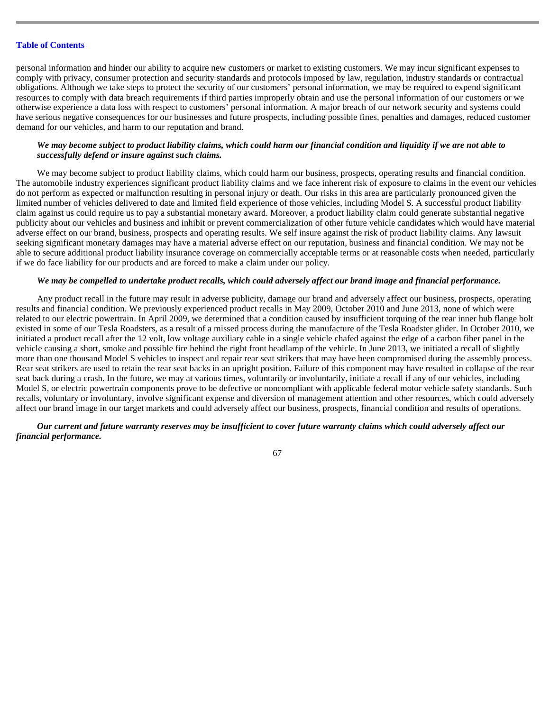personal information and hinder our ability to acquire new customers or market to existing customers. We may incur significant expenses to comply with privacy, consumer protection and security standards and protocols imposed by law, regulation, industry standards or contractual obligations. Although we take steps to protect the security of our customers' personal information, we may be required to expend significant resources to comply with data breach requirements if third parties improperly obtain and use the personal information of our customers or we otherwise experience a data loss with respect to customers' personal information. A major breach of our network security and systems could have serious negative consequences for our businesses and future prospects, including possible fines, penalties and damages, reduced customer demand for our vehicles, and harm to our reputation and brand.

# *We may become subject to product liability claims, which could harm our financial condition and liquidity if we are not able to successfully defend or insure against such claims.*

We may become subject to product liability claims, which could harm our business, prospects, operating results and financial condition. The automobile industry experiences significant product liability claims and we face inherent risk of exposure to claims in the event our vehicles do not perform as expected or malfunction resulting in personal injury or death. Our risks in this area are particularly pronounced given the limited number of vehicles delivered to date and limited field experience of those vehicles, including Model S. A successful product liability claim against us could require us to pay a substantial monetary award. Moreover, a product liability claim could generate substantial negative publicity about our vehicles and business and inhibit or prevent commercialization of other future vehicle candidates which would have material adverse effect on our brand, business, prospects and operating results. We self insure against the risk of product liability claims. Any lawsuit seeking significant monetary damages may have a material adverse effect on our reputation, business and financial condition. We may not be able to secure additional product liability insurance coverage on commercially acceptable terms or at reasonable costs when needed, particularly if we do face liability for our products and are forced to make a claim under our policy.

# *We may be compelled to undertake product recalls, which could adversely affect our brand image and financial performance.*

Any product recall in the future may result in adverse publicity, damage our brand and adversely affect our business, prospects, operating results and financial condition. We previously experienced product recalls in May 2009, October 2010 and June 2013, none of which were related to our electric powertrain. In April 2009, we determined that a condition caused by insufficient torquing of the rear inner hub flange bolt existed in some of our Tesla Roadsters, as a result of a missed process during the manufacture of the Tesla Roadster glider. In October 2010, we initiated a product recall after the 12 volt, low voltage auxiliary cable in a single vehicle chafed against the edge of a carbon fiber panel in the vehicle causing a short, smoke and possible fire behind the right front headlamp of the vehicle. In June 2013, we initiated a recall of slightly more than one thousand Model S vehicles to inspect and repair rear seat strikers that may have been compromised during the assembly process. Rear seat strikers are used to retain the rear seat backs in an upright position. Failure of this component may have resulted in collapse of the rear seat back during a crash. In the future, we may at various times, voluntarily or involuntarily, initiate a recall if any of our vehicles, including Model S, or electric powertrain components prove to be defective or noncompliant with applicable federal motor vehicle safety standards. Such recalls, voluntary or involuntary, involve significant expense and diversion of management attention and other resources, which could adversely affect our brand image in our target markets and could adversely affect our business, prospects, financial condition and results of operations.

# *Our current and future warranty reserves may be insufficient to cover future warranty claims which could adversely affect our financial performance.*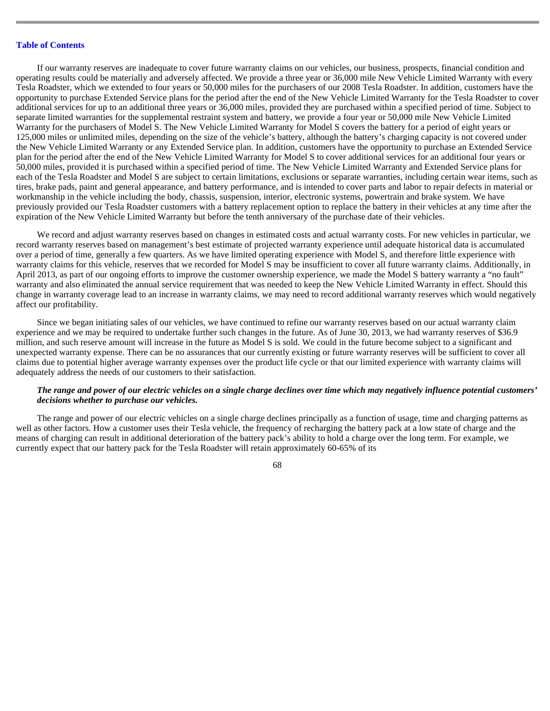If our warranty reserves are inadequate to cover future warranty claims on our vehicles, our business, prospects, financial condition and operating results could be materially and adversely affected. We provide a three year or 36,000 mile New Vehicle Limited Warranty with every Tesla Roadster, which we extended to four years or 50,000 miles for the purchasers of our 2008 Tesla Roadster. In addition, customers have the opportunity to purchase Extended Service plans for the period after the end of the New Vehicle Limited Warranty for the Tesla Roadster to cover additional services for up to an additional three years or 36,000 miles, provided they are purchased within a specified period of time. Subject to separate limited warranties for the supplemental restraint system and battery, we provide a four year or 50,000 mile New Vehicle Limited Warranty for the purchasers of Model S. The New Vehicle Limited Warranty for Model S covers the battery for a period of eight years or 125,000 miles or unlimited miles, depending on the size of the vehicle's battery, although the battery's charging capacity is not covered under the New Vehicle Limited Warranty or any Extended Service plan. In addition, customers have the opportunity to purchase an Extended Service plan for the period after the end of the New Vehicle Limited Warranty for Model S to cover additional services for an additional four years or 50,000 miles, provided it is purchased within a specified period of time. The New Vehicle Limited Warranty and Extended Service plans for each of the Tesla Roadster and Model S are subject to certain limitations, exclusions or separate warranties, including certain wear items, such as tires, brake pads, paint and general appearance, and battery performance, and is intended to cover parts and labor to repair defects in material or workmanship in the vehicle including the body, chassis, suspension, interior, electronic systems, powertrain and brake system. We have previously provided our Tesla Roadster customers with a battery replacement option to replace the battery in their vehicles at any time after the expiration of the New Vehicle Limited Warranty but before the tenth anniversary of the purchase date of their vehicles.

We record and adjust warranty reserves based on changes in estimated costs and actual warranty costs. For new vehicles in particular, we record warranty reserves based on management's best estimate of projected warranty experience until adequate historical data is accumulated over a period of time, generally a few quarters. As we have limited operating experience with Model S, and therefore little experience with warranty claims for this vehicle, reserves that we recorded for Model S may be insufficient to cover all future warranty claims. Additionally, in April 2013, as part of our ongoing efforts to improve the customer ownership experience, we made the Model S battery warranty a "no fault" warranty and also eliminated the annual service requirement that was needed to keep the New Vehicle Limited Warranty in effect. Should this change in warranty coverage lead to an increase in warranty claims, we may need to record additional warranty reserves which would negatively affect our profitability.

Since we began initiating sales of our vehicles, we have continued to refine our warranty reserves based on our actual warranty claim experience and we may be required to undertake further such changes in the future. As of June 30, 2013, we had warranty reserves of \$36.9 million, and such reserve amount will increase in the future as Model S is sold. We could in the future become subject to a significant and unexpected warranty expense. There can be no assurances that our currently existing or future warranty reserves will be sufficient to cover all claims due to potential higher average warranty expenses over the product life cycle or that our limited experience with warranty claims will adequately address the needs of our customers to their satisfaction.

## *The range and power of our electric vehicles on a single charge declines over time which may negatively influence potential customers' decisions whether to purchase our vehicles.*

The range and power of our electric vehicles on a single charge declines principally as a function of usage, time and charging patterns as well as other factors. How a customer uses their Tesla vehicle, the frequency of recharging the battery pack at a low state of charge and the means of charging can result in additional deterioration of the battery pack's ability to hold a charge over the long term. For example, we currently expect that our battery pack for the Tesla Roadster will retain approximately 60-65% of its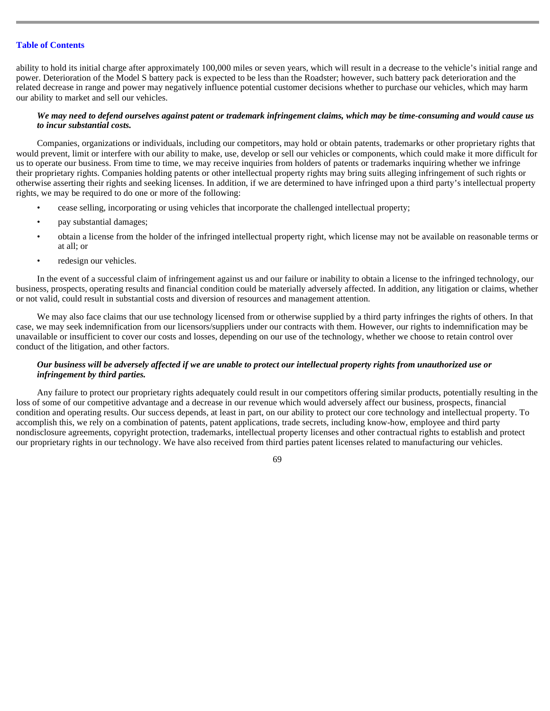ability to hold its initial charge after approximately 100,000 miles or seven years, which will result in a decrease to the vehicle's initial range and power. Deterioration of the Model S battery pack is expected to be less than the Roadster; however, such battery pack deterioration and the related decrease in range and power may negatively influence potential customer decisions whether to purchase our vehicles, which may harm our ability to market and sell our vehicles.

## *We may need to defend ourselves against patent or trademark infringement claims, which may be time-consuming and would cause us to incur substantial costs.*

Companies, organizations or individuals, including our competitors, may hold or obtain patents, trademarks or other proprietary rights that would prevent, limit or interfere with our ability to make, use, develop or sell our vehicles or components, which could make it more difficult for us to operate our business. From time to time, we may receive inquiries from holders of patents or trademarks inquiring whether we infringe their proprietary rights. Companies holding patents or other intellectual property rights may bring suits alleging infringement of such rights or otherwise asserting their rights and seeking licenses. In addition, if we are determined to have infringed upon a third party's intellectual property rights, we may be required to do one or more of the following:

- cease selling, incorporating or using vehicles that incorporate the challenged intellectual property;
- pay substantial damages;
- obtain a license from the holder of the infringed intellectual property right, which license may not be available on reasonable terms or at all; or
- redesign our vehicles.

In the event of a successful claim of infringement against us and our failure or inability to obtain a license to the infringed technology, our business, prospects, operating results and financial condition could be materially adversely affected. In addition, any litigation or claims, whether or not valid, could result in substantial costs and diversion of resources and management attention.

We may also face claims that our use technology licensed from or otherwise supplied by a third party infringes the rights of others. In that case, we may seek indemnification from our licensors/suppliers under our contracts with them. However, our rights to indemnification may be unavailable or insufficient to cover our costs and losses, depending on our use of the technology, whether we choose to retain control over conduct of the litigation, and other factors.

## *Our business will be adversely affected if we are unable to protect our intellectual property rights from unauthorized use or infringement by third parties.*

Any failure to protect our proprietary rights adequately could result in our competitors offering similar products, potentially resulting in the loss of some of our competitive advantage and a decrease in our revenue which would adversely affect our business, prospects, financial condition and operating results. Our success depends, at least in part, on our ability to protect our core technology and intellectual property. To accomplish this, we rely on a combination of patents, patent applications, trade secrets, including know-how, employee and third party nondisclosure agreements, copyright protection, trademarks, intellectual property licenses and other contractual rights to establish and protect our proprietary rights in our technology. We have also received from third parties patent licenses related to manufacturing our vehicles.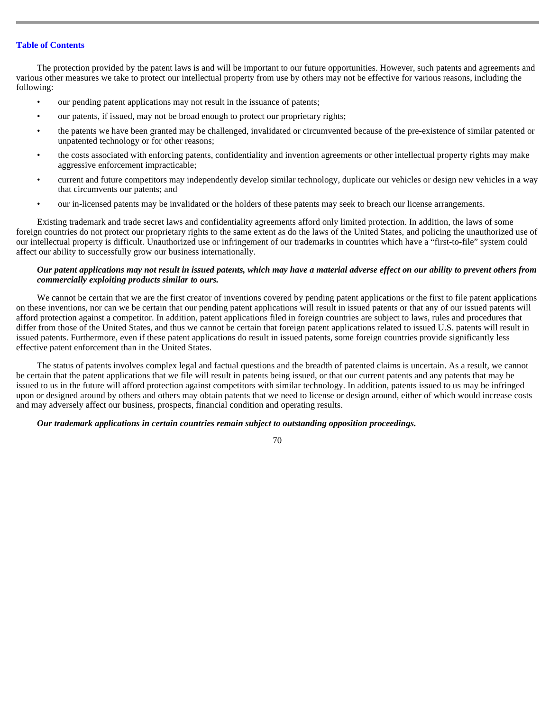The protection provided by the patent laws is and will be important to our future opportunities. However, such patents and agreements and various other measures we take to protect our intellectual property from use by others may not be effective for various reasons, including the following:

- our pending patent applications may not result in the issuance of patents;
- our patents, if issued, may not be broad enough to protect our proprietary rights;
- the patents we have been granted may be challenged, invalidated or circumvented because of the pre-existence of similar patented or unpatented technology or for other reasons;
- the costs associated with enforcing patents, confidentiality and invention agreements or other intellectual property rights may make aggressive enforcement impracticable;
- current and future competitors may independently develop similar technology, duplicate our vehicles or design new vehicles in a way that circumvents our patents; and
- our in-licensed patents may be invalidated or the holders of these patents may seek to breach our license arrangements.

Existing trademark and trade secret laws and confidentiality agreements afford only limited protection. In addition, the laws of some foreign countries do not protect our proprietary rights to the same extent as do the laws of the United States, and policing the unauthorized use of our intellectual property is difficult. Unauthorized use or infringement of our trademarks in countries which have a "first-to-file" system could affect our ability to successfully grow our business internationally.

## *Our patent applications may not result in issued patents, which may have a material adverse effect on our ability to prevent others from commercially exploiting products similar to ours.*

We cannot be certain that we are the first creator of inventions covered by pending patent applications or the first to file patent applications on these inventions, nor can we be certain that our pending patent applications will result in issued patents or that any of our issued patents will afford protection against a competitor. In addition, patent applications filed in foreign countries are subject to laws, rules and procedures that differ from those of the United States, and thus we cannot be certain that foreign patent applications related to issued U.S. patents will result in issued patents. Furthermore, even if these patent applications do result in issued patents, some foreign countries provide significantly less effective patent enforcement than in the United States.

The status of patents involves complex legal and factual questions and the breadth of patented claims is uncertain. As a result, we cannot be certain that the patent applications that we file will result in patents being issued, or that our current patents and any patents that may be issued to us in the future will afford protection against competitors with similar technology. In addition, patents issued to us may be infringed upon or designed around by others and others may obtain patents that we need to license or design around, either of which would increase costs and may adversely affect our business, prospects, financial condition and operating results.

#### *Our trademark applications in certain countries remain subject to outstanding opposition proceedings.*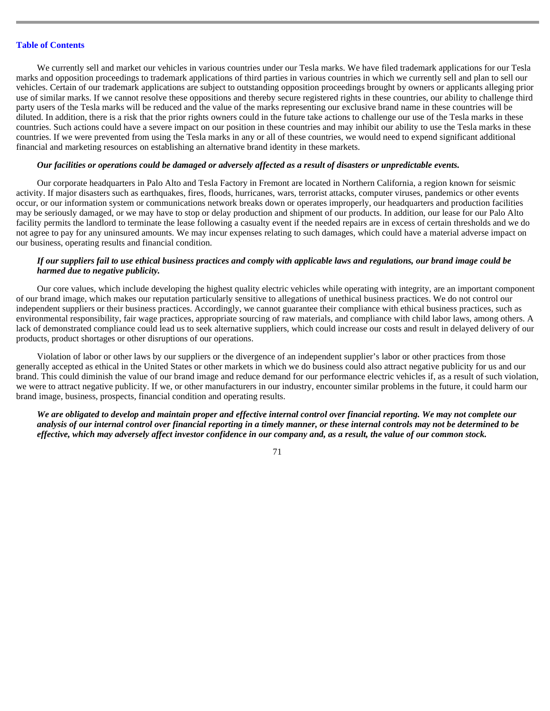We currently sell and market our vehicles in various countries under our Tesla marks. We have filed trademark applications for our Tesla marks and opposition proceedings to trademark applications of third parties in various countries in which we currently sell and plan to sell our vehicles. Certain of our trademark applications are subject to outstanding opposition proceedings brought by owners or applicants alleging prior use of similar marks. If we cannot resolve these oppositions and thereby secure registered rights in these countries, our ability to challenge third party users of the Tesla marks will be reduced and the value of the marks representing our exclusive brand name in these countries will be diluted. In addition, there is a risk that the prior rights owners could in the future take actions to challenge our use of the Tesla marks in these countries. Such actions could have a severe impact on our position in these countries and may inhibit our ability to use the Tesla marks in these countries. If we were prevented from using the Tesla marks in any or all of these countries, we would need to expend significant additional financial and marketing resources on establishing an alternative brand identity in these markets.

#### *Our facilities or operations could be damaged or adversely affected as a result of disasters or unpredictable events.*

Our corporate headquarters in Palo Alto and Tesla Factory in Fremont are located in Northern California, a region known for seismic activity. If major disasters such as earthquakes, fires, floods, hurricanes, wars, terrorist attacks, computer viruses, pandemics or other events occur, or our information system or communications network breaks down or operates improperly, our headquarters and production facilities may be seriously damaged, or we may have to stop or delay production and shipment of our products. In addition, our lease for our Palo Alto facility permits the landlord to terminate the lease following a casualty event if the needed repairs are in excess of certain thresholds and we do not agree to pay for any uninsured amounts. We may incur expenses relating to such damages, which could have a material adverse impact on our business, operating results and financial condition.

# *If our suppliers fail to use ethical business practices and comply with applicable laws and regulations, our brand image could be harmed due to negative publicity.*

Our core values, which include developing the highest quality electric vehicles while operating with integrity, are an important component of our brand image, which makes our reputation particularly sensitive to allegations of unethical business practices. We do not control our independent suppliers or their business practices. Accordingly, we cannot guarantee their compliance with ethical business practices, such as environmental responsibility, fair wage practices, appropriate sourcing of raw materials, and compliance with child labor laws, among others. A lack of demonstrated compliance could lead us to seek alternative suppliers, which could increase our costs and result in delayed delivery of our products, product shortages or other disruptions of our operations.

Violation of labor or other laws by our suppliers or the divergence of an independent supplier's labor or other practices from those generally accepted as ethical in the United States or other markets in which we do business could also attract negative publicity for us and our brand. This could diminish the value of our brand image and reduce demand for our performance electric vehicles if, as a result of such violation, we were to attract negative publicity. If we, or other manufacturers in our industry, encounter similar problems in the future, it could harm our brand image, business, prospects, financial condition and operating results.

We are obligated to develop and maintain proper and effective internal control over financial reporting. We may not complete our *analysis of our internal control over financial reporting in a timely manner, or these internal controls may not be determined to be effective, which may adversely affect investor confidence in our company and, as a result, the value of our common stock.*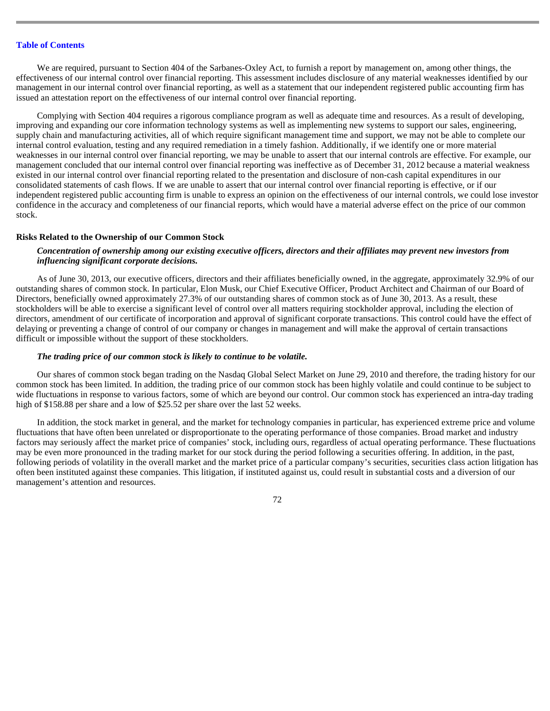We are required, pursuant to Section 404 of the Sarbanes-Oxley Act, to furnish a report by management on, among other things, the effectiveness of our internal control over financial reporting. This assessment includes disclosure of any material weaknesses identified by our management in our internal control over financial reporting, as well as a statement that our independent registered public accounting firm has issued an attestation report on the effectiveness of our internal control over financial reporting.

Complying with Section 404 requires a rigorous compliance program as well as adequate time and resources. As a result of developing, improving and expanding our core information technology systems as well as implementing new systems to support our sales, engineering, supply chain and manufacturing activities, all of which require significant management time and support, we may not be able to complete our internal control evaluation, testing and any required remediation in a timely fashion. Additionally, if we identify one or more material weaknesses in our internal control over financial reporting, we may be unable to assert that our internal controls are effective. For example, our management concluded that our internal control over financial reporting was ineffective as of December 31, 2012 because a material weakness existed in our internal control over financial reporting related to the presentation and disclosure of non-cash capital expenditures in our consolidated statements of cash flows. If we are unable to assert that our internal control over financial reporting is effective, or if our independent registered public accounting firm is unable to express an opinion on the effectiveness of our internal controls, we could lose investor confidence in the accuracy and completeness of our financial reports, which would have a material adverse effect on the price of our common stock.

#### **Risks Related to the Ownership of our Common Stock**

### *Concentration of ownership among our existing executive officers, directors and their affiliates may prevent new investors from influencing significant corporate decisions.*

As of June 30, 2013, our executive officers, directors and their affiliates beneficially owned, in the aggregate, approximately 32.9% of our outstanding shares of common stock. In particular, Elon Musk, our Chief Executive Officer, Product Architect and Chairman of our Board of Directors, beneficially owned approximately 27.3% of our outstanding shares of common stock as of June 30, 2013. As a result, these stockholders will be able to exercise a significant level of control over all matters requiring stockholder approval, including the election of directors, amendment of our certificate of incorporation and approval of significant corporate transactions. This control could have the effect of delaying or preventing a change of control of our company or changes in management and will make the approval of certain transactions difficult or impossible without the support of these stockholders.

#### *The trading price of our common stock is likely to continue to be volatile.*

Our shares of common stock began trading on the Nasdaq Global Select Market on June 29, 2010 and therefore, the trading history for our common stock has been limited. In addition, the trading price of our common stock has been highly volatile and could continue to be subject to wide fluctuations in response to various factors, some of which are beyond our control. Our common stock has experienced an intra-day trading high of \$158.88 per share and a low of \$25.52 per share over the last 52 weeks.

In addition, the stock market in general, and the market for technology companies in particular, has experienced extreme price and volume fluctuations that have often been unrelated or disproportionate to the operating performance of those companies. Broad market and industry factors may seriously affect the market price of companies' stock, including ours, regardless of actual operating performance. These fluctuations may be even more pronounced in the trading market for our stock during the period following a securities offering. In addition, in the past, following periods of volatility in the overall market and the market price of a particular company's securities, securities class action litigation has often been instituted against these companies. This litigation, if instituted against us, could result in substantial costs and a diversion of our management's attention and resources.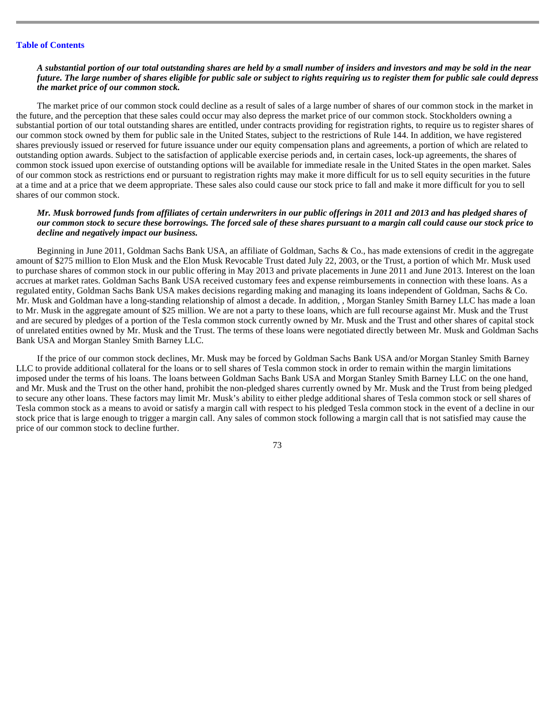### *A substantial portion of our total outstanding shares are held by a small number of insiders and investors and may be sold in the near future. The large number of shares eligible for public sale or subject to rights requiring us to register them for public sale could depress the market price of our common stock.*

The market price of our common stock could decline as a result of sales of a large number of shares of our common stock in the market in the future, and the perception that these sales could occur may also depress the market price of our common stock. Stockholders owning a substantial portion of our total outstanding shares are entitled, under contracts providing for registration rights, to require us to register shares of our common stock owned by them for public sale in the United States, subject to the restrictions of Rule 144. In addition, we have registered shares previously issued or reserved for future issuance under our equity compensation plans and agreements, a portion of which are related to outstanding option awards. Subject to the satisfaction of applicable exercise periods and, in certain cases, lock-up agreements, the shares of common stock issued upon exercise of outstanding options will be available for immediate resale in the United States in the open market. Sales of our common stock as restrictions end or pursuant to registration rights may make it more difficult for us to sell equity securities in the future at a time and at a price that we deem appropriate. These sales also could cause our stock price to fall and make it more difficult for you to sell shares of our common stock.

### *Mr. Musk borrowed funds from affiliates of certain underwriters in our public offerings in 2011 and 2013 and has pledged shares of our common stock to secure these borrowings. The forced sale of these shares pursuant to a margin call could cause our stock price to decline and negatively impact our business.*

Beginning in June 2011, Goldman Sachs Bank USA, an affiliate of Goldman, Sachs & Co., has made extensions of credit in the aggregate amount of \$275 million to Elon Musk and the Elon Musk Revocable Trust dated July 22, 2003, or the Trust, a portion of which Mr. Musk used to purchase shares of common stock in our public offering in May 2013 and private placements in June 2011 and June 2013. Interest on the loan accrues at market rates. Goldman Sachs Bank USA received customary fees and expense reimbursements in connection with these loans. As a regulated entity, Goldman Sachs Bank USA makes decisions regarding making and managing its loans independent of Goldman, Sachs & Co. Mr. Musk and Goldman have a long-standing relationship of almost a decade. In addition, , Morgan Stanley Smith Barney LLC has made a loan to Mr. Musk in the aggregate amount of \$25 million. We are not a party to these loans, which are full recourse against Mr. Musk and the Trust and are secured by pledges of a portion of the Tesla common stock currently owned by Mr. Musk and the Trust and other shares of capital stock of unrelated entities owned by Mr. Musk and the Trust. The terms of these loans were negotiated directly between Mr. Musk and Goldman Sachs Bank USA and Morgan Stanley Smith Barney LLC.

If the price of our common stock declines, Mr. Musk may be forced by Goldman Sachs Bank USA and/or Morgan Stanley Smith Barney LLC to provide additional collateral for the loans or to sell shares of Tesla common stock in order to remain within the margin limitations imposed under the terms of his loans. The loans between Goldman Sachs Bank USA and Morgan Stanley Smith Barney LLC on the one hand, and Mr. Musk and the Trust on the other hand, prohibit the non-pledged shares currently owned by Mr. Musk and the Trust from being pledged to secure any other loans. These factors may limit Mr. Musk's ability to either pledge additional shares of Tesla common stock or sell shares of Tesla common stock as a means to avoid or satisfy a margin call with respect to his pledged Tesla common stock in the event of a decline in our stock price that is large enough to trigger a margin call. Any sales of common stock following a margin call that is not satisfied may cause the price of our common stock to decline further.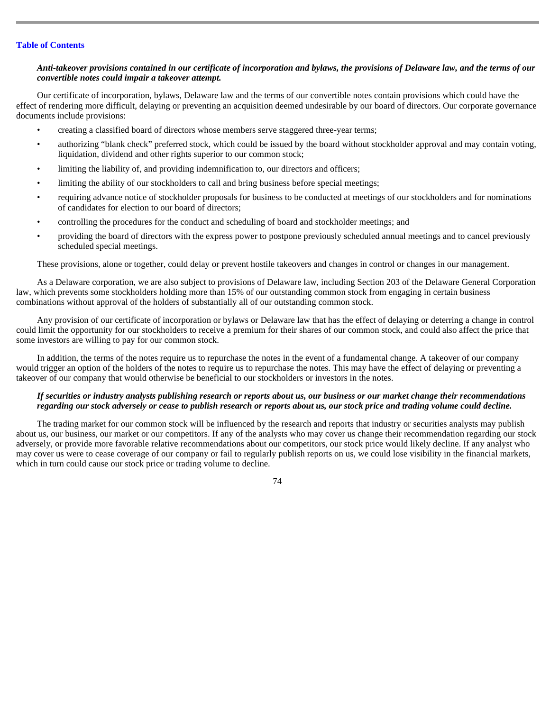### *Anti-takeover provisions contained in our certificate of incorporation and bylaws, the provisions of Delaware law, and the terms of our convertible notes could impair a takeover attempt.*

Our certificate of incorporation, bylaws, Delaware law and the terms of our convertible notes contain provisions which could have the effect of rendering more difficult, delaying or preventing an acquisition deemed undesirable by our board of directors. Our corporate governance documents include provisions:

- creating a classified board of directors whose members serve staggered three-year terms;
- authorizing "blank check" preferred stock, which could be issued by the board without stockholder approval and may contain voting, liquidation, dividend and other rights superior to our common stock;
- limiting the liability of, and providing indemnification to, our directors and officers;
- limiting the ability of our stockholders to call and bring business before special meetings;
- requiring advance notice of stockholder proposals for business to be conducted at meetings of our stockholders and for nominations of candidates for election to our board of directors;
- controlling the procedures for the conduct and scheduling of board and stockholder meetings; and
- providing the board of directors with the express power to postpone previously scheduled annual meetings and to cancel previously scheduled special meetings.

These provisions, alone or together, could delay or prevent hostile takeovers and changes in control or changes in our management.

As a Delaware corporation, we are also subject to provisions of Delaware law, including Section 203 of the Delaware General Corporation law, which prevents some stockholders holding more than 15% of our outstanding common stock from engaging in certain business combinations without approval of the holders of substantially all of our outstanding common stock.

Any provision of our certificate of incorporation or bylaws or Delaware law that has the effect of delaying or deterring a change in control could limit the opportunity for our stockholders to receive a premium for their shares of our common stock, and could also affect the price that some investors are willing to pay for our common stock.

In addition, the terms of the notes require us to repurchase the notes in the event of a fundamental change. A takeover of our company would trigger an option of the holders of the notes to require us to repurchase the notes. This may have the effect of delaying or preventing a takeover of our company that would otherwise be beneficial to our stockholders or investors in the notes.

### *If securities or industry analysts publishing research or reports about us, our business or our market change their recommendations regarding our stock adversely or cease to publish research or reports about us, our stock price and trading volume could decline.*

The trading market for our common stock will be influenced by the research and reports that industry or securities analysts may publish about us, our business, our market or our competitors. If any of the analysts who may cover us change their recommendation regarding our stock adversely, or provide more favorable relative recommendations about our competitors, our stock price would likely decline. If any analyst who may cover us were to cease coverage of our company or fail to regularly publish reports on us, we could lose visibility in the financial markets, which in turn could cause our stock price or trading volume to decline.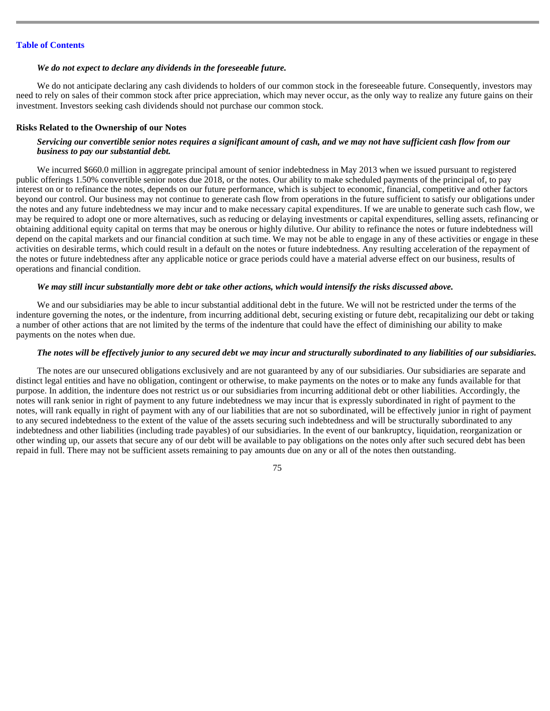#### *We do not expect to declare any dividends in the foreseeable future.*

We do not anticipate declaring any cash dividends to holders of our common stock in the foreseeable future. Consequently, investors may need to rely on sales of their common stock after price appreciation, which may never occur, as the only way to realize any future gains on their investment. Investors seeking cash dividends should not purchase our common stock.

#### **Risks Related to the Ownership of our Notes**

#### *Servicing our convertible senior notes requires a significant amount of cash, and we may not have sufficient cash flow from our business to pay our substantial debt.*

We incurred \$660.0 million in aggregate principal amount of senior indebtedness in May 2013 when we issued pursuant to registered public offerings 1.50% convertible senior notes due 2018, or the notes. Our ability to make scheduled payments of the principal of, to pay interest on or to refinance the notes, depends on our future performance, which is subject to economic, financial, competitive and other factors beyond our control. Our business may not continue to generate cash flow from operations in the future sufficient to satisfy our obligations under the notes and any future indebtedness we may incur and to make necessary capital expenditures. If we are unable to generate such cash flow, we may be required to adopt one or more alternatives, such as reducing or delaying investments or capital expenditures, selling assets, refinancing or obtaining additional equity capital on terms that may be onerous or highly dilutive. Our ability to refinance the notes or future indebtedness will depend on the capital markets and our financial condition at such time. We may not be able to engage in any of these activities or engage in these activities on desirable terms, which could result in a default on the notes or future indebtedness. Any resulting acceleration of the repayment of the notes or future indebtedness after any applicable notice or grace periods could have a material adverse effect on our business, results of operations and financial condition.

#### *We may still incur substantially more debt or take other actions, which would intensify the risks discussed above.*

We and our subsidiaries may be able to incur substantial additional debt in the future. We will not be restricted under the terms of the indenture governing the notes, or the indenture, from incurring additional debt, securing existing or future debt, recapitalizing our debt or taking a number of other actions that are not limited by the terms of the indenture that could have the effect of diminishing our ability to make payments on the notes when due.

#### *The notes will be effectively junior to any secured debt we may incur and structurally subordinated to any liabilities of our subsidiaries.*

The notes are our unsecured obligations exclusively and are not guaranteed by any of our subsidiaries. Our subsidiaries are separate and distinct legal entities and have no obligation, contingent or otherwise, to make payments on the notes or to make any funds available for that purpose. In addition, the indenture does not restrict us or our subsidiaries from incurring additional debt or other liabilities. Accordingly, the notes will rank senior in right of payment to any future indebtedness we may incur that is expressly subordinated in right of payment to the notes, will rank equally in right of payment with any of our liabilities that are not so subordinated, will be effectively junior in right of payment to any secured indebtedness to the extent of the value of the assets securing such indebtedness and will be structurally subordinated to any indebtedness and other liabilities (including trade payables) of our subsidiaries. In the event of our bankruptcy, liquidation, reorganization or other winding up, our assets that secure any of our debt will be available to pay obligations on the notes only after such secured debt has been repaid in full. There may not be sufficient assets remaining to pay amounts due on any or all of the notes then outstanding.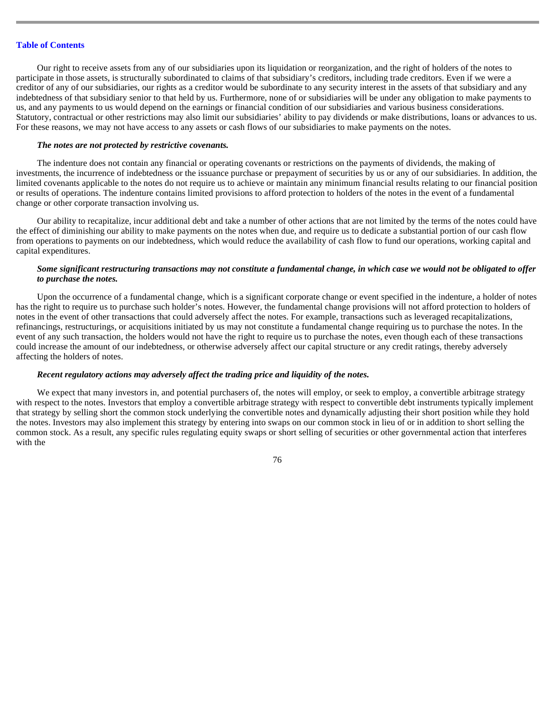Our right to receive assets from any of our subsidiaries upon its liquidation or reorganization, and the right of holders of the notes to participate in those assets, is structurally subordinated to claims of that subsidiary's creditors, including trade creditors. Even if we were a creditor of any of our subsidiaries, our rights as a creditor would be subordinate to any security interest in the assets of that subsidiary and any indebtedness of that subsidiary senior to that held by us. Furthermore, none of or subsidiaries will be under any obligation to make payments to us, and any payments to us would depend on the earnings or financial condition of our subsidiaries and various business considerations. Statutory, contractual or other restrictions may also limit our subsidiaries' ability to pay dividends or make distributions, loans or advances to us. For these reasons, we may not have access to any assets or cash flows of our subsidiaries to make payments on the notes.

#### *The notes are not protected by restrictive covenants.*

The indenture does not contain any financial or operating covenants or restrictions on the payments of dividends, the making of investments, the incurrence of indebtedness or the issuance purchase or prepayment of securities by us or any of our subsidiaries. In addition, the limited covenants applicable to the notes do not require us to achieve or maintain any minimum financial results relating to our financial position or results of operations. The indenture contains limited provisions to afford protection to holders of the notes in the event of a fundamental change or other corporate transaction involving us.

Our ability to recapitalize, incur additional debt and take a number of other actions that are not limited by the terms of the notes could have the effect of diminishing our ability to make payments on the notes when due, and require us to dedicate a substantial portion of our cash flow from operations to payments on our indebtedness, which would reduce the availability of cash flow to fund our operations, working capital and capital expenditures.

### *Some significant restructuring transactions may not constitute a fundamental change, in which case we would not be obligated to offer to purchase the notes.*

Upon the occurrence of a fundamental change, which is a significant corporate change or event specified in the indenture, a holder of notes has the right to require us to purchase such holder's notes. However, the fundamental change provisions will not afford protection to holders of notes in the event of other transactions that could adversely affect the notes. For example, transactions such as leveraged recapitalizations, refinancings, restructurings, or acquisitions initiated by us may not constitute a fundamental change requiring us to purchase the notes. In the event of any such transaction, the holders would not have the right to require us to purchase the notes, even though each of these transactions could increase the amount of our indebtedness, or otherwise adversely affect our capital structure or any credit ratings, thereby adversely affecting the holders of notes.

### *Recent regulatory actions may adversely affect the trading price and liquidity of the notes.*

We expect that many investors in, and potential purchasers of, the notes will employ, or seek to employ, a convertible arbitrage strategy with respect to the notes. Investors that employ a convertible arbitrage strategy with respect to convertible debt instruments typically implement that strategy by selling short the common stock underlying the convertible notes and dynamically adjusting their short position while they hold the notes. Investors may also implement this strategy by entering into swaps on our common stock in lieu of or in addition to short selling the common stock. As a result, any specific rules regulating equity swaps or short selling of securities or other governmental action that interferes with the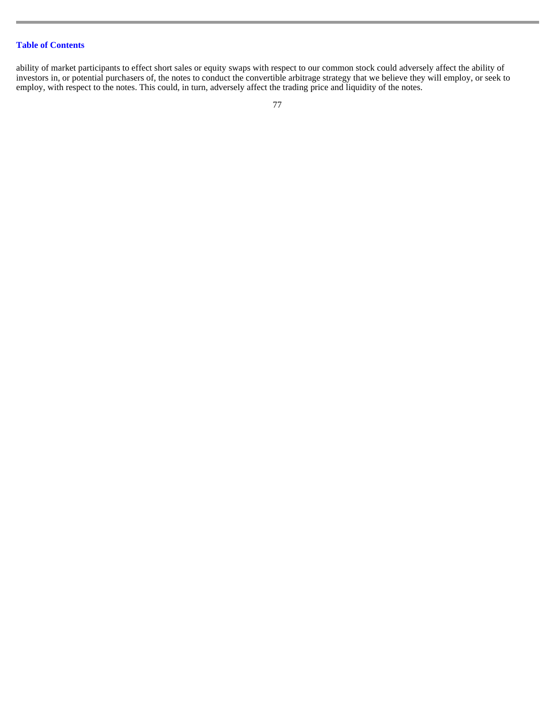ability of market participants to effect short sales or equity swaps with respect to our common stock could adversely affect the ability of investors in, or potential purchasers of, the notes to conduct the convertible arbitrage strategy that we believe they will employ, or seek to employ, with respect to the notes. This could, in turn, adversely affect the trading price and liquidity of the notes.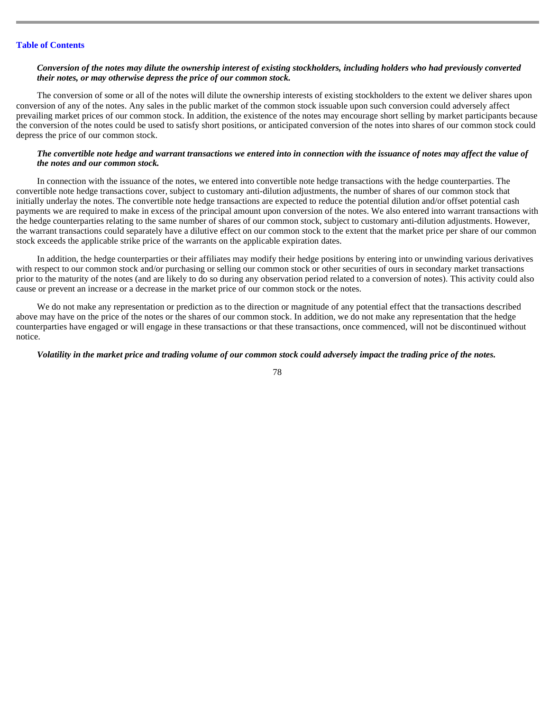### *Conversion of the notes may dilute the ownership interest of existing stockholders, including holders who had previously converted their notes, or may otherwise depress the price of our common stock.*

The conversion of some or all of the notes will dilute the ownership interests of existing stockholders to the extent we deliver shares upon conversion of any of the notes. Any sales in the public market of the common stock issuable upon such conversion could adversely affect prevailing market prices of our common stock. In addition, the existence of the notes may encourage short selling by market participants because the conversion of the notes could be used to satisfy short positions, or anticipated conversion of the notes into shares of our common stock could depress the price of our common stock.

### *The convertible note hedge and warrant transactions we entered into in connection with the issuance of notes may affect the value of the notes and our common stock.*

In connection with the issuance of the notes, we entered into convertible note hedge transactions with the hedge counterparties. The convertible note hedge transactions cover, subject to customary anti-dilution adjustments, the number of shares of our common stock that initially underlay the notes. The convertible note hedge transactions are expected to reduce the potential dilution and/or offset potential cash payments we are required to make in excess of the principal amount upon conversion of the notes. We also entered into warrant transactions with the hedge counterparties relating to the same number of shares of our common stock, subject to customary anti-dilution adjustments. However, the warrant transactions could separately have a dilutive effect on our common stock to the extent that the market price per share of our common stock exceeds the applicable strike price of the warrants on the applicable expiration dates.

In addition, the hedge counterparties or their affiliates may modify their hedge positions by entering into or unwinding various derivatives with respect to our common stock and/or purchasing or selling our common stock or other securities of ours in secondary market transactions prior to the maturity of the notes (and are likely to do so during any observation period related to a conversion of notes). This activity could also cause or prevent an increase or a decrease in the market price of our common stock or the notes.

We do not make any representation or prediction as to the direction or magnitude of any potential effect that the transactions described above may have on the price of the notes or the shares of our common stock. In addition, we do not make any representation that the hedge counterparties have engaged or will engage in these transactions or that these transactions, once commenced, will not be discontinued without notice.

### *Volatility in the market price and trading volume of our common stock could adversely impact the trading price of the notes.*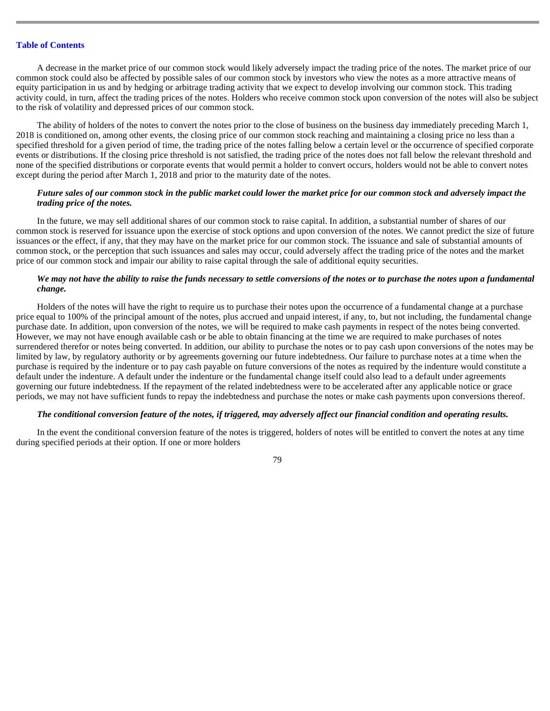A decrease in the market price of our common stock would likely adversely impact the trading price of the notes. The market price of our common stock could also be affected by possible sales of our common stock by investors who view the notes as a more attractive means of equity participation in us and by hedging or arbitrage trading activity that we expect to develop involving our common stock. This trading activity could, in turn, affect the trading prices of the notes. Holders who receive common stock upon conversion of the notes will also be subject to the risk of volatility and depressed prices of our common stock.

The ability of holders of the notes to convert the notes prior to the close of business on the business day immediately preceding March 1, 2018 is conditioned on, among other events, the closing price of our common stock reaching and maintaining a closing price no less than a specified threshold for a given period of time, the trading price of the notes falling below a certain level or the occurrence of specified corporate events or distributions. If the closing price threshold is not satisfied, the trading price of the notes does not fall below the relevant threshold and none of the specified distributions or corporate events that would permit a holder to convert occurs, holders would not be able to convert notes except during the period after March 1, 2018 and prior to the maturity date of the notes.

### *Future sales of our common stock in the public market could lower the market price for our common stock and adversely impact the trading price of the notes.*

In the future, we may sell additional shares of our common stock to raise capital. In addition, a substantial number of shares of our common stock is reserved for issuance upon the exercise of stock options and upon conversion of the notes. We cannot predict the size of future issuances or the effect, if any, that they may have on the market price for our common stock. The issuance and sale of substantial amounts of common stock, or the perception that such issuances and sales may occur, could adversely affect the trading price of the notes and the market price of our common stock and impair our ability to raise capital through the sale of additional equity securities.

### *We may not have the ability to raise the funds necessary to settle conversions of the notes or to purchase the notes upon a fundamental change.*

Holders of the notes will have the right to require us to purchase their notes upon the occurrence of a fundamental change at a purchase price equal to 100% of the principal amount of the notes, plus accrued and unpaid interest, if any, to, but not including, the fundamental change purchase date. In addition, upon conversion of the notes, we will be required to make cash payments in respect of the notes being converted. However, we may not have enough available cash or be able to obtain financing at the time we are required to make purchases of notes surrendered therefor or notes being converted. In addition, our ability to purchase the notes or to pay cash upon conversions of the notes may be limited by law, by regulatory authority or by agreements governing our future indebtedness. Our failure to purchase notes at a time when the purchase is required by the indenture or to pay cash payable on future conversions of the notes as required by the indenture would constitute a default under the indenture. A default under the indenture or the fundamental change itself could also lead to a default under agreements governing our future indebtedness. If the repayment of the related indebtedness were to be accelerated after any applicable notice or grace periods, we may not have sufficient funds to repay the indebtedness and purchase the notes or make cash payments upon conversions thereof.

#### *The conditional conversion feature of the notes, if triggered, may adversely affect our financial condition and operating results.*

In the event the conditional conversion feature of the notes is triggered, holders of notes will be entitled to convert the notes at any time during specified periods at their option. If one or more holders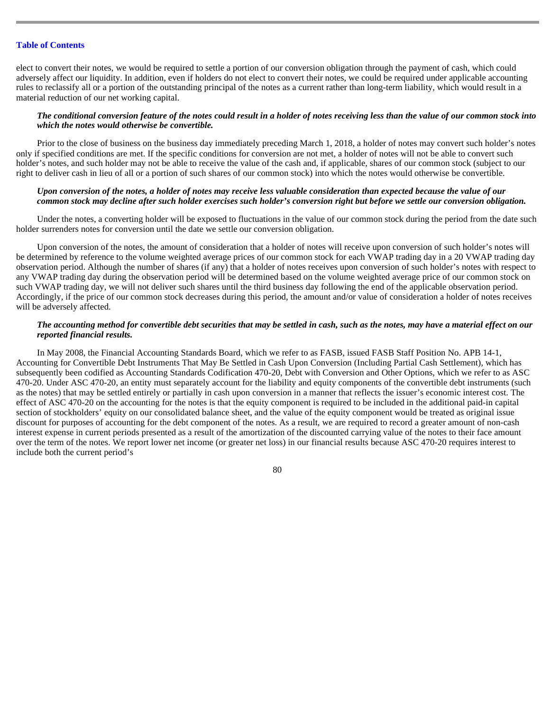elect to convert their notes, we would be required to settle a portion of our conversion obligation through the payment of cash, which could adversely affect our liquidity. In addition, even if holders do not elect to convert their notes, we could be required under applicable accounting rules to reclassify all or a portion of the outstanding principal of the notes as a current rather than long-term liability, which would result in a material reduction of our net working capital.

#### *The conditional conversion feature of the notes could result in a holder of notes receiving less than the value of our common stock into which the notes would otherwise be convertible.*

Prior to the close of business on the business day immediately preceding March 1, 2018, a holder of notes may convert such holder's notes only if specified conditions are met. If the specific conditions for conversion are not met, a holder of notes will not be able to convert such holder's notes, and such holder may not be able to receive the value of the cash and, if applicable, shares of our common stock (subject to our right to deliver cash in lieu of all or a portion of such shares of our common stock) into which the notes would otherwise be convertible.

### *Upon conversion of the notes, a holder of notes may receive less valuable consideration than expected because the value of our common stock may decline after such holder exercises such holder's conversion right but before we settle our conversion obligation.*

Under the notes, a converting holder will be exposed to fluctuations in the value of our common stock during the period from the date such holder surrenders notes for conversion until the date we settle our conversion obligation.

Upon conversion of the notes, the amount of consideration that a holder of notes will receive upon conversion of such holder's notes will be determined by reference to the volume weighted average prices of our common stock for each VWAP trading day in a 20 VWAP trading day observation period. Although the number of shares (if any) that a holder of notes receives upon conversion of such holder's notes with respect to any VWAP trading day during the observation period will be determined based on the volume weighted average price of our common stock on such VWAP trading day, we will not deliver such shares until the third business day following the end of the applicable observation period. Accordingly, if the price of our common stock decreases during this period, the amount and/or value of consideration a holder of notes receives will be adversely affected.

## *The accounting method for convertible debt securities that may be settled in cash, such as the notes, may have a material effect on our reported financial results.*

In May 2008, the Financial Accounting Standards Board, which we refer to as FASB, issued FASB Staff Position No. APB 14-1, Accounting for Convertible Debt Instruments That May Be Settled in Cash Upon Conversion (Including Partial Cash Settlement), which has subsequently been codified as Accounting Standards Codification 470-20, Debt with Conversion and Other Options, which we refer to as ASC 470-20. Under ASC 470-20, an entity must separately account for the liability and equity components of the convertible debt instruments (such as the notes) that may be settled entirely or partially in cash upon conversion in a manner that reflects the issuer's economic interest cost. The effect of ASC 470-20 on the accounting for the notes is that the equity component is required to be included in the additional paid-in capital section of stockholders' equity on our consolidated balance sheet, and the value of the equity component would be treated as original issue discount for purposes of accounting for the debt component of the notes. As a result, we are required to record a greater amount of non-cash interest expense in current periods presented as a result of the amortization of the discounted carrying value of the notes to their face amount over the term of the notes. We report lower net income (or greater net loss) in our financial results because ASC 470-20 requires interest to include both the current period's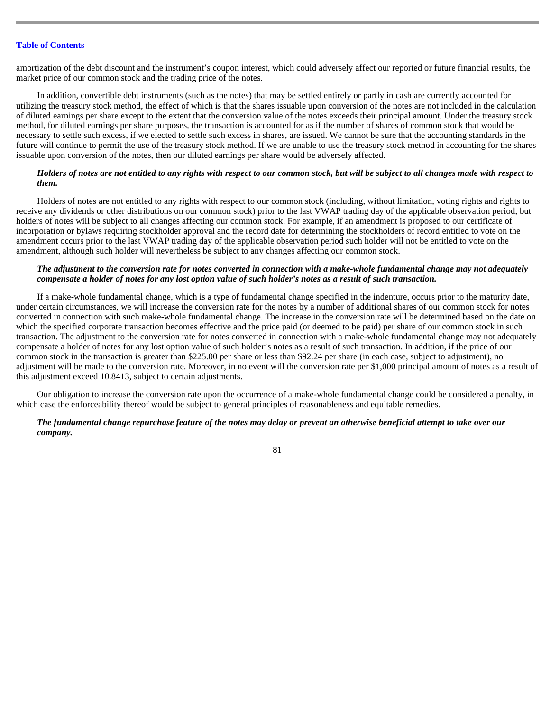amortization of the debt discount and the instrument's coupon interest, which could adversely affect our reported or future financial results, the market price of our common stock and the trading price of the notes.

In addition, convertible debt instruments (such as the notes) that may be settled entirely or partly in cash are currently accounted for utilizing the treasury stock method, the effect of which is that the shares issuable upon conversion of the notes are not included in the calculation of diluted earnings per share except to the extent that the conversion value of the notes exceeds their principal amount. Under the treasury stock method, for diluted earnings per share purposes, the transaction is accounted for as if the number of shares of common stock that would be necessary to settle such excess, if we elected to settle such excess in shares, are issued. We cannot be sure that the accounting standards in the future will continue to permit the use of the treasury stock method. If we are unable to use the treasury stock method in accounting for the shares issuable upon conversion of the notes, then our diluted earnings per share would be adversely affected.

## *Holders of notes are not entitled to any rights with respect to our common stock, but will be subject to all changes made with respect to them.*

Holders of notes are not entitled to any rights with respect to our common stock (including, without limitation, voting rights and rights to receive any dividends or other distributions on our common stock) prior to the last VWAP trading day of the applicable observation period, but holders of notes will be subject to all changes affecting our common stock. For example, if an amendment is proposed to our certificate of incorporation or bylaws requiring stockholder approval and the record date for determining the stockholders of record entitled to vote on the amendment occurs prior to the last VWAP trading day of the applicable observation period such holder will not be entitled to vote on the amendment, although such holder will nevertheless be subject to any changes affecting our common stock.

## *The adjustment to the conversion rate for notes converted in connection with a make-whole fundamental change may not adequately compensate a holder of notes for any lost option value of such holder's notes as a result of such transaction.*

If a make-whole fundamental change, which is a type of fundamental change specified in the indenture, occurs prior to the maturity date, under certain circumstances, we will increase the conversion rate for the notes by a number of additional shares of our common stock for notes converted in connection with such make-whole fundamental change. The increase in the conversion rate will be determined based on the date on which the specified corporate transaction becomes effective and the price paid (or deemed to be paid) per share of our common stock in such transaction. The adjustment to the conversion rate for notes converted in connection with a make-whole fundamental change may not adequately compensate a holder of notes for any lost option value of such holder's notes as a result of such transaction. In addition, if the price of our common stock in the transaction is greater than \$225.00 per share or less than \$92.24 per share (in each case, subject to adjustment), no adjustment will be made to the conversion rate. Moreover, in no event will the conversion rate per \$1,000 principal amount of notes as a result of this adjustment exceed 10.8413, subject to certain adjustments.

Our obligation to increase the conversion rate upon the occurrence of a make-whole fundamental change could be considered a penalty, in which case the enforceability thereof would be subject to general principles of reasonableness and equitable remedies.

## *The fundamental change repurchase feature of the notes may delay or prevent an otherwise beneficial attempt to take over our company.*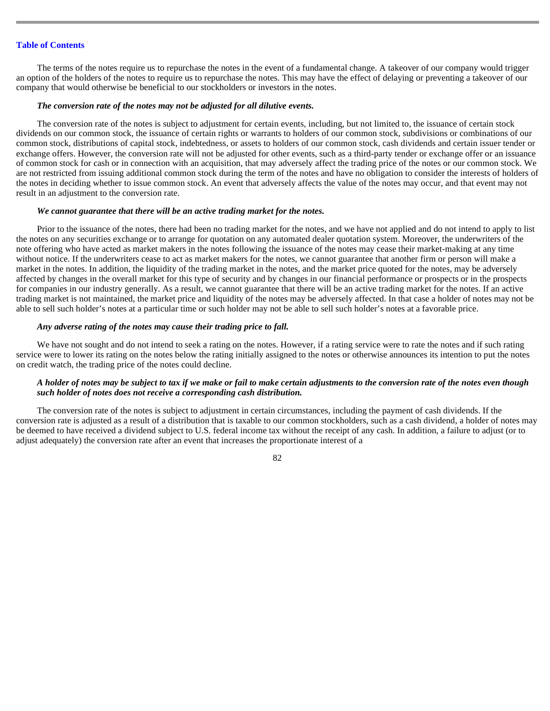The terms of the notes require us to repurchase the notes in the event of a fundamental change. A takeover of our company would trigger an option of the holders of the notes to require us to repurchase the notes. This may have the effect of delaying or preventing a takeover of our company that would otherwise be beneficial to our stockholders or investors in the notes.

#### *The conversion rate of the notes may not be adjusted for all dilutive events.*

The conversion rate of the notes is subject to adjustment for certain events, including, but not limited to, the issuance of certain stock dividends on our common stock, the issuance of certain rights or warrants to holders of our common stock, subdivisions or combinations of our common stock, distributions of capital stock, indebtedness, or assets to holders of our common stock, cash dividends and certain issuer tender or exchange offers. However, the conversion rate will not be adjusted for other events, such as a third-party tender or exchange offer or an issuance of common stock for cash or in connection with an acquisition, that may adversely affect the trading price of the notes or our common stock. We are not restricted from issuing additional common stock during the term of the notes and have no obligation to consider the interests of holders of the notes in deciding whether to issue common stock. An event that adversely affects the value of the notes may occur, and that event may not result in an adjustment to the conversion rate.

#### *We cannot guarantee that there will be an active trading market for the notes.*

Prior to the issuance of the notes, there had been no trading market for the notes, and we have not applied and do not intend to apply to list the notes on any securities exchange or to arrange for quotation on any automated dealer quotation system. Moreover, the underwriters of the note offering who have acted as market makers in the notes following the issuance of the notes may cease their market-making at any time without notice. If the underwriters cease to act as market makers for the notes, we cannot guarantee that another firm or person will make a market in the notes. In addition, the liquidity of the trading market in the notes, and the market price quoted for the notes, may be adversely affected by changes in the overall market for this type of security and by changes in our financial performance or prospects or in the prospects for companies in our industry generally. As a result, we cannot guarantee that there will be an active trading market for the notes. If an active trading market is not maintained, the market price and liquidity of the notes may be adversely affected. In that case a holder of notes may not be able to sell such holder's notes at a particular time or such holder may not be able to sell such holder's notes at a favorable price.

#### *Any adverse rating of the notes may cause their trading price to fall.*

We have not sought and do not intend to seek a rating on the notes. However, if a rating service were to rate the notes and if such rating service were to lower its rating on the notes below the rating initially assigned to the notes or otherwise announces its intention to put the notes on credit watch, the trading price of the notes could decline.

### *A holder of notes may be subject to tax if we make or fail to make certain adjustments to the conversion rate of the notes even though such holder of notes does not receive a corresponding cash distribution.*

The conversion rate of the notes is subject to adjustment in certain circumstances, including the payment of cash dividends. If the conversion rate is adjusted as a result of a distribution that is taxable to our common stockholders, such as a cash dividend, a holder of notes may be deemed to have received a dividend subject to U.S. federal income tax without the receipt of any cash. In addition, a failure to adjust (or to adjust adequately) the conversion rate after an event that increases the proportionate interest of a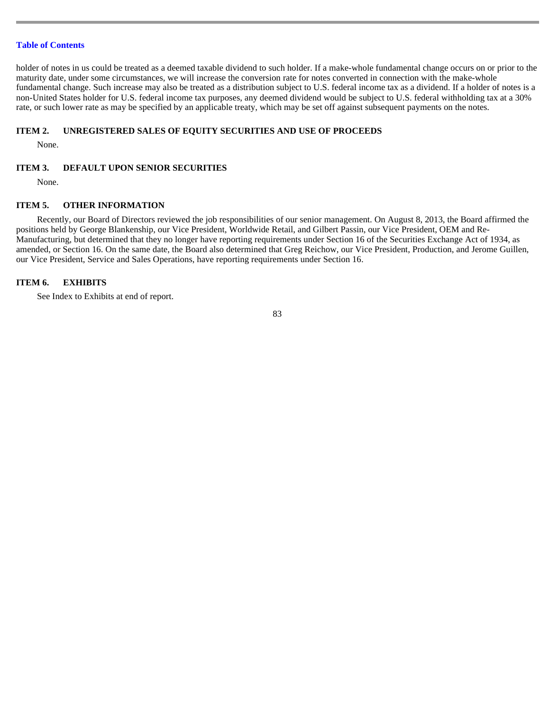holder of notes in us could be treated as a deemed taxable dividend to such holder. If a make-whole fundamental change occurs on or prior to the maturity date, under some circumstances, we will increase the conversion rate for notes converted in connection with the make-whole fundamental change. Such increase may also be treated as a distribution subject to U.S. federal income tax as a dividend. If a holder of notes is a non-United States holder for U.S. federal income tax purposes, any deemed dividend would be subject to U.S. federal withholding tax at a 30% rate, or such lower rate as may be specified by an applicable treaty, which may be set off against subsequent payments on the notes.

## **ITEM 2. UNREGISTERED SALES OF EQUITY SECURITIES AND USE OF PROCEEDS**

None.

#### **ITEM 3. DEFAULT UPON SENIOR SECURITIES**

None.

#### **ITEM 5. OTHER INFORMATION**

Recently, our Board of Directors reviewed the job responsibilities of our senior management. On August 8, 2013, the Board affirmed the positions held by George Blankenship, our Vice President, Worldwide Retail, and Gilbert Passin, our Vice President, OEM and Re-Manufacturing, but determined that they no longer have reporting requirements under Section 16 of the Securities Exchange Act of 1934, as amended, or Section 16. On the same date, the Board also determined that Greg Reichow, our Vice President, Production, and Jerome Guillen, our Vice President, Service and Sales Operations, have reporting requirements under Section 16.

#### **ITEM 6. EXHIBITS**

See Index to Exhibits at end of report.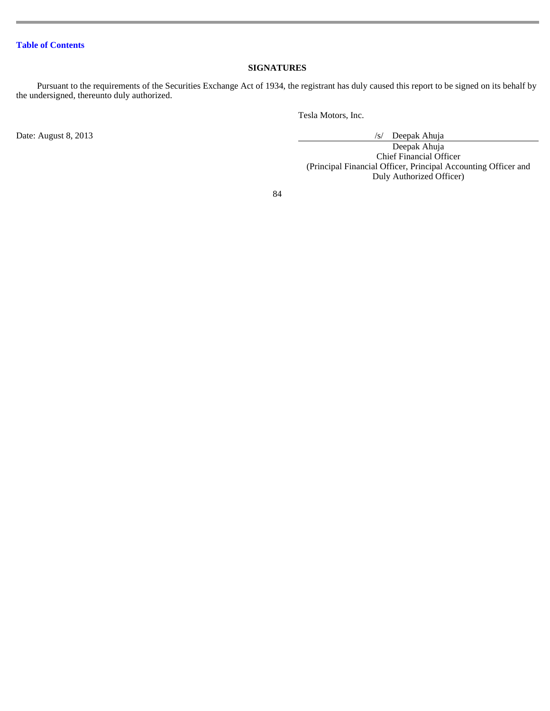## **SIGNATURES**

Pursuant to the requirements of the Securities Exchange Act of 1934, the registrant has duly caused this report to be signed on its behalf by the undersigned, thereunto duly authorized.

Tesla Motors, Inc.

Date: August 8, 2013 /s/ Deepak Ahuja

 Deepak Ahuja Chief Financial Officer (Principal Financial Officer, Principal Accounting Officer and Duly Authorized Officer)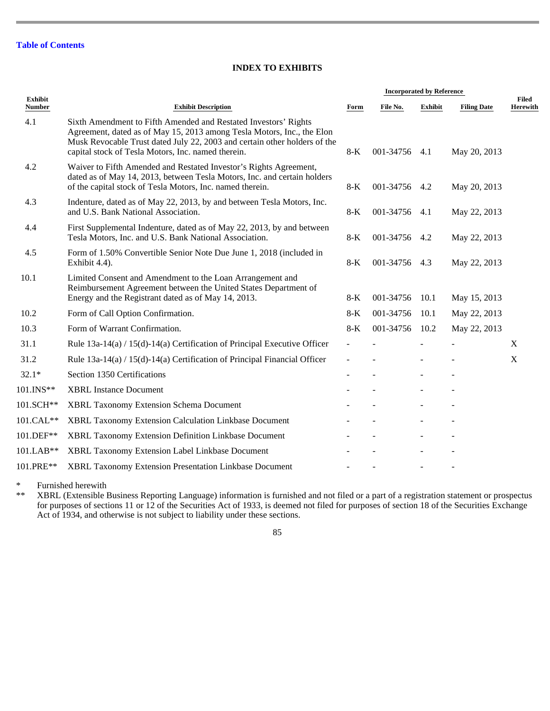## **INDEX TO EXHIBITS**

| <b>Exhibit Description</b>                                                                                                                                                                                                                                                   | Form  | File No.  | Exhibit | <b>Filing Date</b> | Filed<br><b>Herewith</b>         |
|------------------------------------------------------------------------------------------------------------------------------------------------------------------------------------------------------------------------------------------------------------------------------|-------|-----------|---------|--------------------|----------------------------------|
| Sixth Amendment to Fifth Amended and Restated Investors' Rights<br>Agreement, dated as of May 15, 2013 among Tesla Motors, Inc., the Elon<br>Musk Revocable Trust dated July 22, 2003 and certain other holders of the<br>capital stock of Tesla Motors, Inc. named therein. | $8-K$ | 001-34756 | 4.1     | May 20, 2013       |                                  |
| Waiver to Fifth Amended and Restated Investor's Rights Agreement,<br>dated as of May 14, 2013, between Tesla Motors, Inc. and certain holders<br>of the capital stock of Tesla Motors, Inc. named therein.                                                                   | $8-K$ | 001-34756 | 4.2     | May 20, 2013       |                                  |
| Indenture, dated as of May 22, 2013, by and between Tesla Motors, Inc.<br>and U.S. Bank National Association.                                                                                                                                                                | $8-K$ | 001-34756 | 4.1     | May 22, 2013       |                                  |
| First Supplemental Indenture, dated as of May 22, 2013, by and between<br>Tesla Motors, Inc. and U.S. Bank National Association.                                                                                                                                             | $8-K$ | 001-34756 | 4.2     | May 22, 2013       |                                  |
| Form of 1.50% Convertible Senior Note Due June 1, 2018 (included in<br>Exhibit 4.4).                                                                                                                                                                                         | $8-K$ | 001-34756 | 4.3     | May 22, 2013       |                                  |
| Limited Consent and Amendment to the Loan Arrangement and<br>Reimbursement Agreement between the United States Department of<br>Energy and the Registrant dated as of May 14, 2013.                                                                                          | $8-K$ | 001-34756 | 10.1    | May 15, 2013       |                                  |
| Form of Call Option Confirmation.                                                                                                                                                                                                                                            | $8-K$ | 001-34756 | 10.1    | May 22, 2013       |                                  |
| Form of Warrant Confirmation.                                                                                                                                                                                                                                                | $8-K$ | 001-34756 | 10.2    | May 22, 2013       |                                  |
| Rule $13a-14(a)$ / $15(d)-14(a)$ Certification of Principal Executive Officer                                                                                                                                                                                                |       |           |         |                    | X                                |
| Rule $13a-14(a)$ / $15(d)-14(a)$ Certification of Principal Financial Officer                                                                                                                                                                                                |       |           |         |                    | X                                |
| Section 1350 Certifications                                                                                                                                                                                                                                                  |       |           |         |                    |                                  |
| <b>XBRL Instance Document</b>                                                                                                                                                                                                                                                |       |           |         |                    |                                  |
| XBRL Taxonomy Extension Schema Document                                                                                                                                                                                                                                      |       |           |         |                    |                                  |
| XBRL Taxonomy Extension Calculation Linkbase Document                                                                                                                                                                                                                        |       |           |         |                    |                                  |
| XBRL Taxonomy Extension Definition Linkbase Document                                                                                                                                                                                                                         |       |           |         |                    |                                  |
| XBRL Taxonomy Extension Label Linkbase Document                                                                                                                                                                                                                              |       |           |         |                    |                                  |
| XBRL Taxonomy Extension Presentation Linkbase Document                                                                                                                                                                                                                       |       |           |         |                    |                                  |
|                                                                                                                                                                                                                                                                              |       |           |         |                    | <b>Incorporated by Reference</b> |

 $\ast$ \* Furnished herewith<br>\*\* XBRL (Extensible I

\*\* XBRL (Extensible Business Reporting Language) information is furnished and not filed or a part of a registration statement or prospectus for purposes of sections 11 or 12 of the Securities Act of 1933, is deemed not filed for purposes of section 18 of the Securities Exchange Act of 1934, and otherwise is not subject to liability under these sections.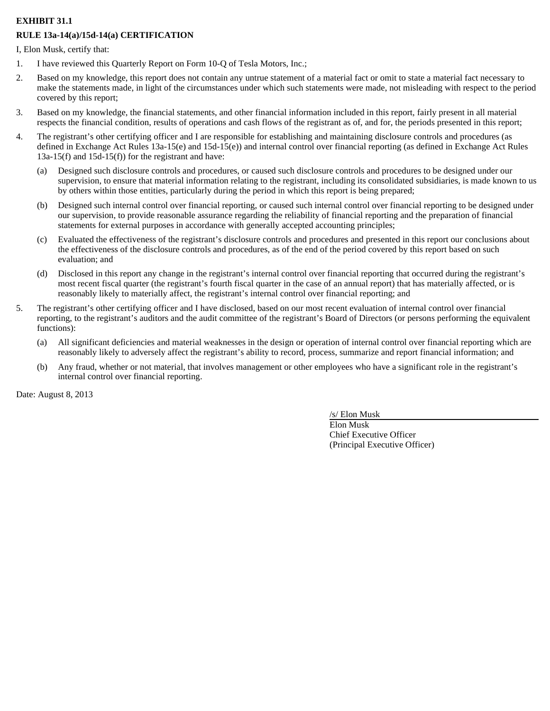## **EXHIBIT 31.1**

## **RULE 13a-14(a)/15d-14(a) CERTIFICATION**

I, Elon Musk, certify that:

- 1. I have reviewed this Quarterly Report on Form 10-Q of Tesla Motors, Inc.;
- 2. Based on my knowledge, this report does not contain any untrue statement of a material fact or omit to state a material fact necessary to make the statements made, in light of the circumstances under which such statements were made, not misleading with respect to the period covered by this report;
- 3. Based on my knowledge, the financial statements, and other financial information included in this report, fairly present in all material respects the financial condition, results of operations and cash flows of the registrant as of, and for, the periods presented in this report;
- 4. The registrant's other certifying officer and I are responsible for establishing and maintaining disclosure controls and procedures (as defined in Exchange Act Rules 13a-15(e) and 15d-15(e)) and internal control over financial reporting (as defined in Exchange Act Rules 13a-15(f) and 15d-15(f)) for the registrant and have:
	- (a) Designed such disclosure controls and procedures, or caused such disclosure controls and procedures to be designed under our supervision, to ensure that material information relating to the registrant, including its consolidated subsidiaries, is made known to us by others within those entities, particularly during the period in which this report is being prepared;
	- (b) Designed such internal control over financial reporting, or caused such internal control over financial reporting to be designed under our supervision, to provide reasonable assurance regarding the reliability of financial reporting and the preparation of financial statements for external purposes in accordance with generally accepted accounting principles;
	- (c) Evaluated the effectiveness of the registrant's disclosure controls and procedures and presented in this report our conclusions about the effectiveness of the disclosure controls and procedures, as of the end of the period covered by this report based on such evaluation; and
	- (d) Disclosed in this report any change in the registrant's internal control over financial reporting that occurred during the registrant's most recent fiscal quarter (the registrant's fourth fiscal quarter in the case of an annual report) that has materially affected, or is reasonably likely to materially affect, the registrant's internal control over financial reporting; and
- 5. The registrant's other certifying officer and I have disclosed, based on our most recent evaluation of internal control over financial reporting, to the registrant's auditors and the audit committee of the registrant's Board of Directors (or persons performing the equivalent functions):
	- (a) All significant deficiencies and material weaknesses in the design or operation of internal control over financial reporting which are reasonably likely to adversely affect the registrant's ability to record, process, summarize and report financial information; and
	- (b) Any fraud, whether or not material, that involves management or other employees who have a significant role in the registrant's internal control over financial reporting.

Date: August 8, 2013

/s/ Elon Musk

Elon Musk Chief Executive Officer (Principal Executive Officer)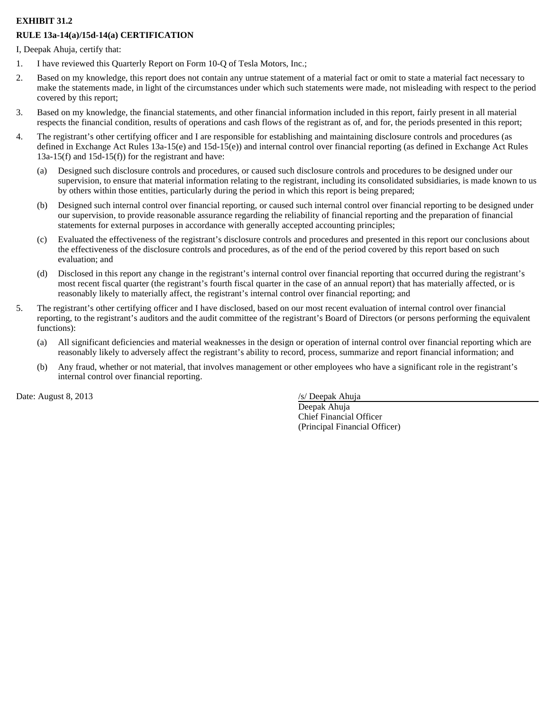## **EXHIBIT 31.2**

# **RULE 13a-14(a)/15d-14(a) CERTIFICATION**

I, Deepak Ahuja, certify that:

- 1. I have reviewed this Quarterly Report on Form 10-Q of Tesla Motors, Inc.;
- 2. Based on my knowledge, this report does not contain any untrue statement of a material fact or omit to state a material fact necessary to make the statements made, in light of the circumstances under which such statements were made, not misleading with respect to the period covered by this report;
- 3. Based on my knowledge, the financial statements, and other financial information included in this report, fairly present in all material respects the financial condition, results of operations and cash flows of the registrant as of, and for, the periods presented in this report;
- 4. The registrant's other certifying officer and I are responsible for establishing and maintaining disclosure controls and procedures (as defined in Exchange Act Rules 13a-15(e) and 15d-15(e)) and internal control over financial reporting (as defined in Exchange Act Rules 13a-15(f) and 15d-15(f)) for the registrant and have:
	- (a) Designed such disclosure controls and procedures, or caused such disclosure controls and procedures to be designed under our supervision, to ensure that material information relating to the registrant, including its consolidated subsidiaries, is made known to us by others within those entities, particularly during the period in which this report is being prepared;
	- (b) Designed such internal control over financial reporting, or caused such internal control over financial reporting to be designed under our supervision, to provide reasonable assurance regarding the reliability of financial reporting and the preparation of financial statements for external purposes in accordance with generally accepted accounting principles;
	- (c) Evaluated the effectiveness of the registrant's disclosure controls and procedures and presented in this report our conclusions about the effectiveness of the disclosure controls and procedures, as of the end of the period covered by this report based on such evaluation; and
	- (d) Disclosed in this report any change in the registrant's internal control over financial reporting that occurred during the registrant's most recent fiscal quarter (the registrant's fourth fiscal quarter in the case of an annual report) that has materially affected, or is reasonably likely to materially affect, the registrant's internal control over financial reporting; and
- 5. The registrant's other certifying officer and I have disclosed, based on our most recent evaluation of internal control over financial reporting, to the registrant's auditors and the audit committee of the registrant's Board of Directors (or persons performing the equivalent functions):
	- (a) All significant deficiencies and material weaknesses in the design or operation of internal control over financial reporting which are reasonably likely to adversely affect the registrant's ability to record, process, summarize and report financial information; and
	- (b) Any fraud, whether or not material, that involves management or other employees who have a significant role in the registrant's internal control over financial reporting.

Date: August 8, 2013 /s/ Deepak Ahuja

 Deepak Ahuja Chief Financial Officer (Principal Financial Officer)